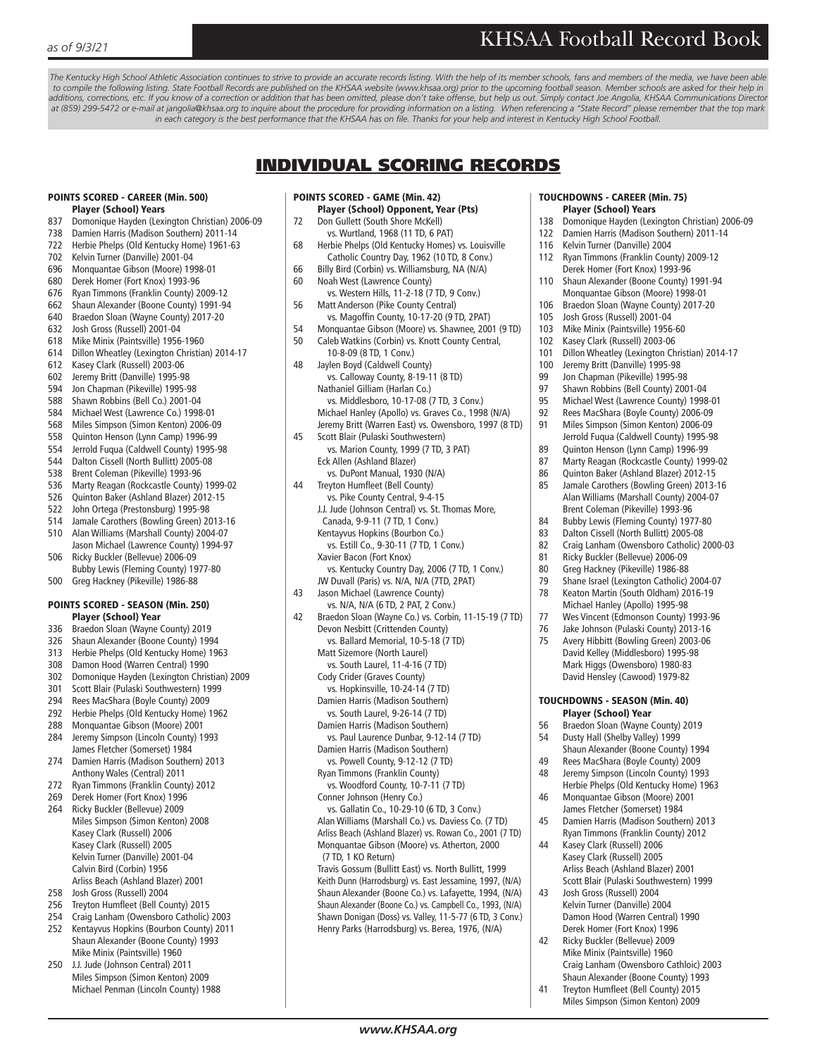The Kentucky High School Athletic Association continues to strive to provide an accurate records listing. With the help of its member schools, fans and members of the media, we have been able *to compile the following listing. State Football Records are published on the KHSAA website (www.khsaa.org) prior to the upcoming football season. Member schools are asked for their help in additions, corrections, etc. If you know of a correction or addition that has been omitted, please don't take offense, but help us out. Simply contact Joe Angolia, KHSAA Communications Director at (859) 299-5472 or e-mail at jangolia@khsaa.org to inquire about the procedure for providing information on a listing. When referencing a "State Record" please remember that the top mark*  in each category is the best performance that the KHSAA has on file. Thanks for your help and interest in Kentucky High School Football.

## INDIVIDUAL SCORING RECORDS

#### POINTS SCORED - CAREER (Min. 500) Player (School) Years

- 837 Domonique Hayden (Lexington Christian) 2006-09
- 738 Damien Harris (Madison Southern) 2011-14
- 722 Herbie Phelps (Old Kentucky Home) 1961-63
- 702 Kelvin Turner (Danville) 2001-04
- 696 Monquantae Gibson (Moore) 1998-01
- 680 Derek Homer (Fort Knox) 1993-96
- 676 Ryan Timmons (Franklin County) 2009-12
- 662 Shaun Alexander (Boone County) 1991-94
- 640 Braedon Sloan (Wayne County) 2017-20
- 632 Josh Gross (Russell) 2001-04
- 618 Mike Minix (Paintsville) 1956-1960
- 614 Dillon Wheatley (Lexington Christian) 2014-17
- 612 Kasey Clark (Russell) 2003-06
- 602 Jeremy Britt (Danville) 1995-98
- 594 Jon Chapman (Pikeville) 1995-98
- 588 Shawn Robbins (Bell Co.) 2001-04
- 584 Michael West (Lawrence Co.) 1998-01
- 568 Miles Simpson (Simon Kenton) 2006-09
- 558 Quinton Henson (Lynn Camp) 1996-99
- 554 Jerrold Fuqua (Caldwell County) 1995-98
- 544 Dalton Cissell (North Bullitt) 2005-08
- 538 Brent Coleman (Pikeville) 1993-96
- 536 Marty Reagan (Rockcastle County) 1999-02
- 526 Quinton Baker (Ashland Blazer) 2012-15
- 522 John Ortega (Prestonsburg) 1995-98
- 514 Jamale Carothers (Bowling Green) 2013-16 510 Alan Williams (Marshall County) 2004-07
- Jason Michael (Lawrence County) 1994-97 506 Ricky Buckler (Bellevue) 2006-09
- Bubby Lewis (Fleming County) 1977-80 500 Greg Hackney (Pikeville) 1986-88

## POINTS SCORED - SEASON (Min. 250)

- Player (School) Year
- 336 Braedon Sloan (Wayne County) 2019 326 Shaun Alexander (Boone County) 1994
- 313 Herbie Phelps (Old Kentucky Home) 1963
- 308 Damon Hood (Warren Central) 1990
- 302 Domonique Hayden (Lexington Christian) 2009
- 301 Scott Blair (Pulaski Southwestern) 1999
- 294 Rees MacShara (Boyle County) 2009
- 292 Herbie Phelps (Old Kentucky Home) 1962
- 288 Monquantae Gibson (Moore) 2001
- 284 Jeremy Simpson (Lincoln County) 1993
- James Fletcher (Somerset) 1984 274 Damien Harris (Madison Southern) 2013
- Anthony Wales (Central) 2011 272 Ryan Timmons (Franklin County) 2012
- 269 Derek Homer (Fort Knox) 1996
- 264 Ricky Buckler (Bellevue) 2009 Miles Simpson (Simon Kenton) 2008 Kasey Clark (Russell) 2006 Kasey Clark (Russell) 2005 Kelvin Turner (Danville) 2001-04 Calvin Bird (Corbin) 1956 Arliss Beach (Ashland Blazer) 2001
- 258 Josh Gross (Russell) 2004
- 256 Treyton Humfleet (Bell County) 2015
- 254 Craig Lanham (Owensboro Catholic) 2003
- 252 Kentayvus Hopkins (Bourbon County) 2011 Shaun Alexander (Boone County) 1993 Mike Minix (Paintsville) 1960
- 250 J.J. Jude (Johnson Central) 2011 Miles Simpson (Simon Kenton) 2009 Michael Penman (Lincoln County) 1988

### POINTS SCORED - GAME (Min. 42)

- Player (School) Opponent, Year (Pts) 72 Don Gullett (South Shore McKell) vs. Wurtland, 1968 (11 TD, 6 PAT)
- 68 Herbie Phelps (Old Kentucky Homes) vs. Louisville Catholic Country Day, 1962 (10 TD, 8 Conv.)
- 66 Billy Bird (Corbin) vs. Williamsburg, NA (N/A)
- 60 Noah West (Lawrence County)
- vs. Western Hills, 11-2-18 (7 TD, 9 Conv.) 56 Matt Anderson (Pike County Central)
- vs. Magoffin County, 10-17-20 (9 TD, 2PAT)
- 54 Monquantae Gibson (Moore) vs. Shawnee, 2001 (9 TD)
- 50 Caleb Watkins (Corbin) vs. Knott County Central,
- 10-8-09 (8 TD, 1 Conv.)
- 48 Jaylen Boyd (Caldwell County) vs. Calloway County, 8-19-11 (8 TD) Nathaniel Gilliam (Harlan Co.) vs. Middlesboro, 10-17-08 (7 TD, 3 Conv.) Michael Hanley (Apollo) vs. Graves Co., 1998 (N/A) Jeremy Britt (Warren East) vs. Owensboro, 1997 (8 TD)
- 45 Scott Blair (Pulaski Southwestern) vs. Marion County, 1999 (7 TD, 3 PAT) Eck Allen (Ashland Blazer)
- vs. DuPont Manual, 1930 (N/A) 44 Treyton Humfleet (Bell County)
	- vs. Pike County Central, 9-4-15 J.J. Jude (Johnson Central) vs. St. Thomas More,
- Canada, 9-9-11 (7 TD, 1 Conv.) Kentayvus Hopkins (Bourbon Co.) vs. Estill Co., 9-30-11 (7 TD, 1 Conv.)
- Xavier Bacon (Fort Knox) vs. Kentucky Country Day, 2006 (7 TD, 1 Conv.)
- JW Duvall (Paris) vs. N/A, N/A (7TD, 2PAT) 43 Jason Michael (Lawrence County)
- vs. N/A, N/A (6 TD, 2 PAT, 2 Conv.) 42 Braedon Sloan (Wayne Co.) vs. Corbin, 11-15-19 (7 TD)
- Devon Nesbitt (Crittenden County) vs. Ballard Memorial, 10-5-18 (7 TD) Matt Sizemore (North Laurel) vs. South Laurel, 11-4-16 (7 TD)
	- Cody Crider (Graves County)
	- vs. Hopkinsville, 10-24-14 (7 TD)
	- Damien Harris (Madison Southern) vs. South Laurel, 9-26-14 (7 TD)
	- Damien Harris (Madison Southern)
	- vs. Paul Laurence Dunbar, 9-12-14 (7 TD) Damien Harris (Madison Southern)
	- vs. Powell County, 9-12-12 (7 TD) Ryan Timmons (Franklin County)
	- vs. Woodford County, 10-7-11 (7 TD) Conner Johnson (Henry Co.)
	- vs. Gallatin Co., 10-29-10 (6 TD, 3 Conv.) Alan Williams (Marshall Co.) vs. Daviess Co. (7 TD) Arliss Beach (Ashland Blazer) vs. Rowan Co., 2001 (7 TD) Monquantae Gibson (Moore) vs. Atherton, 2000 (7 TD, 1 KO Return)

 Travis Gossum (Bullitt East) vs. North Bullitt, 1999 Keith Dunn (Harrodsburg) vs. East Jessamine, 1997, (N/A) Shaun Alexander (Boone Co.) vs. Lafayette, 1994, (N/A) Shaun Alexander (Boone Co.) vs. Campbell Co., 1993, (N/A) Shawn Donigan (Doss) vs. Valley, 11-5-77 (6 TD, 3 Conv.) Henry Parks (Harrodsburg) vs. Berea, 1976, (N/A)

*www.KHSAA.org*

#### TOUCHDOWNS - CAREER (Min. 75) Player (School) Years

- 138 Domonique Hayden (Lexington Christian) 2006-09
- 122 Damien Harris (Madison Southern) 2011-14
- 116 Kelvin Turner (Danville) 2004
- 112 Ryan Timmons (Franklin County) 2009-12 Derek Homer (Fort Knox) 1993-96
- 110 Shaun Alexander (Boone County) 1991-94 Monquantae Gibson (Moore) 1998-01
- 106 Braedon Sloan (Wayne County) 2017-20
- 105 Josh Gross (Russell) 2001-04
- 103 Mike Minix (Paintsville) 1956-60
- 102 Kasey Clark (Russell) 2003-06
- 101 Dillon Wheatley (Lexington Christian) 2014-17
- 100 Jeremy Britt (Danville) 1995-98
- 99 Jon Chapman (Pikeville) 1995-98
- 97 Shawn Robbins (Bell County) 2001-04
- 95 Michael West (Lawrence County) 1998-01
- 92 Rees MacShara (Boyle County) 2006-09
- 91 Miles Simpson (Simon Kenton) 2006-09 Jerrold Fuqua (Caldwell County) 1995-98
- 89 Quinton Henson (Lynn Camp) 1996-99
- 87 Marty Reagan (Rockcastle County) 1999-02 86 Quinton Baker (Ashland Blazer) 2012-15

85 Jamale Carothers (Bowling Green) 2013-16 Alan Williams (Marshall County) 2004-07 Brent Coleman (Pikeville) 1993-96 84 Bubby Lewis (Fleming County) 1977-80 83 Dalton Cissell (North Bullitt) 2005-08 82 Craig Lanham (Owensboro Catholic) 2000-03 81 Ricky Buckler (Bellevue) 2006-09 80 Greg Hackney (Pikeville) 1986-88 79 Shane Israel (Lexington Catholic) 2004-07 78 Keaton Martin (South Oldham) 2016-19 Michael Hanley (Apollo) 1995-98 77 Wes Vincent (Edmonson County) 1993-96 76 Jake Johnson (Pulaski County) 2013-16 75 Avery Hibbitt (Bowling Green) 2003-06 David Kelley (Middlesboro) 1995-98 Mark Higgs (Owensboro) 1980-83 David Hensley (Cawood) 1979-82 TOUCHDOWNS - SEASON (Min. 40) Player (School) Year 56 Braedon Sloan (Wayne County) 2019 54 Dusty Hall (Shelby Valley) 1999

 Shaun Alexander (Boone County) 1994 49 Rees MacShara (Boyle County) 2009 48 Jeremy Simpson (Lincoln County) 1993 Herbie Phelps (Old Kentucky Home) 1963

 Craig Lanham (Owensboro Cathloic) 2003 Shaun Alexander (Boone County) 1993 41 Treyton Humfleet (Bell County) 2015 Miles Simpson (Simon Kenton) 2009

46 Monquantae Gibson (Moore) 2001 James Fletcher (Somerset) 1984 45 Damien Harris (Madison Southern) 2013 Ryan Timmons (Franklin County) 2012

44 Kasey Clark (Russell) 2006 Kasey Clark (Russell) 2005 Arliss Beach (Ashland Blazer) 2001 Scott Blair (Pulaski Southwestern) 1999

43 Josh Gross (Russell) 2004 Kelvin Turner (Danville) 2004 Damon Hood (Warren Central) 1990 Derek Homer (Fort Knox) 1996 42 Ricky Buckler (Bellevue) 2009 Mike Minix (Paintsville) 1960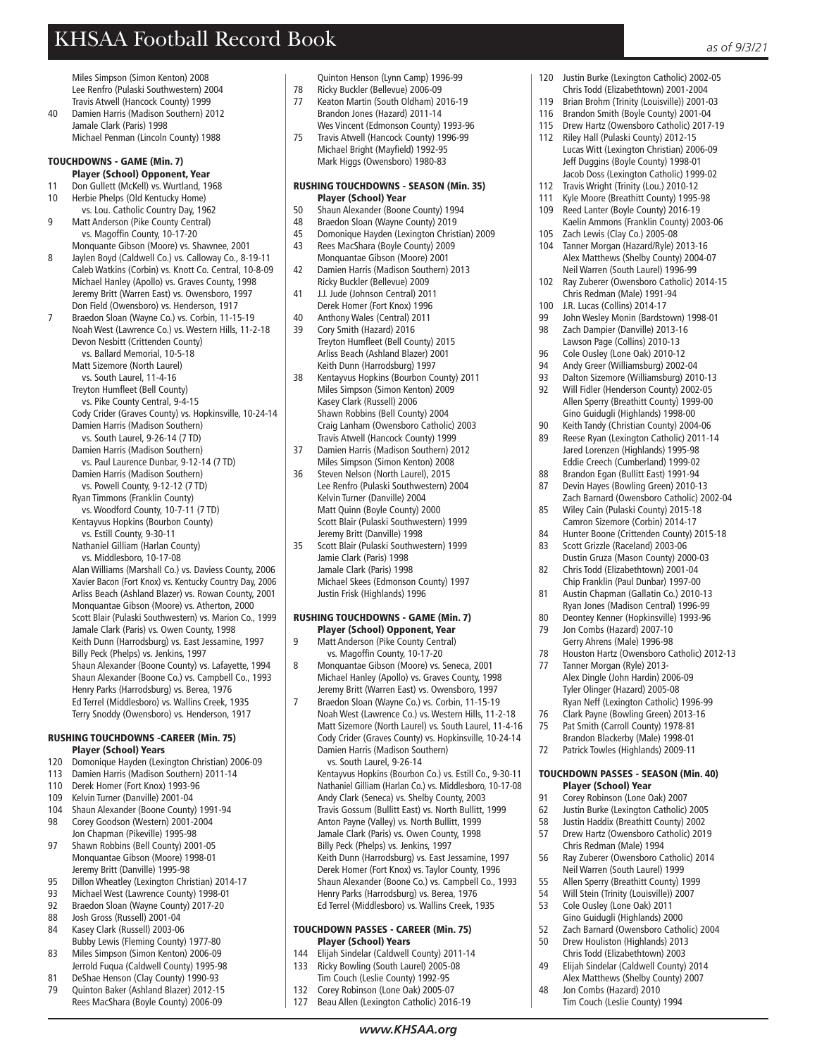Miles Simpson (Simon Kenton) 2008 Lee Renfro (Pulaski Southwestern) 2004 Travis Atwell (Hancock County) 1999

40 Damien Harris (Madison Southern) 2012 Jamale Clark (Paris) 1998 Michael Penman (Lincoln County) 1988

#### TOUCHDOWNS - GAME (Min. 7)

- Player (School) Opponent, Year
- 11 Don Gullett (McKell) vs. Wurtland, 1968<br>10 Herbie Phelps (Old Kentucky Home) Herbie Phelps (Old Kentucky Home)
- vs. Lou. Catholic Country Day, 1962
- 9 Matt Anderson (Pike County Central) vs. Magoffin County, 10-17-20
- Monquante Gibson (Moore) vs. Shawnee, 2001<br>B. Baylen Boyd (Caldwell Co.) vs. Calloway Co. 8-2 Jaylen Boyd (Caldwell Co.) vs. Calloway Co., 8-19-11 Caleb Watkins (Corbin) vs. Knott Co. Central, 10-8-09 Michael Hanley (Apollo) vs. Graves County, 1998 Jeremy Britt (Warren East) vs. Owensboro, 1997 Don Field (Owensboro) vs. Henderson, 1917
- 7 Braedon Sloan (Wayne Co.) vs. Corbin, 11-15-19 Noah West (Lawrence Co.) vs. Western Hills, 11-2-18 Devon Nesbitt (Crittenden County) vs. Ballard Memorial, 10-5-18
	- Matt Sizemore (North Laurel)
	- vs. South Laurel, 11-4-16
	- Treyton Humfleet (Bell County)
	- vs. Pike County Central, 9-4-15 Cody Crider (Graves County) vs. Hopkinsville, 10-24-14 Damien Harris (Madison Southern)
	- vs. South Laurel, 9-26-14 (7 TD)
	- Damien Harris (Madison Southern)
	- vs. Paul Laurence Dunbar, 9-12-14 (7 TD) Damien Harris (Madison Southern)
	- vs. Powell County, 9-12-12 (7 TD)
	- Ryan Timmons (Franklin County)
	- vs. Woodford County, 10-7-11 (7 TD)
	- Kentayvus Hopkins (Bourbon County)
	- vs. Estill County, 9-30-11 Nathaniel Gilliam (Harlan County)
	- vs. Middlesboro, 10-17-08
	- Alan Williams (Marshall Co.) vs. Daviess County, 2006 Xavier Bacon (Fort Knox) vs. Kentucky Country Day, 2006 Arliss Beach (Ashland Blazer) vs. Rowan County, 2001 Monquantae Gibson (Moore) vs. Atherton, 2000 Scott Blair (Pulaski Southwestern) vs. Marion Co., 1999 Jamale Clark (Paris) vs. Owen County, 1998 Keith Dunn (Harrodsburg) vs. East Jessamine, 1997 Billy Peck (Phelps) vs. Jenkins, 1997 Shaun Alexander (Boone County) vs. Lafayette, 1994 Shaun Alexander (Boone Co.) vs. Campbell Co., 1993 Henry Parks (Harrodsburg) vs. Berea, 1976 Ed Terrel (Middlesboro) vs. Wallins Creek, 1935
	- Terry Snoddy (Owensboro) vs. Henderson, 1917

#### RUSHING TOUCHDOWNS -CAREER (Min. 75) Player (School) Years

- 120 Domonique Hayden (Lexington Christian) 2006-09
- 113 Damien Harris (Madison Southern) 2011-14
- 110 Derek Homer (Fort Knox) 1993-96
- 109 Kelvin Turner (Danville) 2001-04
- 104 Shaun Alexander (Boone County) 1991-94 98 Corey Goodson (Western) 2001-2004
- Jon Chapman (Pikeville) 1995-98<br>97 Shawn Robbins (Bell County) 200 Shawn Robbins (Bell County) 2001-05 Monquantae Gibson (Moore) 1998-01
- Jeremy Britt (Danville) 1995-98<br>95 Dillon Wheatley (Lexington Chri
- 95 Dillon Wheatley (Lexington Christian) 2014-17<br>93 Michael West (Lawrence County) 1998-01
- 93 Michael West (Lawrence County) 1998-01<br>92 Braedon Sloan (Wayne County) 2017-20 Braedon Sloan (Wayne County) 2017-20
- 
- 88 Josh Gross (Russell) 2001-04<br>84 Kasey Clark (Russell) 2003-06 84 Kasey Clark (Russell) 2003-06
- Bubby Lewis (Fleming County) 1977-80<br>83 Miles Simpson (Simon Kenton) 2006-09 83 Miles Simpson (Simon Kenton) 2006-09
- Jerrold Fuqua (Caldwell County) 1995-98
- 81 DeShae Henson (Clay County) 1990-93<br>79 Ouinton Baker (Ashland Blazer) 2012-1
- 79 Quinton Baker (Ashland Blazer) 2012-15 Rees MacShara (Boyle County) 2006-09

Quinton Henson (Lynn Camp) 1996-99 Ricky Buckler (Bellevue) 2006-09

- 77 Keaton Martin (South Oldham) 2016-19 Brandon Jones (Hazard) 2011-14
- Wes Vincent (Edmonson County) 1993-96<br>75 Travis Atwell (Hancock County) 1996-99 75 Travis Atwell (Hancock County) 1996-99 Michael Bright (Mayfield) 1992-95 Mark Higgs (Owensboro) 1980-83

#### RUSHING TOUCHDOWNS - SEASON (Min. 35) Player (School) Year

- 50 Shaun Alexander (Boone County) 1994
- 48 Braedon Sloan (Wayne County) 2019<br>45 Domonique Hayden (Lexington Christ
- 45 Domonique Hayden (Lexington Christian) 2009 43 Rees MacShara (Boyle County) 2009
- Monquantae Gibson (Moore) 2001<br>A2 Damien Harris (Madison Southern) 42 Damien Harris (Madison Southern) 2013
- Ricky Buckler (Bellevue) 2009<br>41 Ll Jude (Johnson Central) 201 41 J.J. Jude (Johnson Central) 2011
- Derek Homer (Fort Knox) 1996<br>40 Anthony Wales (Central) 2011 Anthony Wales (Central) 2011
- 39 Cory Smith (Hazard) 2016
- Treyton Humfleet (Bell County) 2015 Arliss Beach (Ashland Blazer) 2001 Keith Dunn (Harrodsburg) 1997<br>38 Kentawus Honkins (Bourbon Co
- 38 Kentayvus Hopkins (Bourbon County) 2011 Miles Simpson (Simon Kenton) 2009 Kasey Clark (Russell) 2006 Shawn Robbins (Bell County) 2004 Craig Lanham (Owensboro Catholic) 2003 Travis Atwell (Hancock County) 1999
- 37 Damien Harris (Madison Southern) 2012 Miles Simpson (Simon Kenton) 2008
- 36 Steven Nelson (North Laurel), 2015 Lee Renfro (Pulaski Southwestern) 2004 Kelvin Turner (Danville) 2004 Matt Quinn (Boyle County) 2000 Scott Blair (Pulaski Southwestern) 1999 Jeremy Britt (Danville) 1998
- 35 Scott Blair (Pulaski Southwestern) 1999 Jamie Clark (Paris) 1998 Jamale Clark (Paris) 1998 Michael Skees (Edmonson County) 1997 Justin Frisk (Highlands) 1996

# RUSHING TOUCHDOWNS - GAME (Min. 7)

- **Player (School) Opponent, Year**<br>9 Matt Anderson (Pike County Central) 9 Matt Anderson (Pike County Central)
- vs. Magoffin County, 10-17-20<br>8 Monguantae Gibson (Moore) vs 8 Monquantae Gibson (Moore) vs. Seneca, 2001 Michael Hanley (Apollo) vs. Graves County, 1998 Jeremy Britt (Warren East) vs. Owensboro, 1997
- Braedon Sloan (Wayne Co.) vs. Corbin, 11-15-19 Noah West (Lawrence Co.) vs. Western Hills, 11-2-18 Matt Sizemore (North Laurel) vs. South Laurel, 11-4-16 Cody Crider (Graves County) vs. Hopkinsville, 10-24-14 Damien Harris (Madison Southern) vs. South Laurel, 9-26-14

Kentayvus Hopkins (Bourbon Co.) vs. Estill Co., 9-30-11 Nathaniel Gilliam (Harlan Co.) vs. Middlesboro, 10-17-08 Andy Clark (Seneca) vs. Shelby County, 2003 Travis Gossum (Bullitt East) vs. North Bullitt, 1999 Anton Payne (Valley) vs. North Bullitt, 1999 Jamale Clark (Paris) vs. Owen County, 1998 Billy Peck (Phelps) vs. Jenkins, 1997 Keith Dunn (Harrodsburg) vs. East Jessamine, 1997 Derek Homer (Fort Knox) vs. Taylor County, 1996 Shaun Alexander (Boone Co.) vs. Campbell Co., 1993 Henry Parks (Harrodsburg) vs. Berea, 1976 Ed Terrel (Middlesboro) vs. Wallins Creek, 1935

### TOUCHDOWN PASSES - CAREER (Min. 75) **Player (School) Years**<br>144 Flijah Sindelar (Caldwell

- 144 Elijah Sindelar (Caldwell County) 2011-14<br>133 Ricky Bowling (South Laurel) 2005-08
- Ricky Bowling (South Laurel) 2005-08
- Tim Couch (Leslie County) 1992-95<br>132 Corey Robinson (Lone Oak) 2005-0
- Corey Robinson (Lone Oak) 2005-07
- 127 Beau Allen (Lexington Catholic) 2016-19

*www.KHSAA.org*

- 120 Justin Burke (Lexington Catholic) 2002-05
- Chris Todd (Elizabethtown) 2001-2004<br>119 Brian Brohm (Trinity (Louisville)) 2001-0 Brian Brohm (Trinity (Louisville)) 2001-03
- 116 Brandon Smith (Boyle County) 2001-04
- 115 Drew Hartz (Owensboro Catholic) 2017-19<br>112 Riley Hall (Pulaski County) 2012-15
- Riley Hall (Pulaski County) 2012-15 Lucas Witt (Lexington Christian) 2006-09 Jeff Duggins (Boyle County) 1998-01 Jacob Doss (Lexington Catholic) 1999-02
- 112 Travis Wright (Trinity (Lou.) 2010-12<br>111 Kyle Moore (Breathitt County) 1995-
- Kyle Moore (Breathitt County) 1995-98
- 109 Reed Lanter (Boyle County) 2016-19 Kaelin Ammons (Franklin County) 2003-06<br>105 - Zach Lewis (Clay Co.) 2005-08
- Zach Lewis (Clay Co.) 2005-08 104 Tanner Morgan (Hazard/Ryle) 2013-16 Alex Matthews (Shelby County) 2004-07
- Neil Warren (South Laurel) 1996-99 102 Ray Zuberer (Owensboro Catholic) 2014-15
- Chris Redman (Male) 1991-94<br>100 | R. Lucas (Collins) 2014-17
- 100 J.R. Lucas (Collins) 2014-17<br>99 Iohn Wesley Monin (Bardstr 99 John Wesley Monin (Bardstown) 1998-01<br>98 Zach Dampier (Danville) 2013-16
- Zach Dampier (Danville) 2013-16 Lawson Page (Collins) 2010-13<br>96 Cole Qusley (Lone Oak) 2010-1
- 96 Cole Ousley (Lone Oak) 2010-12<br>94 Andy Greer (Williamsburg) 2002-
- 94 Andy Greer (Williamsburg) 2002-04 93 Dalton Sizemore (Williamsburg) 2010-13
- 92 Will Fidler (Henderson County) 2002-05
- Allen Sperry (Breathitt County) 1999-00 Gino Guidugli (Highlands) 1998-00<br>90 Keith Tandy (Christian County) 2004
- 90 Keith Tandy (Christian County) 2004-06<br>89 Reese Ryan (Lexington Catholic) 2011-1 89 Reese Ryan (Lexington Catholic) 2011-14
- Jared Lorenzen (Highlands) 1995-98 Eddie Creech (Cumberland) 1999-02
- 88 Brandon Egan (Bullitt East) 1991-94
- 87 Devin Hayes (Bowling Green) 2010-13 Zach Barnard (Owensboro Catholic) 2002-04 85 Wiley Cain (Pulaski County) 2015-18
- Camron Sizemore (Corbin) 2014-17
- 84 Hunter Boone (Crittenden County) 2015-18 83 Scott Grizzle (Raceland) 2003-06
- Dustin Gruza (Mason County) 2000-03<br>82 Chris Todd (Flizabethtown) 2001-04 82 Chris Todd (Elizabethtown) 2001-04
- Chip Franklin (Paul Dunbar) 1997-00<br>Austin Chanman (Gallatin Co.) 2010 81 Austin Chapman (Gallatin Co.) 2010-13
- Ryan Jones (Madison Central) 1996-99<br>R0 Deontey Kenner (Honkinsville) 1993-96 80 Deontey Kenner (Hopkinsville) 1993-96<br>79 Ion Combs (Hazard) 2007-10 Jon Combs (Hazard) 2007-10
- Gerry Ahrens (Male) 1996-98<br>78 Houston Hartz (Owenshoro C 78 Houston Hartz (Owensboro Catholic) 2012-13<br>77 Tanner Morgan (Ryle) 2013-
- Tanner Morgan (Ryle) 2013- Alex Dingle (John Hardin) 2006-09 Tyler Olinger (Hazard) 2005-08
- Ryan Neff (Lexington Catholic) 1996-99

TOUCHDOWN PASSES - SEASON (Min. 40)

Corey Robinson (Lone Oak) 2007 62 Justin Burke (Lexington Catholic) 2005<br>58 Lustin Haddix (Breathitt County) 2002 58 Justin Haddix (Breathitt County) 2002 57 Drew Hartz (Owensboro Catholic) 2019

56 Ray Zuberer (Owensboro Catholic) 2014 Neil Warren (South Laurel) 1999 55 Allen Sperry (Breathitt County) 1999 54 Will Stein (Trinity (Louisville)) 2007 53 Cole Ousley (Lone Oak) 2011 Gino Guidugli (Highlands) 2000<br>52 Tach Barnard (Owenshoro Catho

52 Zach Barnard (Owensboro Catholic) 2004

50 Drew Houliston (Highlands) 2013 Chris Todd (Elizabethtown) 2003<br>A9 Elijah Sindelar (Caldwell County) 49 Elijah Sindelar (Caldwell County) 2014 Alex Matthews (Shelby County) 2007<br>48 Ion Combs (Hazard) 2010 Jon Combs (Hazard) 2010 Tim Couch (Leslie County) 1994

**Player (School) Year**<br>Q1 Corey Robinson (Lone O

Chris Redman (Male) 1994<br>56 Ray Zuberer (Owensboro C

- 76 Clark Payne (Bowling Green) 2013-16<br>75 Pat Smith (Carroll County) 1978-81
- Pat Smith (Carroll County) 1978-81 Brandon Blackerby (Male) 1998-01 72 Patrick Towles (Highlands) 2009-11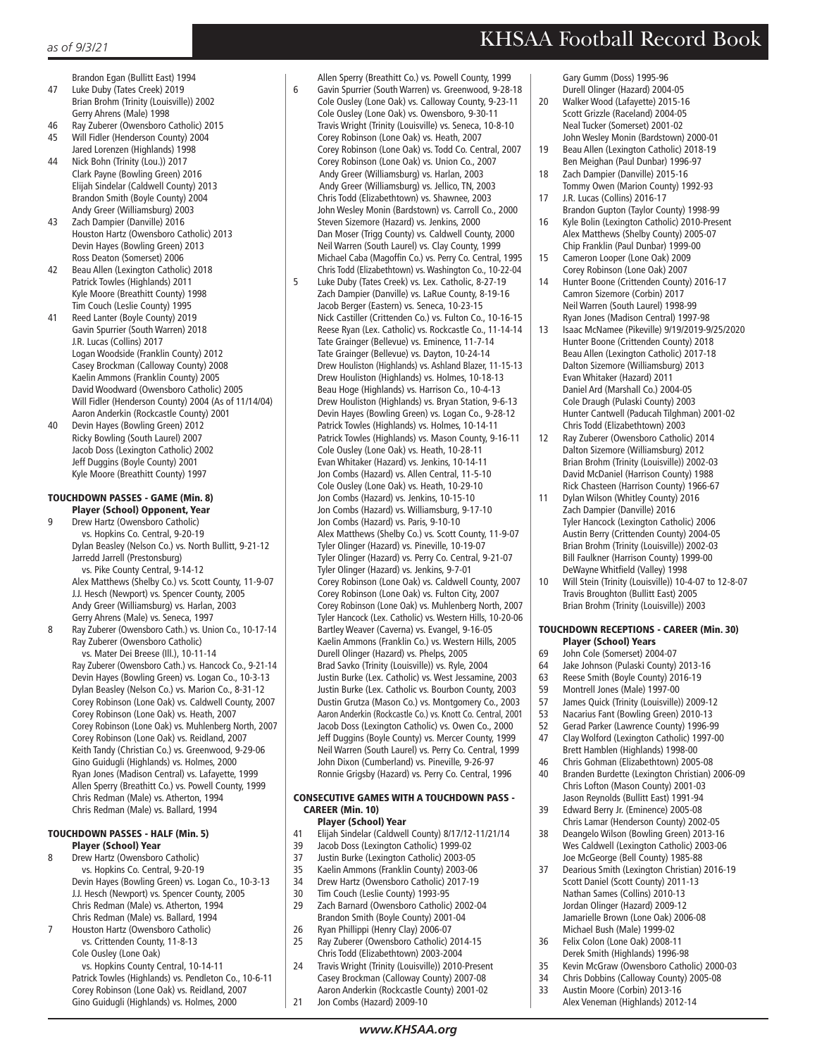- Brandon Egan (Bullitt East) 1994<br>47 Luke Duby (Tates Creek) 2019 Luke Duby (Tates Creek) 2019 Brian Brohm (Trinity (Louisville)) 2002
- Gerry Ahrens (Male) 1998 46 Ray Zuberer (Owensboro Catholic) 2015<br>45 Will Fidler (Henderson County) 2004
- 45 Will Fidler (Henderson County) 2004 Jared Lorenzen (Highlands) 1998
- 44 Nick Bohn (Trinity (Lou.)) 2017 Clark Payne (Bowling Green) 2016 Elijah Sindelar (Caldwell County) 2013 Brandon Smith (Boyle County) 2004 Andy Greer (Williamsburg) 2003
- 43 Zach Dampier (Danville) 2016 Houston Hartz (Owensboro Catholic) 2013 Devin Hayes (Bowling Green) 2013 Ross Deaton (Somerset) 2006
- 42 Beau Allen (Lexington Catholic) 2018 Patrick Towles (Highlands) 2011 Kyle Moore (Breathitt County) 1998 Tim Couch (Leslie County) 1995
- 41 Reed Lanter (Boyle County) 2019 Gavin Spurrier (South Warren) 2018 J.R. Lucas (Collins) 2017 Logan Woodside (Franklin County) 2012 Casey Brockman (Calloway County) 2008 Kaelin Ammons (Franklin County) 2005 David Woodward (Owensboro Catholic) 2005 Will Fidler (Henderson County) 2004 (As of 11/14/04) Aaron Anderkin (Rockcastle County) 2001<br>40 Devin Haves (Bowling Green) 2012
- Devin Hayes (Bowling Green) 2012 Ricky Bowling (South Laurel) 2007 Jacob Doss (Lexington Catholic) 2002 Jeff Duggins (Boyle County) 2001 Kyle Moore (Breathitt County) 1997

#### TOUCHDOWN PASSES - GAME (Min. 8) Player (School) Opponent, Year

- Drew Hartz (Owensboro Catholic) vs. Hopkins Co. Central, 9-20-19 Dylan Beasley (Nelson Co.) vs. North Bullitt, 9-21-12 Jarredd Jarrell (Prestonsburg) vs. Pike County Central, 9-14-12 Alex Matthews (Shelby Co.) vs. Scott County, 11-9-07 J.J. Hesch (Newport) vs. Spencer County, 2005 Andy Greer (Williamsburg) vs. Harlan, 2003
- Gerry Ahrens (Male) vs. Seneca, 1997 8 Ray Zuberer (Owensboro Cath.) vs. Union Co., 10-17-14 Ray Zuberer (Owensboro Catholic)

 vs. Mater Dei Breese (Ill.), 10-11-14 Ray Zuberer (Owensboro Cath.) vs. Hancock Co., 9-21-14 Devin Hayes (Bowling Green) vs. Logan Co., 10-3-13 Dylan Beasley (Nelson Co.) vs. Marion Co., 8-31-12 Corey Robinson (Lone Oak) vs. Caldwell County, 2007 Corey Robinson (Lone Oak) vs. Heath, 2007 Corey Robinson (Lone Oak) vs. Muhlenberg North, 2007 Corey Robinson (Lone Oak) vs. Reidland, 2007 Keith Tandy (Christian Co.) vs. Greenwood, 9-29-06 Gino Guidugli (Highlands) vs. Holmes, 2000 Ryan Jones (Madison Central) vs. Lafayette, 1999 Allen Sperry (Breathitt Co.) vs. Powell County, 1999 Chris Redman (Male) vs. Atherton, 1994 Chris Redman (Male) vs. Ballard, 1994

#### TOUCHDOWN PASSES - HALF (Min. 5) Player (School) Year

- 8 Drew Hartz (Owensboro Catholic) vs. Hopkins Co. Central, 9-20-19 Devin Hayes (Bowling Green) vs. Logan Co., 10-3-13 J.J. Hesch (Newport) vs. Spencer County, 2005 Chris Redman (Male) vs. Atherton, 1994 Chris Redman (Male) vs. Ballard, 1994
- 7 Houston Hartz (Owensboro Catholic) vs. Crittenden County, 11-8-13 Cole Ousley (Lone Oak)

 vs. Hopkins County Central, 10-14-11 Patrick Towles (Highlands) vs. Pendleton Co., 10-6-11 Corey Robinson (Lone Oak) vs. Reidland, 2007 Gino Guidugli (Highlands) vs. Holmes, 2000

- Allen Sperry (Breathitt Co.) vs. Powell County, 1999<br>6 Gavin Spurrier (South Warren) vs. Greenwood, 9-28-6 Gavin Spurrier (South Warren) vs. Greenwood, 9-28-18 Cole Ousley (Lone Oak) vs. Calloway County, 9-23-11 Cole Ousley (Lone Oak) vs. Owensboro, 9-30-11 Travis Wright (Trinity (Louisville) vs. Seneca, 10-8-10 Corey Robinson (Lone Oak) vs. Heath, 2007 Corey Robinson (Lone Oak) vs. Todd Co. Central, 2007 Corey Robinson (Lone Oak) vs. Union Co., 2007 Andy Greer (Williamsburg) vs. Harlan, 2003 Andy Greer (Williamsburg) vs. Jellico, TN, 2003 Chris Todd (Elizabethtown) vs. Shawnee, 2003 John Wesley Monin (Bardstown) vs. Carroll Co., 2000 Steven Sizemore (Hazard) vs. Jenkins, 2000 Dan Moser (Trigg County) vs. Caldwell County, 2000 Neil Warren (South Laurel) vs. Clay County, 1999 Michael Caba (Magoffin Co.) vs. Perry Co. Central, 1995 Chris Todd (Elizabethtown) vs. Washington Co., 10-22-04
- 5 Luke Duby (Tates Creek) vs. Lex. Catholic, 8-27-19 Zach Dampier (Danville) vs. LaRue County, 8-19-16 Jacob Berger (Eastern) vs. Seneca, 10-23-15 Nick Castiller (Crittenden Co.) vs. Fulton Co., 10-16-15 Reese Ryan (Lex. Catholic) vs. Rockcastle Co., 11-14-14 Tate Grainger (Bellevue) vs. Eminence, 11-7-14 Tate Grainger (Bellevue) vs. Dayton, 10-24-14 Drew Houliston (Highlands) vs. Ashland Blazer, 11-15-13 Drew Houliston (Highlands) vs. Holmes, 10-18-13 Beau Hoge (Highlands) vs. Harrison Co., 10-4-13 Drew Houliston (Highlands) vs. Bryan Station, 9-6-13 Devin Hayes (Bowling Green) vs. Logan Co., 9-28-12 Patrick Towles (Highlands) vs. Holmes, 10-14-11 Patrick Towles (Highlands) vs. Mason County, 9-16-11 Cole Ousley (Lone Oak) vs. Heath, 10-28-11 Evan Whitaker (Hazard) vs. Jenkins, 10-14-11 Jon Combs (Hazard) vs. Allen Central, 11-5-10 Cole Ousley (Lone Oak) vs. Heath, 10-29-10 Jon Combs (Hazard) vs. Jenkins, 10-15-10 Jon Combs (Hazard) vs. Williamsburg, 9-17-10 Jon Combs (Hazard) vs. Paris, 9-10-10 Alex Matthews (Shelby Co.) vs. Scott County, 11-9-07 Tyler Olinger (Hazard) vs. Pineville, 10-19-07 Tyler Olinger (Hazard) vs. Perry Co. Central, 9-21-07 Tyler Olinger (Hazard) vs. Jenkins, 9-7-01 Corey Robinson (Lone Oak) vs. Caldwell County, 2007 Corey Robinson (Lone Oak) vs. Fulton City, 2007 Corey Robinson (Lone Oak) vs. Muhlenberg North, 2007 Tyler Hancock (Lex. Catholic) vs. Western Hills, 10-20-06 Bartley Weaver (Caverna) vs. Evangel, 9-16-05 Kaelin Ammons (Franklin Co.) vs. Western Hills, 2005 Durell Olinger (Hazard) vs. Phelps, 2005 Brad Savko (Trinity (Louisville)) vs. Ryle, 2004 Justin Burke (Lex. Catholic) vs. West Jessamine, 2003 Justin Burke (Lex. Catholic vs. Bourbon County, 2003 Dustin Grutza (Mason Co.) vs. Montgomery Co., 2003 Aaron Anderkin (Rockcastle Co.) vs. Knott Co. Central, 2001 Jacob Doss (Lexington Catholic) vs. Owen Co., 2000 Jeff Duggins (Boyle County) vs. Mercer County, 1999 Neil Warren (South Laurel) vs. Perry Co. Central, 1999 John Dixon (Cumberland) vs. Pineville, 9-26-97 Ronnie Grigsby (Hazard) vs. Perry Co. Central, 1996

### CONSECUTIVE GAMES WITH A TOUCHDOWN PASS - CAREER (Min. 10)

- **Player (School) Year**<br>41 Flijah Sindelar (Caldwell 41 Elijah Sindelar (Caldwell County) 8/17/12-11/21/14
- 39 Jacob Doss (Lexington Catholic) 1999-02
- 37 Justin Burke (Lexington Catholic) 2003-05
- 35 Kaelin Ammons (Franklin County) 2003-06
- 34 Drew Hartz (Owensboro Catholic) 2017-19<br>30 Tim Couch (Leslie County) 1993-95
- 30 Tim Couch (Leslie County) 1993-95<br>29 Zach Barnard (Owensboro Catholic
- Zach Barnard (Owensboro Catholic) 2002-04 Brandon Smith (Boyle County) 2001-04<br>26 Ryan Phillinni (Henry Clay) 2006-07 26 Ryan Phillippi (Henry Clay) 2006-07
- 25 Ray Zuberer (Owensboro Catholic) 2014-15
- Chris Todd (Elizabethtown) 2003-2004<br>2010: Travis Wright (Trinity (Louisville)) 2010 Travis Wright (Trinity (Louisville)) 2010-Present Casey Brockman (Calloway County) 2007-08 Aaron Anderkin (Rockcastle County) 2001-02
- 21 Jon Combs (Hazard) 2009-10

# KHSAA Football Record Book

 Gary Gumm (Doss) 1995-96 Durell Olinger (Hazard) 2004-05<br>2015-11 Politics Wood (Lafavette) 2015-11 20 Walker Wood (Lafayette) 2015-16 Scott Grizzle (Raceland) 2004-05 Neal Tucker (Somerset) 2001-02 John Wesley Monin (Bardstown) 2000-01 19 Beau Allen (Lexington Catholic) 2018-19

- Ben Meighan (Paul Dunbar) 1996-97<br>18 Zach Dampier (Danville) 2015-16 Zach Dampier (Danville) 2015-16
- Tommy Owen (Marion County) 1992-93<br>17 B Lucas (Collins) 2016-17 17 J.R. Lucas (Collins) 2016-17
- Brandon Gupton (Taylor County) 1998-99 16 Kyle Bolin (Lexington Catholic) 2010-Present Alex Matthews (Shelby County) 2005-07 Chip Franklin (Paul Dunbar) 1999-00<br>15 Cameron Looper (Lone Oak) 2009 Cameron Looper (Lone Oak) 2009
- Corey Robinson (Lone Oak) 2007<br>14 Hunter Boone (Crittenden County
- 14 Hunter Boone (Crittenden County) 2016-17 Camron Sizemore (Corbin) 2017 Neil Warren (South Laurel) 1998-99 Ryan Jones (Madison Central) 1997-98
- 13 Isaac McNamee (Pikeville) 9/19/2019-9/25/2020 Hunter Boone (Crittenden County) 2018 Beau Allen (Lexington Catholic) 2017-18 Dalton Sizemore (Williamsburg) 2013 Evan Whitaker (Hazard) 2011 Daniel Ard (Marshall Co.) 2004-05 Cole Draugh (Pulaski County) 2003 Hunter Cantwell (Paducah Tilghman) 2001-02
- Chris Todd (Elizabethtown) 2003<br>12 Ray Zuberer (Owensboro Catholi 12 Ray Zuberer (Owensboro Catholic) 2014 Dalton Sizemore (Williamsburg) 2012 Brian Brohm (Trinity (Louisville)) 2002-03 David McDaniel (Harrison County) 1988
- Rick Chasteen (Harrison County) 1966-67<br>11 Dylan Wilson (Whitley County) 2016 Dylan Wilson (Whitley County) 2016 Zach Dampier (Danville) 2016 Tyler Hancock (Lexington Catholic) 2006 Austin Berry (Crittenden County) 2004-05 Brian Brohm (Trinity (Louisville)) 2002-03 Bill Faulkner (Harrison County) 1999-00 DeWayne Whitfield (Valley) 1998<br>10 Will Stein (Trinity (Louisville)) 10-
- 10 Will Stein (Trinity (Louisville)) 10-4-07 to 12-8-07 Travis Broughton (Bullitt East) 2005 Brian Brohm (Trinity (Louisville)) 2003

## TOUCHDOWN RECEPTIONS - CAREER (Min. 30) **Player (School) Years**<br>69 Iohn Cole (Somerset) 200

- 69 John Cole (Somerset) 2004-07<br>64 Jake Johnson (Pulaski County)
- Jake Johnson (Pulaski County) 2013-16
- 63 Reese Smith (Boyle County) 2016-19
- 59 Montrell Jones (Male) 1997-00<br>57 James Quick (Trinity (Louisville) 57 James Quick (Trinity (Louisville)) 2009-12
- 
- 53 Nacarius Fant (Bowling Green) 2010-13<br>52 Gerad Parker (Lawrence County) 1996-9 52 Gerad Parker (Lawrence County) 1996-99
- 47 Clay Wolford (Lexington Catholic) 1997-00
- Brett Hamblen (Highlands) 1998-00<br>46 Chris Gohman (Elizabethtown) 2005 46 Chris Gohman (Elizabethtown) 2005-08
- 40 Branden Burdette (Lexington Christian) 2006-09 Chris Lofton (Mason County) 2001-03 Jason Reynolds (Bullitt East) 1991-94
- 39 Edward Berry Jr. (Eminence) 2005-08 Chris Lamar (Henderson County) 2002-05<br>38 Deangelo Wilson (Bowling Green) 2013-16
- 38 Deangelo Wilson (Bowling Green) 2013-16 Wes Caldwell (Lexington Catholic) 2003-06 Joe McGeorge (Bell County) 1985-88
- 37 Dearious Smith (Lexington Christian) 2016-19 Scott Daniel (Scott County) 2011-13 Nathan Sames (Collins) 2010-13 Jordan Olinger (Hazard) 2009-12 Jamarielle Brown (Lone Oak) 2006-08 Michael Bush (Male) 1999-02
- 36 Felix Colon (Lone Oak) 2008-11
- Derek Smith (Highlands) 1996-98<br>35 Kevin McGraw (Owensboro Catho 35 Kevin McGraw (Owensboro Catholic) 2000-03
- 34 Chris Dobbins (Calloway County) 2005-08<br>33 Austin Moore (Corbin) 2013-16
	- 33 Austin Moore (Corbin) 2013-16
- Alex Veneman (Highlands) 2012-14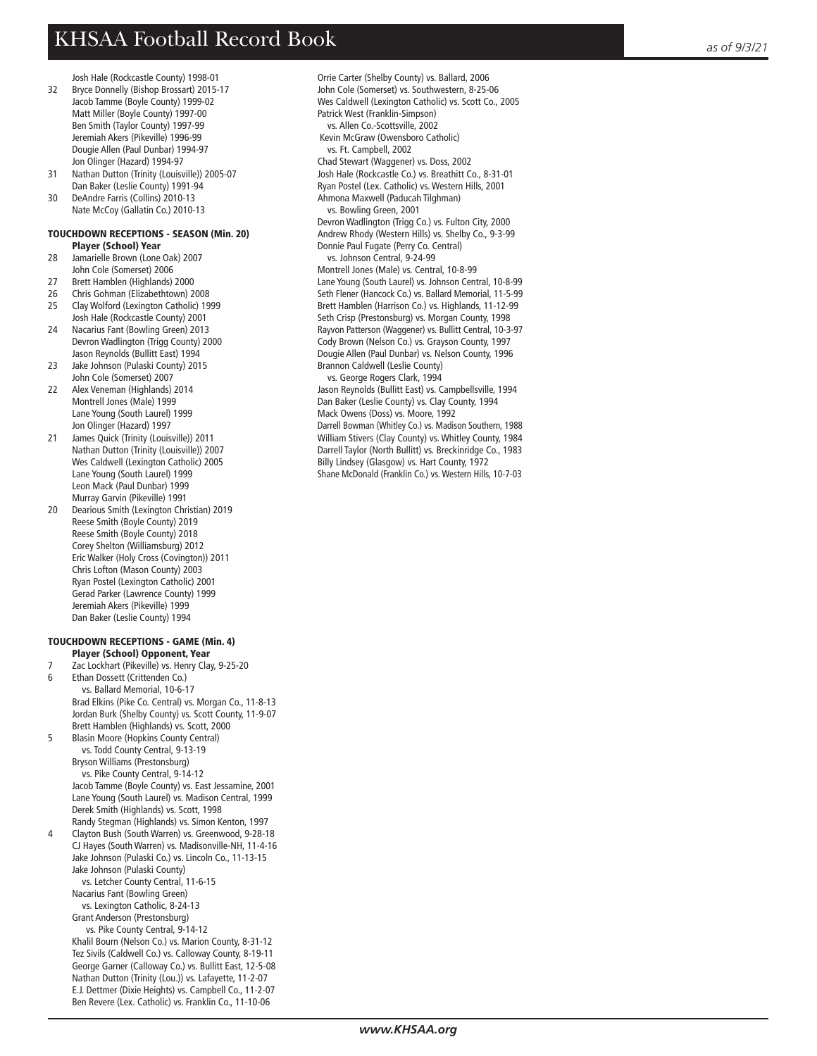Josh Hale (Rockcastle County) 1998-01 32 Bryce Donnelly (Bishop Brossart) 2015-17 Jacob Tamme (Boyle County) 1999-02 Matt Miller (Boyle County) 1997-00 Ben Smith (Taylor County) 1997-99 Jeremiah Akers (Pikeville) 1996-99 Dougie Allen (Paul Dunbar) 1994-97 Jon Olinger (Hazard) 1994-97<br>31 Nathan Dutton (Trinity (Louisy

- 31 Nathan Dutton (Trinity (Louisville)) 2005-07 Dan Baker (Leslie County) 1991-94<br>30 DeAndre Farris (Collins) 2010-13
- DeAndre Farris (Collins) 2010-13 Nate McCoy (Gallatin Co.) 2010-13

#### TOUCHDOWN RECEPTIONS - SEASON (Min. 20) Player (School) Year

- 28 Jamarielle Brown (Lone Oak) 2007 John Cole (Somerset) 2006
- 27 Brett Hamblen (Highlands) 2000
- 26 Chris Gohman (Elizabethtown) 2008
- 25 Clay Wolford (Lexington Catholic) 1999
- Josh Hale (Rockcastle County) 2001 24 Nacarius Fant (Bowling Green) 2013 Devron Wadlington (Trigg County) 2000 Jason Reynolds (Bullitt East) 1994
- 23 Jake Johnson (Pulaski County) 2015 John Cole (Somerset) 2007
- 22 Alex Veneman (Highlands) 2014 Montrell Jones (Male) 1999 Lane Young (South Laurel) 1999 Jon Olinger (Hazard) 1997<br>21 James Quick (Trinity (Louis
- James Quick (Trinity (Louisville)) 2011 Nathan Dutton (Trinity (Louisville)) 2007 Wes Caldwell (Lexington Catholic) 2005 Lane Young (South Laurel) 1999 Leon Mack (Paul Dunbar) 1999 Murray Garvin (Pikeville) 1991
- 20 Dearious Smith (Lexington Christian) 2019 Reese Smith (Boyle County) 2019 Reese Smith (Boyle County) 2018 Corey Shelton (Williamsburg) 2012 Eric Walker (Holy Cross (Covington)) 2011 Chris Lofton (Mason County) 2003 Ryan Postel (Lexington Catholic) 2001 Gerad Parker (Lawrence County) 1999 Jeremiah Akers (Pikeville) 1999 Dan Baker (Leslie County) 1994

#### TOUCHDOWN RECEPTIONS - GAME (Min. 4) Player (School) Opponent, Year

- 7 Zac Lockhart (Pikeville) vs. Henry Clay, 9-25-20
- 6 Ethan Dossett (Crittenden Co.) vs. Ballard Memorial, 10-6-17 Brad Elkins (Pike Co. Central) vs. Morgan Co., 11-8-13 Jordan Burk (Shelby County) vs. Scott County, 11-9-07 Brett Hamblen (Highlands) vs. Scott, 2000 5 Blasin Moore (Hopkins County Central)

 vs. Todd County Central, 9-13-19 Bryson Williams (Prestonsburg) vs. Pike County Central, 9-14-12 Jacob Tamme (Boyle County) vs. East Jessamine, 2001 Lane Young (South Laurel) vs. Madison Central, 1999

 Derek Smith (Highlands) vs. Scott, 1998 Randy Stegman (Highlands) vs. Simon Kenton, 1997 4 Clayton Bush (South Warren) vs. Greenwood, 9-28-18 CJ Hayes (South Warren) vs. Madisonville-NH, 11-4-16 Jake Johnson (Pulaski Co.) vs. Lincoln Co., 11-13-15 Jake Johnson (Pulaski County)

 vs. Letcher County Central, 11-6-15 Nacarius Fant (Bowling Green)

 vs. Lexington Catholic, 8-24-13 Grant Anderson (Prestonsburg)

 vs. Pike County Central, 9-14-12 Khalil Bourn (Nelson Co.) vs. Marion County, 8-31-12 Tez Sivils (Caldwell Co.) vs. Calloway County, 8-19-11 George Garner (Calloway Co.) vs. Bullitt East, 12-5-08 Nathan Dutton (Trinity (Lou.)) vs. Lafayette, 11-2-07 E.J. Dettmer (Dixie Heights) vs. Campbell Co., 11-2-07 Ben Revere (Lex. Catholic) vs. Franklin Co., 11-10-06

 Orrie Carter (Shelby County) vs. Ballard, 2006 John Cole (Somerset) vs. Southwestern, 8-25-06 Wes Caldwell (Lexington Catholic) vs. Scott Co., 2005 Patrick West (Franklin-Simpson) vs. Allen Co.-Scottsville, 2002 Kevin McGraw (Owensboro Catholic) vs. Ft. Campbell, 2002 Chad Stewart (Waggener) vs. Doss, 2002 Josh Hale (Rockcastle Co.) vs. Breathitt Co., 8-31-01 Ryan Postel (Lex. Catholic) vs. Western Hills, 2001 Ahmona Maxwell (Paducah Tilghman) vs. Bowling Green, 2001 Devron Wadlington (Trigg Co.) vs. Fulton City, 2000 Andrew Rhody (Western Hills) vs. Shelby Co., 9-3-99 Donnie Paul Fugate (Perry Co. Central) vs. Johnson Central, 9-24-99 Montrell Jones (Male) vs. Central, 10-8-99 Lane Young (South Laurel) vs. Johnson Central, 10-8-99 Seth Flener (Hancock Co.) vs. Ballard Memorial, 11-5-99 Brett Hamblen (Harrison Co.) vs. Highlands, 11-12-99 Seth Crisp (Prestonsburg) vs. Morgan County, 1998 Rayvon Patterson (Waggener) vs. Bullitt Central, 10-3-97 Cody Brown (Nelson Co.) vs. Grayson County, 1997 Dougie Allen (Paul Dunbar) vs. Nelson County, 1996 Brannon Caldwell (Leslie County) vs. George Rogers Clark, 1994 Jason Reynolds (Bullitt East) vs. Campbellsville, 1994

 Dan Baker (Leslie County) vs. Clay County, 1994 Mack Owens (Doss) vs. Moore, 1992 Darrell Bowman (Whitley Co.) vs. Madison Southern, 1988 William Stivers (Clay County) vs. Whitley County, 1984 Darrell Taylor (North Bullitt) vs. Breckinridge Co., 1983 Billy Lindsey (Glasgow) vs. Hart County, 1972 Shane McDonald (Franklin Co.) vs. Western Hills, 10-7-03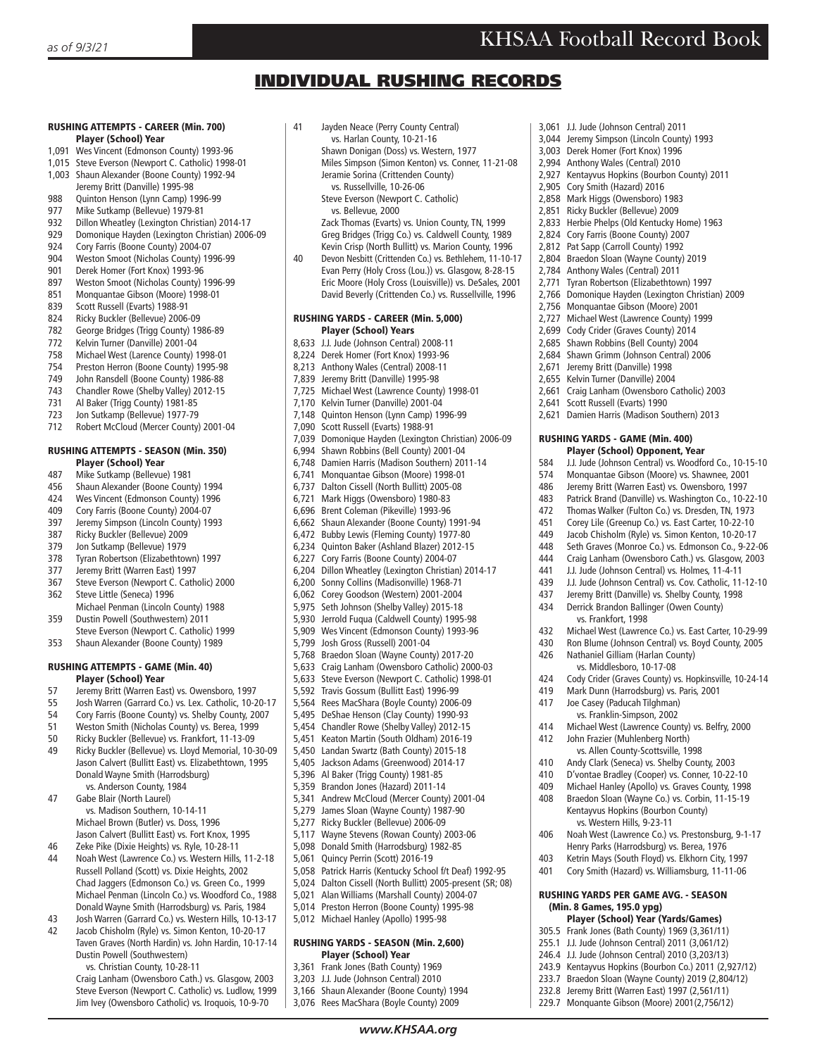3,061 J.J. Jude (Johnson Central) 2011 3,044 Jeremy Simpson (Lincoln County) 1993 3,003 Derek Homer (Fort Knox) 1996 2,994 Anthony Wales (Central) 2010

2,905 Cory Smith (Hazard) 2016 2,858 Mark Higgs (Owensboro) 1983 2,851 Ricky Buckler (Bellevue) 2009 2,833 Herbie Phelps (Old Kentucky Home) 1963 2,824 Cory Farris (Boone County) 2007 2,812 Pat Sapp (Carroll County) 1992 2,804 Braedon Sloan (Wayne County) 2019 2,784 Anthony Wales (Central) 2011 2,771 Tyran Robertson (Elizabethtown) 1997 2,766 Domonique Hayden (Lexington Christian) 2009 2,756 Monquantae Gibson (Moore) 2001 2,727 Michael West (Lawrence County) 1999 2,699 Cody Crider (Graves County) 2014 2,685 Shawn Robbins (Bell County) 2004 2,684 Shawn Grimm (Johnson Central) 2006 2,671 Jeremy Britt (Danville) 1998 2,655 Kelvin Turner (Danville) 2004

2,927 Kentayvus Hopkins (Bourbon County) 2011

2,661 Craig Lanham (Owensboro Catholic) 2003

2,621 Damien Harris (Madison Southern) 2013

J.J. Jude (Johnson Central) vs. Woodford Co., 10-15-10

Michael West (Lawrence Co.) vs. East Carter, 10-29-99 430 Ron Blume (Johnson Central) vs. Boyd County, 2005

424 Cody Crider (Graves County) vs. Hopkinsville, 10-24-14 Mark Dunn (Harrodsburg) vs. Paris, 2001

414 Michael West (Lawrence County) vs. Belfry, 2000<br>412 John Frazier (Muhlenberg North) John Frazier (Muhlenberg North) vs. Allen County-Scottsville, 1998 410 Andy Clark (Seneca) vs. Shelby County, 2003 410 D'vontae Bradley (Cooper) vs. Conner, 10-22-10 409 Michael Hanley (Apollo) vs. Graves County, 1998 408 Braedon Sloan (Wayne Co.) vs. Corbin, 11-15-19 Kentayvus Hopkins (Bourbon County)

406 Noah West (Lawrence Co.) vs. Prestonsburg, 9-1-17 Henry Parks (Harrodsburg) vs. Berea, 1976 403 Ketrin Mays (South Floyd) vs. Elkhorn City, 1997 401 Cory Smith (Hazard) vs. Williamsburg, 11-11-06 RUSHING YARDS PER GAME AVG. - SEASON

 Player (School) Year (Yards/Games) 305.5 Frank Jones (Bath County) 1969 (3,361/11) 255.1 J.J. Jude (Johnson Central) 2011 (3,061/12) 246.4 J.J. Jude (Johnson Central) 2010 (3,203/13) 243.9 Kentayvus Hopkins (Bourbon Co.) 2011 (2,927/12) 233.7 Braedon Sloan (Wayne County) 2019 (2,804/12) 232.8 Jeremy Britt (Warren East) 1997 (2,561/11) 229.7 Monquante Gibson (Moore) 2001(2,756/12)

574 Monquantae Gibson (Moore) vs. Shawnee, 2001<br>486 Heremy Britt (Warren East) vs. Owensboro, 1997 Jeremy Britt (Warren East) vs. Owensboro, 1997 483 Patrick Brand (Danville) vs. Washington Co., 10-22-10 472 Thomas Walker (Fulton Co.) vs. Dresden, TN, 1973 451 Corey Lile (Greenup Co.) vs. East Carter, 10-22-10<br>449 Jacob Chisholm (Ryle) vs. Simon Kenton, 10-20-17 Jacob Chisholm (Ryle) vs. Simon Kenton, 10-20-17 448 Seth Graves (Monroe Co.) vs. Edmonson Co., 9-22-06 444 Craig Lanham (Owensboro Cath.) vs. Glasgow, 2003 J.J. Jude (Johnson Central) vs. Holmes, 11-4-11 439 J.J. Jude (Johnson Central) vs. Cov. Catholic, 11-12-10 437 Jeremy Britt (Danville) vs. Shelby County, 1998<br>434 Derrick Brandon Ballinger (Owen County) Derrick Brandon Ballinger (Owen County)

RUSHING YARDS - GAME (Min. 400) **Player (School) Opponent, Year**<br>**11 Jude (Johnson Central) vs** Woodfo

2,641 Scott Russell (Evarts) 1990

vs. Frankfort, 1998<br>Michael West (Lawrend

426 Nathaniel Gilliam (Harlan County) vs. Middlesboro, 10-17-08

417 Joe Casey (Paducah Tilghman) vs. Franklin-Simpson, 2002<br>414 Michael West (Lawrence Cour

vs. Western Hills, 9-23-11<br>A06 Noah West (Lawrence Co)

(Min. 8 Games, 195.0 ypg)

## INDIVIDUAL RUSHING RECORDS

#### RUSHING ATTEMPTS - CAREER (Min. 700) Player (School) Year

- 1,091 Wes Vincent (Edmonson County) 1993-96
- 1,015 Steve Everson (Newport C. Catholic) 1998-01
- 1,003 Shaun Alexander (Boone County) 1992-94 **Jeremy Britt (Danville) 1995-98**<br>1 988 Ouinton Henson (Jynn Camp)
- 
- 988 Quinton Henson (Lynn Camp) 1996-99<br>977 Mike Sutkamp (Bellevue) 1979-81
- 977 Mike Sutkamp (Bellevue) 1979-81<br>932 Dillon Wheatley (Lexington Christi Dillon Wheatley (Lexington Christian) 2014-17
- 929 Domonique Hayden (Lexington Christian) 2006-09
- 924 Cory Farris (Boone County) 2004-07
- 904 Weston Smoot (Nicholas County) 1996-99<br>901 Derek Homer (Fort Knox) 1993-96
- 901 Derek Homer (Fort Knox) 1993-96<br>897 Weston Smoot (Nicholas County)
- 897 Weston Smoot (Nicholas County) 1996-99
- 851 Monquantae Gibson (Moore) 1998-01<br>839 Scott Russell (Evarts) 1988-91
- Scott Russell (Evarts) 1988-91
- 824 Ricky Buckler (Bellevue) 2006-09
- 782 George Bridges (Trigg County) 1986-89<br>772 Kelvin Turner (Danville) 2001-04
- Kelvin Turner (Danville) 2001-04
- 758 Michael West (Larence County) 1998-01
- Preston Herron (Boone County) 1995-98
- 749 John Ransdell (Boone County) 1986-88
- 743 Chandler Rowe (Shelby Valley) 2012-15<br>731 Al Baker (Trigg County) 1981-85
- 
- 731 Al Baker (Trigg County) 1981-85<br>723 Jon Sutkamp (Bellevue) 1977-79 Jon Sutkamp (Bellevue) 1977-79
- 712 Robert McCloud (Mercer County) 2001-04

## RUSHING ATTEMPTS - SEASON (Min. 350)

- **Player (School) Year**<br>A87 Mike Sutkamp (Bellevue
- 487 Mike Sutkamp (Bellevue) 1981 Shaun Alexander (Boone County) 1994
- 424 Wes Vincent (Edmonson County) 1996
- 409 Cory Farris (Boone County) 2004-07
- 
- 397 Jeremy Simpson (Lincoln County) 1993<br>387 Ricky Buckler (Bellevue) 2009 387 Ricky Buckler (Bellevue) 2009
- 379 Jon Sutkamp (Bellevue) 1979
- 
- 378 Tyran Robertson (Elizabethtown) 1997<br>377 Ieremy Britt (Warren East) 1997 Jeremy Britt (Warren East) 1997
- 367 Steve Everson (Newport C. Catholic) 2000
- 362 Steve Little (Seneca) 1996
- Michael Penman (Lincoln County) 1988 359 Dustin Powell (Southwestern) 2011
- Steve Everson (Newport C. Catholic) 1999
- 353 Shaun Alexander (Boone County) 1989

## RUSHING ATTEMPTS - GAME (Min. 40)

- Player (School) Year
- 57 Jeremy Britt (Warren East) vs. Owensboro, 1997
- 55 Josh Warren (Garrard Co.) vs. Lex. Catholic, 10-20-17
- 54 Cory Farris (Boone County) vs. Shelby County, 2007<br>51 Weston Smith (Nicholas County) vs. Berea, 1999
- 51 Weston Smith (Nicholas County) vs. Berea, 1999
- 50 Ricky Buckler (Bellevue) vs. Frankfort, 11-13-09
- 49 Ricky Buckler (Bellevue) vs. Lloyd Memorial, 10-30-09 Jason Calvert (Bullitt East) vs. Elizabethtown, 1995 Donald Wayne Smith (Harrodsburg) vs. Anderson County, 1984
- 47 Gabe Blair (North Laurel) vs. Madison Southern, 10-14-11 Michael Brown (Butler) vs. Doss, 1996 Jason Calvert (Bullitt East) vs. Fort Knox, 1995
- 46 Zeke Pike (Dixie Heights) vs. Ryle, 10-28-11
- 44 Noah West (Lawrence Co.) vs. Western Hills, 11-2-18 Russell Polland (Scott) vs. Dixie Heights, 2002 Chad Jaggers (Edmonson Co.) vs. Green Co., 1999 Michael Penman (Lincoln Co.) vs. Woodford Co., 1988 Donald Wayne Smith (Harrodsburg) vs. Paris, 1984
- 43 Josh Warren (Garrard Co.) vs. Western Hills, 10-13-17 Jacob Chisholm (Ryle) vs. Simon Kenton, 10-20-17
- Taven Graves (North Hardin) vs. John Hardin, 10-17-14 Dustin Powell (Southwestern)
	- vs. Christian County, 10-28-11
	- Craig Lanham (Owensboro Cath.) vs. Glasgow, 2003 Steve Everson (Newport C. Catholic) vs. Ludlow, 1999 Jim Ivey (Owensboro Catholic) vs. Iroquois, 10-9-70
- 41 Jayden Neace (Perry County Central)
	- vs. Harlan County, 10-21-16 Shawn Donigan (Doss) vs. Western, 1977
		- Miles Simpson (Simon Kenton) vs. Conner, 11-21-08
		- Jeramie Sorina (Crittenden County)
		- vs. Russellville, 10-26-06 Steve Everson (Newport C. Catholic)
			- vs. Bellevue, 2000

 Zack Thomas (Evarts) vs. Union County, TN, 1999 Greg Bridges (Trigg Co.) vs. Caldwell County, 1989

Kevin Crisp (North Bullitt) vs. Marion County, 1996<br>40 Devon Nesbitt (Crittenden Co.) vs. Bethlehem 11-10-40 Devon Nesbitt (Crittenden Co.) vs. Bethlehem, 11-10-17 Evan Perry (Holy Cross (Lou.)) vs. Glasgow, 8-28-15 Eric Moore (Holy Cross (Louisville)) vs. DeSales, 2001 David Beverly (Crittenden Co.) vs. Russellville, 1996

#### RUSHING YARDS - CAREER (Min. 5,000) Player (School) Years

- 8,633 J.J. Jude (Johnson Central) 2008-11
- 8,224 Derek Homer (Fort Knox) 1993-96
- 8,213 Anthony Wales (Central) 2008-11
- 7,839 Jeremy Britt (Danville) 1995-98
- 7,725 Michael West (Lawrence County) 1998-01
- 7,170 Kelvin Turner (Danville) 2001-04
- 7,148 Quinton Henson (Lynn Camp) 1996-99
- 7,090 Scott Russell (Evarts) 1988-91
- 7,039 Domonique Hayden (Lexington Christian) 2006-09
- 6,994 Shawn Robbins (Bell County) 2001-04
- 6,748 Damien Harris (Madison Southern) 2011-14
- 6,741 Monquantae Gibson (Moore) 1998-01
- 6,737 Dalton Cissell (North Bullitt) 2005-08
- 6,721 Mark Higgs (Owensboro) 1980-83
- 6,696 Brent Coleman (Pikeville) 1993-96
- 6,662 Shaun Alexander (Boone County) 1991-94 6,472 Bubby Lewis (Fleming County) 1977-80
- 6,234 Quinton Baker (Ashland Blazer) 2012-15
- 6,227 Cory Farris (Boone County) 2004-07
- 6,204 Dillon Wheatley (Lexington Christian) 2014-17
- 6,200 Sonny Collins (Madisonville) 1968-71
- 6,062 Corey Goodson (Western) 2001-2004
- 5,975 Seth Johnson (Shelby Valley) 2015-18
- 5,930 Jerrold Fuqua (Caldwell County) 1995-98
- 5,909 Wes Vincent (Edmonson County) 1993-96
- 5,799 Josh Gross (Russell) 2001-04
- 5,768 Braedon Sloan (Wayne County) 2017-20
- 5,633 Craig Lanham (Owensboro Catholic) 2000-03
- 5,633 Steve Everson (Newport C. Catholic) 1998-01
- 5,592 Travis Gossum (Bullitt East) 1996-99
- 5,564 Rees MacShara (Boyle County) 2006-09 5,495 DeShae Henson (Clay County) 1990-93
- 5,454 Chandler Rowe (Shelby Valley) 2012-15
- 5,451 Keaton Martin (South Oldham) 2016-19
- 5,450 Landan Swartz (Bath County) 2015-18
- 5,405 Jackson Adams (Greenwood) 2014-17

5,396 Al Baker (Trigg County) 1981-85 5,359 Brandon Jones (Hazard) 2011-14 5,341 Andrew McCloud (Mercer County) 2001-04 5,279 James Sloan (Wayne County) 1987-90 5,277 Ricky Buckler (Bellevue) 2006-09 5,117 Wayne Stevens (Rowan County) 2003-06 5,098 Donald Smith (Harrodsburg) 1982-85 5,061 Quincy Perrin (Scott) 2016-19

*www.KHSAA.org*

5,058 Patrick Harris (Kentucky School f/t Deaf) 1992-95 5,024 Dalton Cissell (North Bullitt) 2005-present (SR; 08) 5,021 Alan Williams (Marshall County) 2004-07 5,014 Preston Herron (Boone County) 1995-98 5,012 Michael Hanley (Apollo) 1995-98 RUSHING YARDS - SEASON (Min. 2,600) Player (School) Year 3,361 Frank Jones (Bath County) 1969 3,203 J.J. Jude (Johnson Central) 2010 3,166 Shaun Alexander (Boone County) 1994 3,076 Rees MacShara (Boyle County) 2009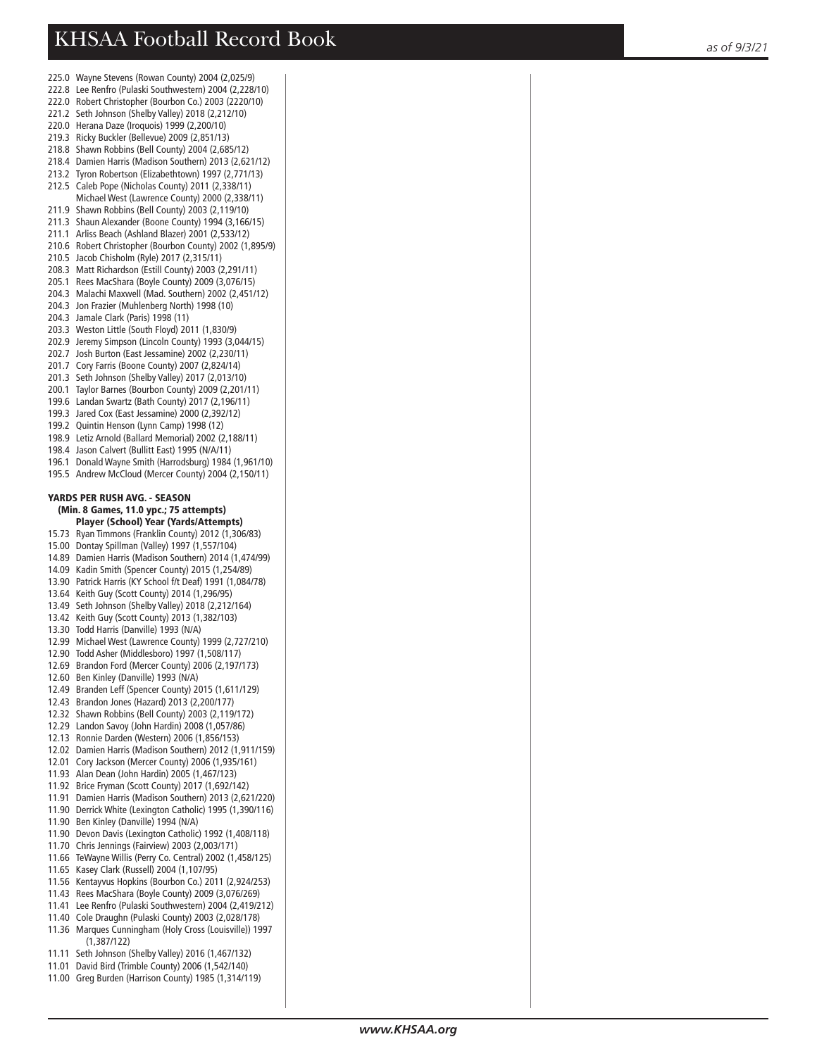- 225.0 Wayne Stevens (Rowan County) 2004 (2,025/9) 222.8 Lee Renfro (Pulaski Southwestern) 2004 (2,228/10) 222.0 Robert Christopher (Bourbon Co.) 2003 (2220/10) 221.2 Seth Johnson (Shelby Valley) 2018 (2,212/10) 220.0 Herana Daze (Iroquois) 1999 (2,200/10) 219.3 Ricky Buckler (Bellevue) 2009 (2,851/13) 218.8 Shawn Robbins (Bell County) 2004 (2,685/12)
- 218.4 Damien Harris (Madison Southern) 2013 (2,621/12)
- 213.2 Tyron Robertson (Elizabethtown) 1997 (2,771/13)
- 212.5 Caleb Pope (Nicholas County) 2011 (2,338/11) Michael West (Lawrence County) 2000 (2,338/11)
- 211.9 Shawn Robbins (Bell County) 2003 (2,119/10)
- 211.3 Shaun Alexander (Boone County) 1994 (3,166/15)
- 211.1 Arliss Beach (Ashland Blazer) 2001 (2,533/12)
- 210.6 Robert Christopher (Bourbon County) 2002 (1,895/9)
- 210.5 Jacob Chisholm (Ryle) 2017 (2,315/11)
- 208.3 Matt Richardson (Estill County) 2003 (2,291/11)
- 205.1 Rees MacShara (Boyle County) 2009 (3,076/15) 204.3 Malachi Maxwell (Mad. Southern) 2002 (2,451/12)
- 204.3 Jon Frazier (Muhlenberg North) 1998 (10)
- 204.3 Jamale Clark (Paris) 1998 (11)
- 203.3 Weston Little (South Floyd) 2011 (1,830/9)
- 202.9 Jeremy Simpson (Lincoln County) 1993 (3,044/15)
- 202.7 Josh Burton (East Jessamine) 2002 (2,230/11)
- 201.7 Cory Farris (Boone County) 2007 (2,824/14)
- 201.3 Seth Johnson (Shelby Valley) 2017 (2,013/10)
- 200.1 Taylor Barnes (Bourbon County) 2009 (2,201/11)
- 199.6 Landan Swartz (Bath County) 2017 (2,196/11)
- 199.3 Jared Cox (East Jessamine) 2000 (2,392/12)
- 199.2 Quintin Henson (Lynn Camp) 1998 (12)
- 198.9 Letiz Arnold (Ballard Memorial) 2002 (2,188/11)
- 198.4 Jason Calvert (Bullitt East) 1995 (N/A/11)
- 196.1 Donald Wayne Smith (Harrodsburg) 1984 (1,961/10)
- 195.5 Andrew McCloud (Mercer County) 2004 (2,150/11)

### YARDS PER RUSH AVG. - SEASON

#### (Min. 8 Games, 11.0 ypc.; 75 attempts) Player (School) Year (Yards/Attempts)

- 
- 15.73 Ryan Timmons (Franklin County) 2012 (1,306/83)
- 15.00 Dontay Spillman (Valley) 1997 (1,557/104)
- 14.89 Damien Harris (Madison Southern) 2014 (1,474/99) 14.09 Kadin Smith (Spencer County) 2015 (1,254/89)
- 13.90 Patrick Harris (KY School f/t Deaf) 1991 (1,084/78)
- 13.64 Keith Guy (Scott County) 2014 (1,296/95)
- 13.49 Seth Johnson (Shelby Valley) 2018 (2,212/164)
- 13.42 Keith Guy (Scott County) 2013 (1,382/103)
- 13.30 Todd Harris (Danville) 1993 (N/A)
- 12.99 Michael West (Lawrence County) 1999 (2,727/210)
- 12.90 Todd Asher (Middlesboro) 1997 (1,508/117)
- 12.69 Brandon Ford (Mercer County) 2006 (2,197/173)
- 12.60 Ben Kinley (Danville) 1993 (N/A)
- 12.49 Branden Leff (Spencer County) 2015 (1,611/129)
- 12.43 Brandon Jones (Hazard) 2013 (2,200/177)
- 12.32 Shawn Robbins (Bell County) 2003 (2,119/172)
- 12.29 Landon Savoy (John Hardin) 2008 (1,057/86)
- 12.13 Ronnie Darden (Western) 2006 (1,856/153)
- 12.02 Damien Harris (Madison Southern) 2012 (1,911/159)
- 12.01 Cory Jackson (Mercer County) 2006 (1,935/161)
- 11.93 Alan Dean (John Hardin) 2005 (1,467/123)
- 11.92 Brice Fryman (Scott County) 2017 (1,692/142)
- 11.91 Damien Harris (Madison Southern) 2013 (2,621/220)
- 11.90 Derrick White (Lexington Catholic) 1995 (1,390/116)
- 11.90 Ben Kinley (Danville) 1994 (N/A)
- 11.90 Devon Davis (Lexington Catholic) 1992 (1,408/118)
- 11.70 Chris Jennings (Fairview) 2003 (2,003/171)
- 11.66 TeWayne Willis (Perry Co. Central) 2002 (1,458/125)
- 11.65 Kasey Clark (Russell) 2004 (1,107/95)
- 11.56 Kentayvus Hopkins (Bourbon Co.) 2011 (2,924/253)
- 11.43 Rees MacShara (Boyle County) 2009 (3,076/269)
- 11.41 Lee Renfro (Pulaski Southwestern) 2004 (2,419/212)
- 11.40 Cole Draughn (Pulaski County) 2003 (2,028/178) 11.36 Marques Cunningham (Holy Cross (Louisville)) 1997
- (1,387/122)
- 11.11 Seth Johnson (Shelby Valley) 2016 (1,467/132)
- 11.01 David Bird (Trimble County) 2006 (1,542/140)
- 11.00 Greg Burden (Harrison County) 1985 (1,314/119)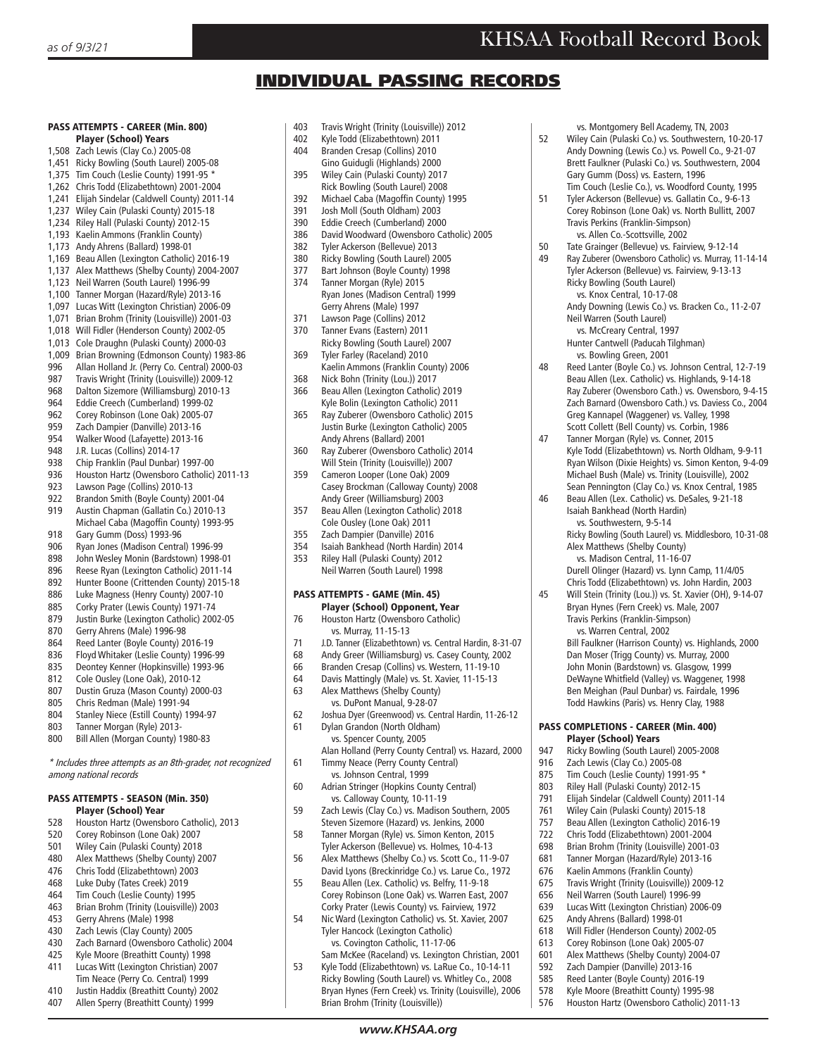vs. Montgomery Bell Academy, TN, 2003<br>52 Wiley Cain (Pulaski Co.) vs. Southwestern

 Gary Gumm (Doss) vs. Eastern, 1996 Tim Couch (Leslie Co.), vs. Woodford County, 1995<br>51 Tyler Ackerson (Bellevue) vs. Gallatin Co. 9-6-13 Tyler Ackerson (Bellevue) vs. Gallatin Co., 9-6-13 Corey Robinson (Lone Oak) vs. North Bullitt, 2007

 Travis Perkins (Franklin-Simpson) vs. Allen Co.-Scottsville, 2002 50 Tate Grainger (Bellevue) vs. Fairview, 9-12-14<br>49 Ray Zuberer (Owensboro Catholic) vs. Murray 1

> Ricky Bowling (South Laurel) vs. Knox Central, 10-17-08

 Neil Warren (South Laurel) vs. McCreary Central, 1997 Hunter Cantwell (Paducah Tilghman)

 Isaiah Bankhead (North Hardin) vs. Southwestern, 9-5-14

 Alex Matthews (Shelby County) vs. Madison Central, 11-16-07 Durell Olinger (Hazard) vs. Lynn Camp, 11/4/05 Chris Todd (Elizabethtown) vs. John Hardin, 2003 Will Stein (Trinity (Lou.)) vs. St. Xavier (OH), 9-14-07 Bryan Hynes (Fern Creek) vs. Male, 2007 Travis Perkins (Franklin-Simpson) vs. Warren Central, 2002

PASS COMPLETIONS - CAREER (Min. 400)

947 Ricky Bowling (South Laurel) 2005-2008

618 Will Fidler (Henderson County) 2002-05

576 Houston Hartz (Owensboro Catholic) 2011-13

613 Corey Robinson (Lone Oak) 2005-07<br>601 Alex Matthews (Shelby County) 200 601 Alex Matthews (Shelby County) 2004-07<br>592 Zach Damnier (Danville) 2013-16 Zach Dampier (Danville) 2013-16 585 Reed Lanter (Boyle County) 2016-19<br>578 Kyle Moore (Breathitt County) 1995-578 Kyle Moore (Breathitt County) 1995-98

**Player (School) Years**<br>947 Ricky Bowling (South Lau

916 Zach Lewis (Clay Co.) 2005-08 875 Tim Couch (Leslie County) 1991-95 \* 803 Riley Hall (Pulaski County) 2012-15 791 Elijah Sindelar (Caldwell County) 2011-14 761 Wiley Cain (Pulaski County) 2015-18 757 Beau Allen (Lexington Catholic) 2016-19 722 Chris Todd (Elizabethtown) 2001-2004 698 Brian Brohm (Trinity (Louisville) 2001-03<br>681 Tanner Morgan (Hazard/Ryle) 2013-16 681 Tanner Morgan (Hazard/Ryle) 2013-16<br>676 Kaelin Ammons (Franklin County) 676 Kaelin Ammons (Franklin County) 675 Travis Wright (Trinity (Louisville)) 2009-12<br>656 Neil Warren (South Laurel) 1996-99 656 Neil Warren (South Laurel) 1996-99 639 Lucas Witt (Lexington Christian) 2006-09 625 Andy Ahrens (Ballard) 1998-01<br>618 Will Fidler (Henderson County)

vs. Bowling Green, 2001<br>48 Reed Lanter (Boyle Co.) vs

52 Wiley Cain (Pulaski Co.) vs. Southwestern, 10-20-17 Andy Downing (Lewis Co.) vs. Powell Co., 9-21-07 Brett Faulkner (Pulaski Co.) vs. Southwestern, 2004

Ray Zuberer (Owensboro Catholic) vs. Murray, 11-14-14 Tyler Ackerson (Bellevue) vs. Fairview, 9-13-13

Andy Downing (Lewis Co.) vs. Bracken Co., 11-2-07

Reed Lanter (Boyle Co.) vs. Johnson Central, 12-7-19 Beau Allen (Lex. Catholic) vs. Highlands, 9-14-18 Ray Zuberer (Owensboro Cath.) vs. Owensboro, 9-4-15 Zach Barnard (Owensboro Cath.) vs. Daviess Co., 2004 Greg Kannapel (Waggener) vs. Valley, 1998 Scott Collett (Bell County) vs. Corbin, 1986<br>
17 Tanner Morgan (Ryle) vs. Conner 2015 Tanner Morgan (Ryle) vs. Conner, 2015 Kyle Todd (Elizabethtown) vs. North Oldham, 9-9-11 Ryan Wilson (Dixie Heights) vs. Simon Kenton, 9-4-09 Michael Bush (Male) vs. Trinity (Louisville), 2002 Sean Pennington (Clay Co.) vs. Knox Central, 1985<br>46 Beau Allen (Lex Catholic) vs. DeSales 9-21-18 Beau Allen (Lex. Catholic) vs. DeSales, 9-21-18

Ricky Bowling (South Laurel) vs. Middlesboro, 10-31-08

 Bill Faulkner (Harrison County) vs. Highlands, 2000 Dan Moser (Trigg County) vs. Murray, 2000 John Monin (Bardstown) vs. Glasgow, 1999 DeWayne Whitfield (Valley) vs. Waggener, 1998 Ben Meighan (Paul Dunbar) vs. Fairdale, 1996 Todd Hawkins (Paris) vs. Henry Clay, 1988

## INDIVIDUAL PASSING RECORDS

#### PASS ATTEMPTS - CAREER (Min. 800) Player (School) Years

- 1,508 Zach Lewis (Clay Co.) 2005-08
- 1,451 Ricky Bowling (South Laurel) 2005-08
- 1,375 Tim Couch (Leslie County) 1991-95 \*
- 1,262 Chris Todd (Elizabethtown) 2001-2004
- 1,241 Elijah Sindelar (Caldwell County) 2011-14
- 1,237 Wiley Cain (Pulaski County) 2015-18
- 1,234 Riley Hall (Pulaski County) 2012-15
- 1,193 Kaelin Ammons (Franklin County) 1,173 Andy Ahrens (Ballard) 1998-01
- 1,169 Beau Allen (Lexington Catholic) 2016-19
- 1,137 Alex Matthews (Shelby County) 2004-2007
- 1,123 Neil Warren (South Laurel) 1996-99
- 1,100 Tanner Morgan (Hazard/Ryle) 2013-16
- 1,097 Lucas Witt (Lexington Christian) 2006-09
- 1,071 Brian Brohm (Trinity (Louisville)) 2001-03
- 1,018 Will Fidler (Henderson County) 2002-05
- 1,013 Cole Draughn (Pulaski County) 2000-03
- 1,009 Brian Browning (Edmonson County) 1983-86
- Allan Holland Jr. (Perry Co. Central) 2000-03
- 987 Travis Wright (Trinity (Louisville)) 2009-12
- 968 Dalton Sizemore (Williamsburg) 2010-13<br>964 Eddie Creech (Cumberland) 1999-02
- Eddie Creech (Cumberland) 1999-02
- 962 Corey Robinson (Lone Oak) 2005-07<br>959 Zach Dampier (Danville) 2013-16
- Zach Dampier (Danville) 2013-16
- 954 Walker Wood (Lafayette) 2013-16<br>948 J.R. Lucas (Collins) 2014-17
- 948 J.R. Lucas (Collins) 2014-17<br>938 Chin Franklin (Paul Dunbar)
- 938 Chip Franklin (Paul Dunbar) 1997-00<br>936 Houston Hartz (Owenshoro Catholic)
- 936 Houston Hartz (Owensboro Catholic) 2011-13<br>923 Lawson Page (Collins) 2010-13
- Lawson Page (Collins) 2010-13
- 922 Brandon Smith (Boyle County) 2001-04
- 919 Austin Chapman (Gallatin Co.) 2010-13 Michael Caba (Magoffin County) 1993-95<br>918 Gary Gumm (Doss) 1993-96
- 918 Gary Gumm (Doss) 1993-96<br>906 Ryan Jones (Madison Centra 906 Ryan Jones (Madison Central) 1996-99
- 
- 898 John Wesley Monin (Bardstown) 1998-01<br>896 Beese Ryan (Lexington Catholic) 2011-14 Reese Ryan (Lexington Catholic) 2011-14
- 892 Hunter Boone (Crittenden County) 2015-18
- 
- 886 Luke Magness (Henry County) 2007-10<br>885 Corky Prater (Lewis County) 1971-74 885 Corky Prater (Lewis County) 1971-74
- 879 Justin Burke (Lexington Catholic) 2002-05<br>870 Gerry Ahrens (Male) 1996-98
- Gerry Ahrens (Male) 1996-98
- 864 Reed Lanter (Boyle County) 2016-19
- 836 Floyd Whitaker (Leslie County) 1996-99<br>835 Deontey Kenner (Honkinsville) 1993-96
- 835 Deontey Kenner (Hopkinsville) 1993-96
- 812 Cole Ousley (Lone Oak), 2010-12<br>807 Dustin Gruza (Mason County) 200
- 807 Dustin Gruza (Mason County) 2000-03
- 805 Chris Redman (Male) 1991-94
- 804 Stanley Niece (Estill County) 1994-97<br>803 Tanner Morgan (Ryle) 2013-
- 803 Tanner Morgan (Ryle) 2013-<br>800 Bill Allen (Morgan County) 1
- Bill Allen (Morgan County) 1980-83

\* Includes three attempts as an 8th-grader, not recognized among national records

#### PASS ATTEMPTS - SEASON (Min. 350) Player (School) Year

- 528 Houston Hartz (Owensboro Catholic), 2013<br>520 Corey Bobinson (Lone Oak) 2007
- 520 Corey Robinson (Lone Oak) 2007
- 501 Wiley Cain (Pulaski County) 2018<br>480 Alex Matthews (Shelby County) 20
- 480 Alex Matthews (Shelby County) 2007<br>476 Chris Todd (Elizabethtown) 2003
- 476 Chris Todd (Elizabethtown) 2003
- 468 Luke Duby (Tates Creek) 2019<br>464 Tim Couch (Leslie County) 199
- Tim Couch (Leslie County) 1995
- 463 Brian Brohm (Trinity (Louisville)) 2003
- 453 Gerry Ahrens (Male) 1998<br>430 Zach Lewis (Clay County) Zach Lewis (Clay County) 2005
- 
- 430 Zach Barnard (Owensboro Catholic) 2004<br>425 Kyle Moore (Breathitt County) 1998 Kyle Moore (Breathitt County) 1998
- 411 Lucas Witt (Lexington Christian) 2007
- Tim Neace (Perry Co. Central) 1999<br>410 Iustin Haddix (Breathitt County) 20 410 Justin Haddix (Breathitt County) 2002
- 407 Allen Sperry (Breathitt County) 1999
- 403 Travis Wright (Trinity (Louisville)) 2012<br>402 Kyle Todd (Elizabethtown) 2011
- Kyle Todd (Elizabethtown) 2011
- 404 Branden Cresap (Collins) 2010
- Gino Guidugli (Highlands) 2000<br>395 Wiley Cain (Pulaski County) 201 Wiley Cain (Pulaski County) 2017
- Rick Bowling (South Laurel) 2008<br>392 Michael Caba (Magoffin County)
- 392 Michael Caba (Magoffin County) 1995<br>391 Josh Moll (South Oldham) 2003
- 391 Josh Moll (South Oldham) 2003<br>390 Fddie Creech (Cumberland) 200
- 390 Eddie Creech (Cumberland) 2000<br>386 David Woodward (Owenshoro Cat 386 David Woodward (Owensboro Catholic) 2005<br>382 Tyler Ackerson (Bellevue) 2013
- 382 Tyler Ackerson (Bellevue) 2013<br>380 Ricky Bowling (South Laurel) 20
- 380 Ricky Bowling (South Laurel) 2005<br>377 Bart Johnson (Boyle County) 1998
- 377 Bart Johnson (Boyle County) 1998<br>374 Tanner Morgan (Ryle) 2015
- Tanner Morgan (Ryle) 2015 Ryan Jones (Madison Central) 1999 Gerry Ahrens (Male) 1997<br>371 Lawson Page (Collins) 201
- 371 Lawson Page (Collins) 2012
- Tanner Evans (Eastern) 2011 Ricky Bowling (South Laurel) 2007
- 369 Tyler Farley (Raceland) 2010 Kaelin Ammons (Franklin County) 2006
- 368 Nick Bohn (Trinity (Lou.)) 2017
- 366 Beau Allen (Lexington Catholic) 2019 Kyle Bolin (Lexington Catholic) 2011
- 365 Ray Zuberer (Owensboro Catholic) 2015 Justin Burke (Lexington Catholic) 2005 Andy Ahrens (Ballard) 2001<br>360 Ray Zuberer (Owensboro Ca
- 360 Ray Zuberer (Owensboro Catholic) 2014 Will Stein (Trinity (Louisville)) 2007<br>359 Cameron Looper (Lone Oak) 2009
- Cameron Looper (Lone Oak) 2009 Casey Brockman (Calloway County) 2008 Andy Greer (Williamsburg) 2003
- 357 Beau Allen (Lexington Catholic) 2018 Cole Ousley (Lone Oak) 2011<br>2016 Zach Dampier (Danville) 2016
- 355 Zach Dampier (Danville) 2016<br>354 Isaiah Bankhead (North Hardii
- 354 Isaiah Bankhead (North Hardin) 2014
- 353 Riley Hall (Pulaski County) 2012 Neil Warren (South Laurel) 1998

#### PASS ATTEMPTS - GAME (Min. 45) Player (School) Opponent, Year

- 76 Houston Hartz (Owensboro Catholic) vs. Murray, 11-15-13
- 
- 71 J.D. Tanner (Elizabethtown) vs. Central Hardin, 8-31-07
- 68 Andy Greer (Williamsburg) vs. Casey County, 2002 Branden Cresap (Collins) vs. Western, 11-19-10
- 
- 64 Davis Mattingly (Male) vs. St. Xavier, 11-15-13 Alex Matthews (Shelby County)
- 

vs. Johnson Central, 1999<br>60 Adrian Stringer (Hopkins Cou

vs. Calloway County, 10-11-19<br>Zach Lewis (Clav Co.) vs. Madisor

vs. DuPont Manual, 9-28-07<br>62 Ioshua Dver (Greenwood) vs. Ce Joshua Dyer (Greenwood) vs. Central Hardin, 11-26-12 61 Dylan Grandon (North Oldham) vs. Spencer County, 2005

Alan Holland (Perry County Central) vs. Hazard, 2000<br>61 Timmy Neace (Perry County Central) Timmy Neace (Perry County Central)

Zach Lewis (Clay Co.) vs. Madison Southern, 2005

Adrian Stringer (Hopkins County Central)

Steven Sizemore (Hazard) vs. Jenkins, 2000<br>58 Tanner Morgan (Ryle) vs. Simon Kenton, 201 58 Tanner Morgan (Ryle) vs. Simon Kenton, 2015 Tyler Ackerson (Bellevue) vs. Holmes, 10-4-13<br>56 Alex Matthews (Shelby Co.) vs. Scott Co., 11-9 Alex Matthews (Shelby Co.) vs. Scott Co., 11-9-07 David Lyons (Breckinridge Co.) vs. Larue Co., 1972

55 Beau Allen (Lex. Catholic) vs. Belfry, 11-9-18 Corey Robinson (Lone Oak) vs. Warren East, 2007

 Corky Prater (Lewis County) vs. Fairview, 1972 Nic Ward (Lexington Catholic) vs. St. Xavier, 2007

 Tyler Hancock (Lexington Catholic) vs. Covington Catholic, 11-17-06 Sam McKee (Raceland) vs. Lexington Christian, 2001<br>53 Kyle Todd (Flizabethtown) vs. LaRue Co. 10-14-11 Kyle Todd (Elizabethtown) vs. LaRue Co., 10-14-11 Ricky Bowling (South Laurel) vs. Whitley Co., 2008 Bryan Hynes (Fern Creek) vs. Trinity (Louisville), 2006

Brian Brohm (Trinity (Louisville))

*www.KHSAA.org*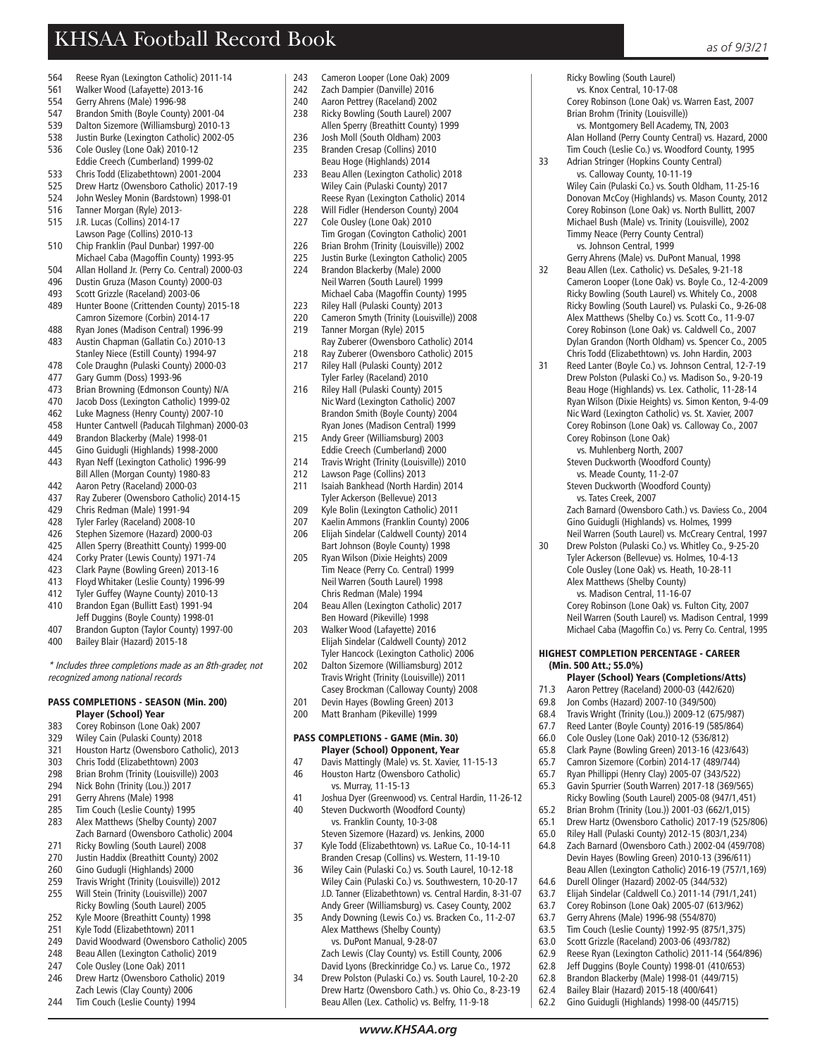Ricky Bowling (South Laurel) vs. Knox Central, 10-17-08

Brian Brohm (Trinity (Louisville))

Corey Robinson (Lone Oak) vs. Warren East, 2007

Wiley Cain (Pulaski Co.) vs. South Oldham, 11-25-16 Donovan McCoy (Highlands) vs. Mason County, 2012 Corey Robinson (Lone Oak) vs. North Bullitt, 2007 Michael Bush (Male) vs. Trinity (Louisville), 2002 Timmy Neace (Perry County Central) vs. Johnson Central, 1999 Gerry Ahrens (Male) vs. DuPont Manual, 1998<br>Beau Allen (Lex. Catholic) vs. DeSales. 9-21-18 Beau Allen (Lex. Catholic) vs. DeSales, 9-21-18 Cameron Looper (Lone Oak) vs. Boyle Co., 12-4-2009 Ricky Bowling (South Laurel) vs. Whitely Co., 2008 Ricky Bowling (South Laurel) vs. Pulaski Co., 9-26-08 Alex Matthews (Shelby Co.) vs. Scott Co., 11-9-07 Corey Robinson (Lone Oak) vs. Caldwell Co., 2007 Dylan Grandon (North Oldham) vs. Spencer Co., 2005

 Chris Todd (Elizabethtown) vs. John Hardin, 2003 Reed Lanter (Boyle Co.) vs. Johnson Central, 12-7-19 Drew Polston (Pulaski Co.) vs. Madison So., 9-20-19 Beau Hoge (Highlands) vs. Lex. Catholic, 11-28-14 Ryan Wilson (Dixie Heights) vs. Simon Kenton, 9-4-09 Nic Ward (Lexington Catholic) vs. St. Xavier, 2007 Corey Robinson (Lone Oak) vs. Calloway Co., 2007

Zach Barnard (Owensboro Cath.) vs. Daviess Co., 2004 Gino Guidugli (Highlands) vs. Holmes, 1999 Neil Warren (South Laurel) vs. McCreary Central, 1997 30 Drew Polston (Pulaski Co.) vs. Whitley Co., 9-25-20 Tyler Ackerson (Bellevue) vs. Holmes, 10-4-13 Cole Ousley (Lone Oak) vs. Heath, 10-28-11 Alex Matthews (Shelby County) vs. Madison Central, 11-16-07 Corey Robinson (Lone Oak) vs. Fulton City, 2007 Neil Warren (South Laurel) vs. Madison Central, 1999 Michael Caba (Magoffin Co.) vs. Perry Co. Central, 1995

HIGHEST COMPLETION PERCENTAGE - CAREER

Player (School) Years (Completions/Atts)<br>71.3 Aaron Pettrey (Raceland) 2000-03 (442/620) 71.3 Aaron Pettrey (Raceland) 2000-03 (442/620) 69.8 Jon Combs (Hazard) 2007-10 (349/500) 68.4 Travis Wright (Trinity (Lou.)) 2009-12 (675/987) 67.7 Reed Lanter (Boyle County) 2016-19 (585/864) 66.0 Cole Ousley (Lone Oak) 2010-12 (536/812) 65.8 Clark Payne (Bowling Green) 2013-16 (423/643) 65.7 Camron Sizemore (Corbin) 2014-17 (489/744) 65.7 Ryan Phillippi (Henry Clay) 2005-07 (343/522) 65.3 Gavin Spurrier (South Warren) 2017-18 (369/565) Ricky Bowling (South Laurel) 2005-08 (947/1,451) 65.2 Brian Brohm (Trinity (Lou.)) 2001-03 (662/1,015) 65.1 Drew Hartz (Owensboro Catholic) 2017-19 (525/806) 65.0 Riley Hall (Pulaski County) 2012-15 (803/1,234) 64.8 Zach Barnard (Owensboro Cath.) 2002-04 (459/708) Devin Hayes (Bowling Green) 2010-13 (396/611) Beau Allen (Lexington Catholic) 2016-19 (757/1,169)

64.6 Durell Olinger (Hazard) 2002-05 (344/532) 63.7 Elijah Sindelar (Caldwell Co.) 2011-14 (791/1,241) 63.7 Corey Robinson (Lone Oak) 2005-07 (613/962) 63.7 Gerry Ahrens (Male) 1996-98 (554/870)

63.5 Tim Couch (Leslie County) 1992-95 (875/1,375) 63.0 Scott Grizzle (Raceland) 2003-06 (493/782) 62.9 Reese Ryan (Lexington Catholic) 2011-14 (564/896) Jeff Duggins (Boyle County) 1998-01 (410/653) 62.8 Brandon Blackerby (Male) 1998-01 (449/715) 62.4 Bailey Blair (Hazard) 2015-18 (400/641) 62.2 Gino Guidugli (Highlands) 1998-00 (445/715)

(Min. 500 Att.; 55.0%)

 Corey Robinson (Lone Oak) vs. Muhlenberg North, 2007 Steven Duckworth (Woodford County) vs. Meade County, 11-2-07 Steven Duckworth (Woodford County) vs. Tates Creek, 2007

 vs. Montgomery Bell Academy, TN, 2003 Alan Holland (Perry County Central) vs. Hazard, 2000 Tim Couch (Leslie Co.) vs. Woodford County, 1995<br>33 Adrian Stringer (Hopkins County Central) Adrian Stringer (Hopkins County Central) vs. Calloway County, 10-11-19

- 564 Reese Ryan (Lexington Catholic) 2011-14
- 561 Walker Wood (Lafayette) 2013-16<br>554 Gerry Ahrens (Male) 1996-98
- 554 Gerry Ahrens (Male) 1996-98<br>547 Brandon Smith (Boyle County
- 547 Brandon Smith (Boyle County) 2001-04
- 539 Dalton Sizemore (Williamsburg) 2010-13
- 538 Justin Burke (Lexington Catholic) 2002-05
- 536 Cole Ousley (Lone Oak) 2010-12
- Eddie Creech (Cumberland) 1999-02<br>533 Chris Todd (Flizabethtown) 2001-200 533 Chris Todd (Elizabethtown) 2001-2004
- 
- 525 Drew Hartz (Owensboro Catholic) 2017-19<br>524 Lohn Wesley Monin (Bardstown) 1998-01 524 John Wesley Monin (Bardstown) 1998-01
- 516 Tanner Morgan (Ryle) 2013-
- 515 J.R. Lucas (Collins) 2014-17
- Lawson Page (Collins) 2010-13 510 Chip Franklin (Paul Dunbar) 1997-00
- Michael Caba (Magoffin County) 1993-95
- 504 Allan Holland Jr. (Perry Co. Central) 2000-03
- 496 Dustin Gruza (Mason County) 2000-03
- 493 Scott Grizzle (Raceland) 2003-06
- 489 Hunter Boone (Crittenden County) 2015-18 Camron Sizemore (Corbin) 2014-17
- 488 Ryan Jones (Madison Central) 1996-99 483 Austin Chapman (Gallatin Co.) 2010-13
- 
- Stanley Niece (Estill County) 1994-97<br>-478 Cole Draughn (Pulaski County) 2000 478 Cole Draughn (Pulaski County) 2000-03
- 477 Gary Gumm (Doss) 1993-96
- 
- 473 Brian Browning (Edmonson County) N/A<br>470 Lacob Doss (Lexington Catholic) 1999-02 Jacob Doss (Lexington Catholic) 1999-02
- 462 Luke Magness (Henry County) 2007-10
- 458 Hunter Cantwell (Paducah Tilghman) 2000-03
- Brandon Blackerby (Male) 1998-01
- 445 Gino Guidugli (Highlands) 1998-2000
- 443 Ryan Neff (Lexington Catholic) 1996-99 Bill Allen (Morgan County) 1980-83<br>442 Aaron Petry (Raceland) 2000-03
- 442 Aaron Petry (Raceland) 2000-03<br>437 Ray Zuberer (Owenshoro Cathol
- 437 Ray Zuberer (Owensboro Catholic) 2014-15
- 429 Chris Redman (Male) 1991-94<br>428 Tyler Farley (Raceland) 2008-1
- Tyler Farley (Raceland) 2008-10
- 426 Stephen Sizemore (Hazard) 2000-03
- 425 Allen Sperry (Breathitt County) 1999-00
- 424 Corky Prater (Lewis County) 1971-74<br>423 Clark Payne (Bowling Green) 2013-16
- 423 Clark Payne (Bowling Green) 2013-16<br>413 Floyd Whitaker (Leslie County) 1996-9
- 413 Floyd Whitaker (Leslie County) 1996-99
- 412 Tyler Guffey (Wayne County) 2010-13 410 Brandon Egan (Bullitt East) 1991-94
- Jeff Duggins (Boyle County) 1998-01<br>407 Rrandon Gunton (Taylor County) 199
- Brandon Gupton (Taylor County) 1997-00
- 400 Bailey Blair (Hazard) 2015-18

\* Includes three completions made as an 8th-grader, not recognized among national records

## PASS COMPLETIONS - SEASON (Min. 200) **Player (School) Year**<br>Rasa Corey Robinson (Lone C

- 383 Corey Robinson (Lone Oak) 2007
- 329 Wiley Cain (Pulaski County) 2018
- 321 Houston Hartz (Owensboro Catholic), 2013<br>303 Chris Todd (Elizabethtown) 2003
- 303 Chris Todd (Elizabethtown) 2003
- 298 Brian Brohm (Trinity (Louisville)) 2003<br>294 Nick Bohn (Trinity (Lou )) 2017
- Nick Bohn (Trinity (Lou.)) 2017
- 291 Gerry Ahrens (Male) 1998
- 285 Tim Couch (Leslie County) 1995
- 283 Alex Matthews (Shelby County) 2007 Zach Barnard (Owensboro Catholic) 2004<br>271 Ricky Bowling (South Laurel) 2008
- Ricky Bowling (South Laurel) 2008
- 270 Justin Haddix (Breathitt County) 2002
- 260 Gino Gudugli (Highlands) 2000
- 259 Travis Wright (Trinity (Louisville)) 2012<br>255 Will Stein (Trinity (Louisville)) 2007 255 Will Stein (Trinity (Louisville)) 2007
- Ricky Bowling (South Laurel) 2005
- 252 Kyle Moore (Breathitt County) 1998<br>251 Kyle Todd (Elizabethtown) 2011 Kyle Todd (Elizabethtown) 2011
- 
- 249 David Woodward (Owensboro Catholic) 2005
- 248 Beau Allen (Lexington Catholic) 2019<br>247 Cole Qusley (Lone Qak) 2011 Cole Ousley (Lone Oak) 2011
- 246 Drew Hartz (Owensboro Catholic) 2019
- Zach Lewis (Clay County) 2006
- 244 Tim Couch (Leslie County) 1994
- 243 Cameron Looper (Lone Oak) 2009<br>242 Zach Damnier (Danville) 2016
- 242 Zach Dampier (Danville) 2016<br>240 Aaron Pettrey (Raceland) 2002
- 240 Aaron Pettrey (Raceland) 2002<br>238 Ricky Bowling (South Laurel) 20
- 238 Ricky Bowling (South Laurel) 2007 Allen Sperry (Breathitt County) 1999<br>236 Losh Moll (South Oldham) 2003
- Josh Moll (South Oldham) 2003 235 Branden Cresap (Collins) 2010
- Beau Hoge (Highlands) 2014<br>Beau Allen (Lexington Cathol 233 Beau Allen (Lexington Catholic) 2018 Wiley Cain (Pulaski County) 2017
- Reese Ryan (Lexington Catholic) 2014 228 Will Fidler (Henderson County) 2004
- 227 Cole Ousley (Lone Oak) 2010 Tim Grogan (Covington Catholic) 2001
- 
- 226 Brian Brohm (Trinity (Louisville)) 2002<br>225 Lustin Burke (Lexington Catholic) 2005
- 225 Justin Burke (Lexington Catholic) 2005<br>224 Brandon Blackerby (Male) 2000 Brandon Blackerby (Male) 2000 Neil Warren (South Laurel) 1999 Michael Caba (Magoffin County) 1995<br>223 Riley Hall (Pulaski County) 2013
- 223 Riley Hall (Pulaski County) 2013<br>220 Cameron Smyth (Trinity (Louisvill
- 220 Cameron Smyth (Trinity (Louisville)) 2008 219 Tanner Morgan (Ryle) 2015
- 
- Ray Zuberer (Owensboro Catholic) 2014<br>218 Ray Zuberer (Owensboro Catholic) 2015 218 Ray Zuberer (Owensboro Catholic) 2015<br>217 Riley Hall (Pulaski County) 2012
- 217 Riley Hall (Pulaski County) 2012
- Tyler Farley (Raceland) 2010 216 Riley Hall (Pulaski County) 2015 Nic Ward (Lexington Catholic) 2007 Brandon Smith (Boyle County) 2004
- Ryan Jones (Madison Central) 1999<br>215 Andy Greer (Williamsburg) 2003 215 Andy Greer (Williamsburg) 2003
- Eddie Creech (Cumberland) 2000<br>214 Travis Wright (Trinity (Louisville))
- 214 Travis Wright (Trinity (Louisville)) 2010
- 212 Lawson Page (Collins) 2013
- 211 Isaiah Bankhead (North Hardin) 2014 Tyler Ackerson (Bellevue) 2013
- 209 Kyle Bolin (Lexington Catholic) 2011<br>207 Kaelin Ammons (Franklin County) 20
- 207 Kaelin Ammons (Franklin County) 2006 206 Elijah Sindelar (Caldwell County) 2014
- Bart Johnson (Boyle County) 1998<br>205 Ryan Wilson (Dixie Heights) 2009 205 Ryan Wilson (Dixie Heights) 2009
- Tim Neace (Perry Co. Central) 1999 Neil Warren (South Laurel) 1998 Chris Redman (Male) 1994
- 204 Beau Allen (Lexington Catholic) 2017 Ben Howard (Pikeville) 1998<br>2011 Walker Wood (Lafavette) 201
- 203 Walker Wood (Lafayette) 2016 Elijah Sindelar (Caldwell County) 2012
- Tyler Hancock (Lexington Catholic) 2006<br>2012 Dalton Sizemore (Williamsburg) 2012 202 Dalton Sizemore (Williamsburg) 2012 Travis Wright (Trinity (Louisville)) 2011 Casey Brockman (Calloway County) 2008<br>2012 Devin Haves (Bowling Green) 2013
- Devin Hayes (Bowling Green) 2013
- 200 Matt Branham (Pikeville) 1999

## PASS COMPLETIONS - GAME (Min. 30) **Player (School) Opponent, Year**<br>47 Davis Mattingly (Male) ys St Xavier

40 Steven Duckworth (Woodford County) vs. Franklin County, 10-3-08 Steven Sizemore (Hazard) vs. Jenkins, 2000<br>37 Kyle Todd (Elizabethtown) vs. LaRue Co., 10

Davis Mattingly (Male) vs. St. Xavier, 11-15-13 46 Houston Hartz (Owensboro Catholic) vs. Murray, 11-15-13<br>A1 Inshua Dver (Greenwood

Joshua Dyer (Greenwood) vs. Central Hardin, 11-26-12

37 Kyle Todd (Elizabethtown) vs. LaRue Co., 10-14-11 Branden Cresap (Collins) vs. Western, 11-19-10 36 Wiley Cain (Pulaski Co.) vs. South Laurel, 10-12-18 Wiley Cain (Pulaski Co.) vs. Southwestern, 10-20-17 J.D. Tanner (Elizabethtown) vs. Central Hardin, 8-31-07 Andy Greer (Williamsburg) vs. Casey County, 2002 35 Andy Downing (Lewis Co.) vs. Bracken Co., 11-2-07 Alex Matthews (Shelby County) vs. DuPont Manual, 9-28-07

*www.KHSAA.org*

 Zach Lewis (Clay County) vs. Estill County, 2006 David Lyons (Breckinridge Co.) vs. Larue Co., 1972 34 Drew Polston (Pulaski Co.) vs. South Laurel, 10-2-20 Drew Hartz (Owensboro Cath.) vs. Ohio Co., 8-23-19 Beau Allen (Lex. Catholic) vs. Belfry, 11-9-18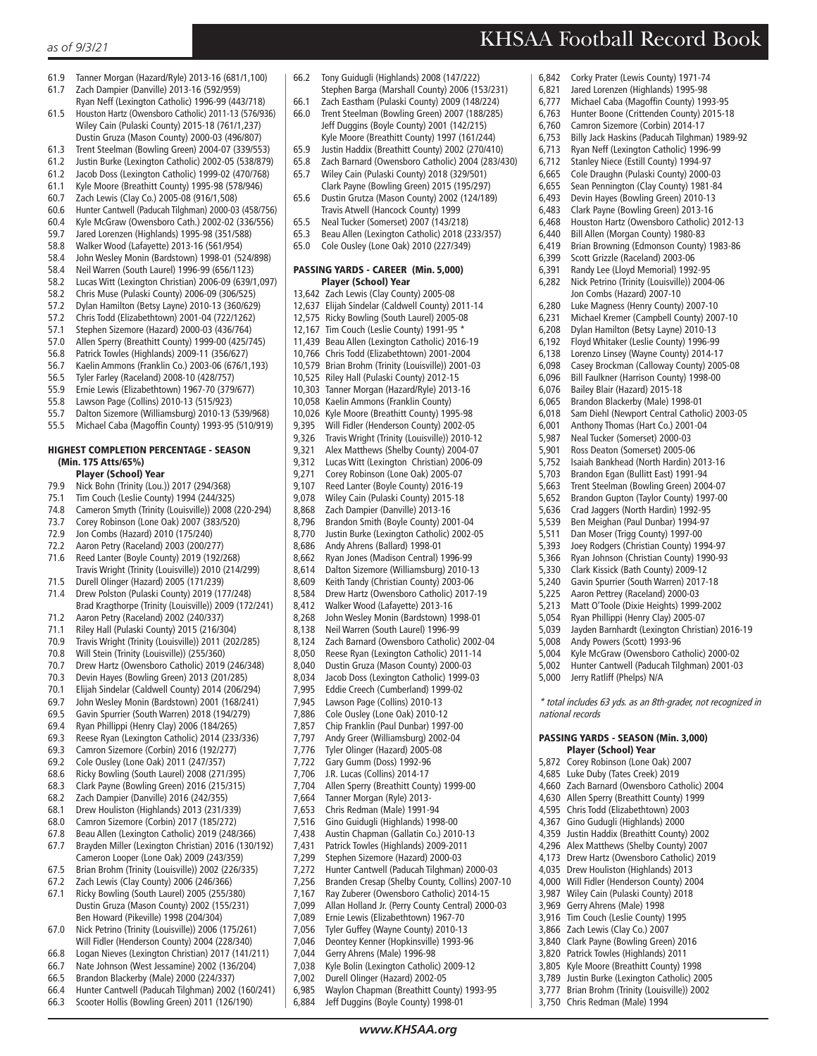#### *as of 9/3/21*

- 61.9 Tanner Morgan (Hazard/Ryle) 2013-16 (681/1,100)
- 61.7 Zach Dampier (Danville) 2013-16 (592/959)
- Ryan Neff (Lexington Catholic) 1996-99 (443/718) 61.5 Houston Hartz (Owensboro Catholic) 2011-13 (576/936) Wiley Cain (Pulaski County) 2015-18 (761/1,237) Dustin Gruza (Mason County) 2000-03 (496/807)
- 61.3 Trent Steelman (Bowling Green) 2004-07 (339/553)
- 61.2 Justin Burke (Lexington Catholic) 2002-05 (538/879)
- 61.2 Jacob Doss (Lexington Catholic) 1999-02 (470/768)
- 61.1 Kyle Moore (Breathitt County) 1995-98 (578/946)
- 60.7 Zach Lewis (Clay Co.) 2005-08 (916/1,508)
- 60.6 Hunter Cantwell (Paducah Tilghman) 2000-03 (458/756)
- 60.4 Kyle McGraw (Owensboro Cath.) 2002-02 (336/556)
- 59.7 Jared Lorenzen (Highlands) 1995-98 (351/588)
- 58.8 Walker Wood (Lafayette) 2013-16 (561/954)
- 58.4 John Wesley Monin (Bardstown) 1998-01 (524/898)
- 58.4 Neil Warren (South Laurel) 1996-99 (656/1123)
- 58.2 Lucas Witt (Lexington Christian) 2006-09 (639/1,097)
- 58.2 Chris Muse (Pulaski County) 2006-09 (306/525)
- 57.2 Dylan Hamilton (Betsy Layne) 2010-13 (360/629) 57.2 Chris Todd (Elizabethtown) 2001-04 (722/1262)
- 57.1 Stephen Sizemore (Hazard) 2000-03 (436/764)
- 57.0 Allen Sperry (Breathitt County) 1999-00 (425/745)
- 
- 56.8 Patrick Towles (Highlands) 2009-11 (356/627) 56.7 Kaelin Ammons (Franklin Co.) 2003-06 (676/1,193)
- 56.5 Tyler Farley (Raceland) 2008-10 (428/757)
- 
- 55.9 Ernie Lewis (Elizabethtown) 1967-70 (379/677) 55.8 Lawson Page (Collins) 2010-13 (515/923)
- 55.7 Dalton Sizemore (Williamsburg) 2010-13 (539/968)
- 55.5 Michael Caba (Magoffin County) 1993-95 (510/919)

### HIGHEST COMPLETION PERCENTAGE - SEASON (Min. 175 Atts/65%)

- **Player (School) Year**<br>79.9 Nick Bohn (Trinity (Lou.)
- 79.9 Nick Bohn (Trinity (Lou.)) 2017 (294/368)
- Tim Couch (Leslie County) 1994 (244/325)
- 74.8 Cameron Smyth (Trinity (Louisville)) 2008 (220-294) 73.7 Corey Robinson (Lone Oak) 2007 (383/520)
- 
- 72.9 Jon Combs (Hazard) 2010 (175/240) 72.2 Aaron Petry (Raceland) 2003 (200/277)
- 71.6 Reed Lanter (Boyle County) 2019 (192/268)
- Travis Wright (Trinity (Louisville)) 2010 (214/299)
- 71.5 Durell Olinger (Hazard) 2005 (171/239)
- 71.4 Drew Polston (Pulaski County) 2019 (177/248) Brad Kragthorpe (Trinity (Louisville)) 2009 (172/241)
- 71.2 Aaron Petry (Raceland) 2002 (240/337)
- 71.1 Riley Hall (Pulaski County) 2015 (216/304)
- 70.9 Travis Wright (Trinity (Louisville)) 2011 (202/285)
- 70.8 Will Stein (Trinity (Louisville)) (255/360)
- Drew Hartz (Owensboro Catholic) 2019 (246/348)
- 70.3 Devin Hayes (Bowling Green) 2013 (201/285) 70.1 Elijah Sindelar (Caldwell County) 2014 (206/294)
- 69.7 John Wesley Monin (Bardstown) 2001 (168/241)
- 
- 69.5 Gavin Spurrier (South Warren) 2018 (194/279) 69.4 Ryan Phillippi (Henry Clay) 2006 (184/265)
- 69.3 Reese Ryan (Lexington Catholic) 2014 (233/336)
- 69.3 Camron Sizemore (Corbin) 2016 (192/277)
- 69.2 Cole Ousley (Lone Oak) 2011 (247/357)
- 68.6 Ricky Bowling (South Laurel) 2008 (271/395)
- 68.3 Clark Payne (Bowling Green) 2016 (215/315)
- 68.2 Zach Dampier (Danville) 2016 (242/355)
- 68.1 Drew Houliston (Highlands) 2013 (231/339)
- 68.0 Camron Sizemore (Corbin) 2017 (185/272)
- 67.8 Beau Allen (Lexington Catholic) 2019 (248/366)
- 67.7 Brayden Miller (Lexington Christian) 2016 (130/192) Cameron Looper (Lone Oak) 2009 (243/359)
- 67.5 Brian Brohm (Trinity (Louisville)) 2002 (226/335)
- 67.2 Zach Lewis (Clay County) 2006 (246/366) 67.1 Ricky Bowling (South Laurel) 2005 (255/380)
- Dustin Gruza (Mason County) 2002 (155/231) Ben Howard (Pikeville) 1998 (204/304)<br>67.0 Nick Petrino (Trinity (Louisville)) 2006 (
- 67.0 Nick Petrino (Trinity (Louisville)) 2006 (175/261) Will Fidler (Henderson County) 2004 (228/340)
- 66.8 Logan Nieves (Lexington Christian) 2017 (141/211)
- 66.7 Nate Johnson (West Jessamine) 2002 (136/204)
- 66.5 Brandon Blackerby (Male) 2000 (224/337)
- 66.4 Hunter Cantwell (Paducah Tilghman) 2002 (160/241)
- 66.3 Scooter Hollis (Bowling Green) 2011 (126/190)
- 66.2 Tony Guidugli (Highlands) 2008 (147/222) Stephen Barga (Marshall County) 2006 (153/231)
- 66.1 Zach Eastham (Pulaski County) 2009 (148/224) 66.0 Trent Steelman (Bowling Green) 2007 (188/285) Jeff Duggins (Boyle County) 2001 (142/215) Kyle Moore (Breathitt County) 1997 (161/244)
- 65.9 Justin Haddix (Breathitt County) 2002 (270/410)
- 65.8 Zach Barnard (Owensboro Catholic) 2004 (283/430)
- 65.7 Wiley Cain (Pulaski County) 2018 (329/501)
- Clark Payne (Bowling Green) 2015 (195/297) 65.6 Dustin Grutza (Mason County) 2002 (124/189) Travis Atwell (Hancock County) 1999
- 65.5 Neal Tucker (Somerset) 2007 (143/218)
- 65.3 Beau Allen (Lexington Catholic) 2018 (233/357)
- 65.0 Cole Ousley (Lone Oak) 2010 (227/349)

#### PASSING YARDS - CAREER (Min. 5,000) Player (School) Year

- 13,642 Zach Lewis (Clay County) 2005-08 12,637 Elijah Sindelar (Caldwell County) 2011-14 12,575 Ricky Bowling (South Laurel) 2005-08 12,167 Tim Couch (Leslie County) 1991-95 \* 11,439 Beau Allen (Lexington Catholic) 2016-19 10,766 Chris Todd (Elizabethtown) 2001-2004 10,579 Brian Brohm (Trinity (Louisville)) 2001-03 10,525 Riley Hall (Pulaski County) 2012-15 10,303 Tanner Morgan (Hazard/Ryle) 2013-16 10,058 Kaelin Ammons (Franklin County) 10,026 Kyle Moore (Breathitt County) 1995-98 9,395 Will Fidler (Henderson County) 2002-05<br>9 326 Travis Wright (Trinity (Louisville)) 2010-1 9,326 Travis Wright (Trinity (Louisville)) 2010-12 9,321 Alex Matthews (Shelby County) 2004-07<br>9,312 Lucas Witt (Lexington Christian) 2006-09 9,312 Lucas Witt (Lexington Christian) 2006-09 9,271 Corey Robinson (Lone Oak) 2005-07 9,107 Reed Lanter (Boyle County) 2016-19<br>9.078 Wiley Cain (Pulaski County) 2015-18 9,078 Wiley Cain (Pulaski County) 2015-18<br>8,868 Zach Dampier (Danville) 2013-16 8,868 Zach Dampier (Danville) 2013-16<br>8,796 Brandon Smith (Boyle County) 20 Brandon Smith (Boyle County) 2001-04 8,770 Justin Burke (Lexington Catholic) 2002-05 8,686 Andy Ahrens (Ballard) 1998-01 8,662 Ryan Jones (Madison Central) 1996-99 8,614 Dalton Sizemore (Williamsburg) 2010-13 8,609 Keith Tandy (Christian County) 2003-06 8,584 Drew Hartz (Owensboro Catholic) 2017-19 8,412 Walker Wood (Lafayette) 2013-16 8,268 John Wesley Monin (Bardstown) 1998-01 8,138 Neil Warren (South Laurel) 1996-99 8,124 Zach Barnard (Owensboro Catholic) 2002-04 8,050 Reese Ryan (Lexington Catholic) 2011-14<br>8.040 Dustin Gruza (Mason County) 2000-03 8,040 Dustin Gruza (Mason County) 2000-03 8,034 Jacob Doss (Lexington Catholic) 1999-03 7,995 Eddie Creech (Cumberland) 1999-02<br>7.945 Lawson Page (Collins) 2010-13 Lawson Page (Collins) 2010-13 7,886 Cole Ousley (Lone Oak) 2010-12<br>7,857 Chip Franklin (Paul Dunbar) 1997 7,857 Chip Franklin (Paul Dunbar) 1997-00 7,797 Andy Greer (Williamsburg) 2002-04 7,776 Tyler Olinger (Hazard) 2005-08 7,722 Gary Gumm (Doss) 1992-96 7,706 J.R. Lucas (Collins) 2014-17<br>7,704 Allen Sperry (Breathitt Cour 7,704 Allen Sperry (Breathitt County) 1999-00 7,664 Tanner Morgan (Ryle) 2013- 7,653 Chris Redman (Male) 1991-94 7,516 Gino Guidugli (Highlands) 1998-00 Austin Chapman (Gallatin Co.) 2010-13 7,431 Patrick Towles (Highlands) 2009-2011 7,299 Stephen Sizemore (Hazard) 2000-03 7,272 Hunter Cantwell (Paducah Tilghman) 2000-03 Branden Cresap (Shelby County, Collins) 2007-10 7,167 Ray Zuberer (Owensboro Catholic) 2014-15 7,099 Allan Holland Jr. (Perry County Central) 2000-03
- 7,089 Ernie Lewis (Elizabethtown) 1967-70 Tyler Guffey (Wayne County) 2010-13
- 7,046 Deontey Kenner (Hopkinsville) 1993-96
- 
- 7,044 Gerry Ahrens (Male) 1996-98<br>7.038 Kyle Bolin (Lexington Catholi 7,038 Kyle Bolin (Lexington Catholic) 2009-12
- 
- 7,002 Durell Olinger (Hazard) 2002-05<br>6,985 Waylon Chapman (Breathitt Cou 6,985 Waylon Chapman (Breathitt County) 1993-95
- 6,884 Jeff Duggins (Boyle County) 1998-01

*www.KHSAA.org*

- 6,842 Corky Prater (Lewis County) 1971-74
- 6,821 Jared Lorenzen (Highlands) 1995-98

KHSAA Football Record Book

- 6,777 Michael Caba (Magoffin County) 1993-95
- 6,763 Hunter Boone (Crittenden County) 2015-18
- 6,760 Camron Sizemore (Corbin) 2014-17
- 6,753 Billy Jack Haskins (Paducah Tilghman) 1989-92
- 6,713 Ryan Neff (Lexington Catholic) 1996-99
- 6,712 Stanley Niece (Estill County) 1994-97
- 6,665 Cole Draughn (Pulaski County) 2000-03
- 6,655 Sean Pennington (Clay County) 1981-84
- 6,493 Devin Hayes (Bowling Green) 2010-13
- 6,483 Clark Payne (Bowling Green) 2013-16
- 6,468 Houston Hartz (Owensboro Catholic) 2012-13
- 6,440 Bill Allen (Morgan County) 1980-83
- 6,419 Brian Browning (Edmonson County) 1983-86

Michael Kremer (Campbell County) 2007-10

5,752 Isaiah Bankhead (North Hardin) 2013-16

5,039 Jayden Barnhardt (Lexington Christian) 2016-19

5,004 Kyle McGraw (Owensboro Catholic) 2000-02 5,002 Hunter Cantwell (Paducah Tilghman) 2001-03

\* total includes 63 yds. as an 8th-grader, not recognized in

5,703 Brandon Egan (Bullitt East) 1991-94 5,663 Trent Steelman (Bowling Green) 2004-07 5,652 Brandon Gupton (Taylor County) 1997-00 5,636 Crad Jaggers (North Hardin) 1992-95 5,539 Ben Meighan (Paul Dunbar) 1994-97 5,511 Dan Moser (Trigg County) 1997-00 5,393 Joey Rodgers (Christian County) 1994-97 5,366 Ryan Johnson (Christian County) 1990-93 5,330 Clark Kissick (Bath County) 2009-12<br>5,240 Gavin Spurrier (South Warren) 2017-5,240 Gavin Spurrier (South Warren) 2017-18

5,225 Aaron Pettrey (Raceland) 2000-03 5,213 Matt O'Toole (Dixie Heights) 1999-2002 5,054 Ryan Phillippi (Henry Clay) 2005-07

5,008 Andy Powers (Scott) 1993-96

PASSING YARDS - SEASON (Min. 3,000) Player (School) Year 5,872 Corey Robinson (Lone Oak) 2007 4,685 Luke Duby (Tates Creek) 2019 4,660 Zach Barnard (Owensboro Catholic) 2004 4,630 Allen Sperry (Breathitt County) 1999 4,595 Chris Todd (Elizabethtown) 2003 4,367 Gino Gudugli (Highlands) 2000 4,359 Justin Haddix (Breathitt County) 2002 4,296 Alex Matthews (Shelby County) 2007 4,173 Drew Hartz (Owensboro Catholic) 2019 4,035 Drew Houliston (Highlands) 2013 4,000 Will Fidler (Henderson County) 2004 3,987 Wiley Cain (Pulaski County) 2018 3,969 Gerry Ahrens (Male) 1998 3,916 Tim Couch (Leslie County) 1995 3,866 Zach Lewis (Clay Co.) 2007 3,840 Clark Payne (Bowling Green) 2016 3,820 Patrick Towles (Highlands) 2011 3,805 Kyle Moore (Breathitt County) 1998 3,789 Justin Burke (Lexington Catholic) 2005 3,777 Brian Brohm (Trinity (Louisville)) 2002 3,750 Chris Redman (Male) 1994

5,000 Jerry Ratliff (Phelps) N/A

national records

Scott Grizzle (Raceland) 2003-06 6,391 Randy Lee (Lloyd Memorial) 1992-95 6,282 Nick Petrino (Trinity (Louisville)) 2004-06

6,208 Dylan Hamilton (Betsy Layne) 2010-13 6,192 Floyd Whitaker (Leslie County) 1996-99 6,138 Lorenzo Linsey (Wayne County) 2014-17 6,098 Casey Brockman (Calloway County) 2005-08 6,096 Bill Faulkner (Harrison County) 1998-00 6,076 Bailey Blair (Hazard) 2015-18 6,065 Brandon Blackerby (Male) 1998-01 6,018 Sam Diehl (Newport Central Catholic) 2003-05 6,001 Anthony Thomas (Hart Co.) 2001-04 5,987 Neal Tucker (Somerset) 2000-03 5,901 Ross Deaton (Somerset) 2005-06<br>5,752 Isaiah Bankhead (North Hardin) 2

Jon Combs (Hazard) 2007-10<br>6,280 Luke Magness (Henry County 6,280 Luke Magness (Henry County) 2007-10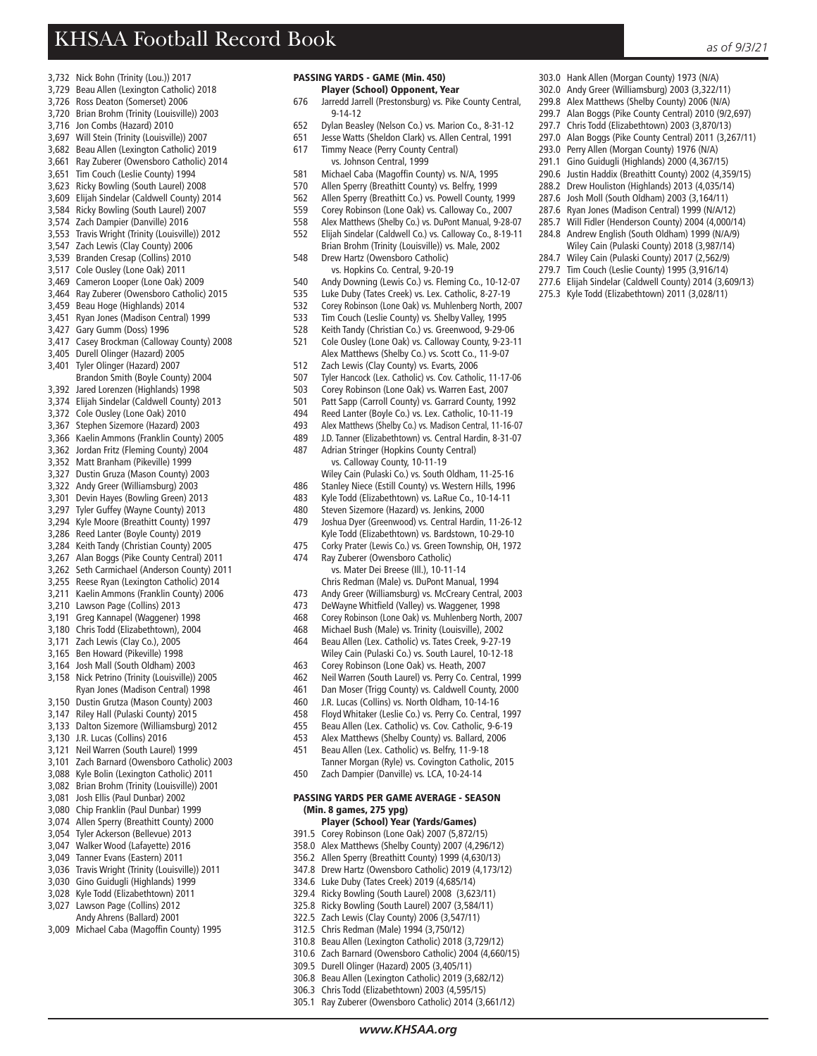303.0 Hank Allen (Morgan County) 1973 (N/A) 302.0 Andy Greer (Williamsburg) 2003 (3,322/11) 299.8 Alex Matthews (Shelby County) 2006 (N/A) 299.7 Alan Boggs (Pike County Central) 2010 (9/2,697) 297.7 Chris Todd (Elizabethtown) 2003 (3,870/13) 297.0 Alan Boggs (Pike County Central) 2011 (3,267/11) 293.0 Perry Allen (Morgan County) 1976 (N/A) 291.1 Gino Guidugli (Highlands) 2000 (4,367/15) 290.6 Justin Haddix (Breathitt County) 2002 (4,359/15) 288.2 Drew Houliston (Highlands) 2013 (4,035/14) 287.6 Josh Moll (South Oldham) 2003 (3,164/11) 287.6 Ryan Jones (Madison Central) 1999 (N/A/12) 285.7 Will Fidler (Henderson County) 2004 (4,000/14) 284.8 Andrew English (South Oldham) 1999 (N/A/9) Wiley Cain (Pulaski County) 2018 (3,987/14) 284.7 Wiley Cain (Pulaski County) 2017 (2,562/9) 279.7 Tim Couch (Leslie County) 1995 (3,916/14) 277.6 Elijah Sindelar (Caldwell County) 2014 (3,609/13) 275.3 Kyle Todd (Elizabethtown) 2011 (3,028/11)

- 3,732 Nick Bohn (Trinity (Lou.)) 2017
- 3,729 Beau Allen (Lexington Catholic) 2018
- 3,726 Ross Deaton (Somerset) 2006
- 3,720 Brian Brohm (Trinity (Louisville)) 2003
- 3,716 Jon Combs (Hazard) 2010
- 3,697 Will Stein (Trinity (Louisville)) 2007
- 3,682 Beau Allen (Lexington Catholic) 2019
- 3,661 Ray Zuberer (Owensboro Catholic) 2014
- 3,651 Tim Couch (Leslie County) 1994
- 3,623 Ricky Bowling (South Laurel) 2008
- 3,609 Elijah Sindelar (Caldwell County) 2014
- 3,584 Ricky Bowling (South Laurel) 2007 3,574 Zach Dampier (Danville) 2016
- 3,553 Travis Wright (Trinity (Louisville)) 2012
- 3,547 Zach Lewis (Clay County) 2006
- 3,539 Branden Cresap (Collins) 2010
- 3,517 Cole Ousley (Lone Oak) 2011
- 3,469 Cameron Looper (Lone Oak) 2009
- 3,464 Ray Zuberer (Owensboro Catholic) 2015
- 3,459 Beau Hoge (Highlands) 2014
- 3,451 Ryan Jones (Madison Central) 1999
- 3,427 Gary Gumm (Doss) 1996
- 3,417 Casey Brockman (Calloway County) 2008
- 3,405 Durell Olinger (Hazard) 2005
- 3,401 Tyler Olinger (Hazard) 2007
- Brandon Smith (Boyle County) 2004
- 3,392 Jared Lorenzen (Highlands) 1998
- 3,374 Elijah Sindelar (Caldwell County) 2013
- 3,372 Cole Ousley (Lone Oak) 2010
- 3,367 Stephen Sizemore (Hazard) 2003
- 3,366 Kaelin Ammons (Franklin County) 2005
- 3,362 Jordan Fritz (Fleming County) 2004
- 3,352 Matt Branham (Pikeville) 1999
- 3,327 Dustin Gruza (Mason County) 2003
- 3,322 Andy Greer (Williamsburg) 2003 3,301 Devin Hayes (Bowling Green) 2013
- 3,297 Tyler Guffey (Wayne County) 2013
- 3,294 Kyle Moore (Breathitt County) 1997
- 3,286 Reed Lanter (Boyle County) 2019
- 3,284 Keith Tandy (Christian County) 2005
- 3,267 Alan Boggs (Pike County Central) 2011
- 3,262 Seth Carmichael (Anderson County) 2011
- 3,255 Reese Ryan (Lexington Catholic) 2014
- 3,211 Kaelin Ammons (Franklin County) 2006
- 3,210 Lawson Page (Collins) 2013
- 3,191 Greg Kannapel (Waggener) 1998
- 3,180 Chris Todd (Elizabethtown), 2004
- 3,171 Zach Lewis (Clay Co.), 2005
- 3,165 Ben Howard (Pikeville) 1998
- 3,164 Josh Mall (South Oldham) 2003
- 3,158 Nick Petrino (Trinity (Louisville)) 2005 Ryan Jones (Madison Central) 1998
- 3,150 Dustin Grutza (Mason County) 2003
- 3,147 Riley Hall (Pulaski County) 2015 3,133 Dalton Sizemore (Williamsburg) 2012
- 3,130 J.R. Lucas (Collins) 2016
- 3,121 Neil Warren (South Laurel) 1999
- 3,101 Zach Barnard (Owensboro Catholic) 2003
- 3,088 Kyle Bolin (Lexington Catholic) 2011
- 3,082 Brian Brohm (Trinity (Louisville)) 2001
- 3,081 Josh Ellis (Paul Dunbar) 2002
- 3,080 Chip Franklin (Paul Dunbar) 1999
- 3,074 Allen Sperry (Breathitt County) 2000
- 3,054 Tyler Ackerson (Bellevue) 2013
- 3,047 Walker Wood (Lafayette) 2016
- 3,049 Tanner Evans (Eastern) 2011
- 3,036 Travis Wright (Trinity (Louisville)) 2011
- 3,030 Gino Guidugli (Highlands) 1999
- 3,028 Kyle Todd (Elizabethtown) 2011
- 3,027 Lawson Page (Collins) 2012
- Andy Ahrens (Ballard) 2001
- 3,009 Michael Caba (Magoffin County) 1995
- PASSING YARDS GAME (Min. 450) Player (School) Opponent, Year
- 676 Jarredd Jarrell (Prestonsburg) vs. Pike County Central, 9-14-12
- 652 Dylan Beasley (Nelson Co.) vs. Marion Co., 8-31-12
- Jesse Watts (Sheldon Clark) vs. Allen Central, 1991
- 617 Timmy Neace (Perry County Central)
- vs. Johnson Central, 1999<br>581 Michael Caba (Magoffin Cou
- Michael Caba (Magoffin County) vs. N/A, 1995
- 570 Allen Sperry (Breathitt County) vs. Belfry, 1999<br>562 Allen Sperry (Breathitt Co.) vs. Powell County, 1
- Allen Sperry (Breathitt Co.) vs. Powell County, 1999
- 559 Corey Robinson (Lone Oak) vs. Calloway Co., 2007
- 558 Alex Matthews (Shelby Co.) vs. DuPont Manual, 9-28-07
- 552 Elijah Sindelar (Caldwell Co.) vs. Calloway Co., 8-19-11 Brian Brohm (Trinity (Louisville)) vs. Male, 2002<br>548 Drew Hartz (Owensboro Catholic) Drew Hartz (Owensboro Catholic)
- vs. Hopkins Co. Central, 9-20-19
- 540 Andy Downing (Lewis Co.) vs. Fleming Co., 10-12-07
- 535 Luke Duby (Tates Creek) vs. Lex. Catholic, 8-27-19
- 
- 532 Corey Robinson (Lone Oak) vs. Muhlenberg North, 2007<br>533 Tim Couch (Leslie County) vs. Shelby Valley, 1995 Tim Couch (Leslie County) vs. Shelby Valley, 1995
- 528 Keith Tandy (Christian Co.) vs. Greenwood, 9-29-06
- 521 Cole Ousley (Lone Oak) vs. Calloway County, 9-23-11
- 
- Alex Matthews (Shelby Co.) vs. Scott Co., 11-9-07<br>512 Zach Lewis (Clay County) vs. Evarts, 2006 Zach Lewis (Clay County) vs. Evarts, 2006
- 507 Tyler Hancock (Lex. Catholic) vs. Cov. Catholic, 11-17-06
- 
- 503 Corey Robinson (Lone Oak) vs. Warren East, 2007 Patt Sapp (Carroll County) vs. Garrard County, 1992
- 494 Reed Lanter (Boyle Co.) vs. Lex. Catholic, 10-11-19
- 493 Alex Matthews (Shelby Co.) vs. Madison Central, 11-16-07
- 489 J.D. Tanner (Elizabethtown) vs. Central Hardin, 8-31-07
- 487 Adrian Stringer (Hopkins County Central) vs. Calloway County, 10-11-19

480 Steven Sizemore (Hazard) vs. Jenkins, 2000<br>479 Joshua Dyer (Greenwood) vs. Central Hardin,

 vs. Mater Dei Breese (Ill.), 10-11-14 Chris Redman (Male) vs. DuPont Manual, 1994<br>Andy Greer (Williamsburg) vs. McCreary Central

473 DeWayne Whitfield (Valley) vs. Waggener, 1998 468 Corey Robinson (Lone Oak) vs. Muhlenberg North, 2007 468 Michael Bush (Male) vs. Trinity (Louisville), 2002 464 Beau Allen (Lex. Catholic) vs. Tates Creek, 9-27-19 Wiley Cain (Pulaski Co.) vs. South Laurel, 10-12-18<br>463 Corey Robinson (Lone Oak) vs. Heath 2007 463 Corey Robinson (Lone Oak) vs. Heath, 2007 462 Neil Warren (South Laurel) vs. Perry Co. Central, 1999 461 Dan Moser (Trigg County) vs. Caldwell County, 2000 460 J.R. Lucas (Collins) vs. North Oldham, 10-14-16 458 Floyd Whitaker (Leslie Co.) vs. Perry Co. Central, 1997 Beau Allen (Lex. Catholic) vs. Cov. Catholic, 9-6-19 453 Alex Matthews (Shelby County) vs. Ballard, 2006 451 Beau Allen (Lex. Catholic) vs. Belfry, 11-9-18

474 Ray Zuberer (Owensboro Catholic)

- 
- Wiley Cain (Pulaski Co.) vs. South Oldham, 11-25-16<br>486 Stanley Niece (Estill County) vs. Western Hills, 1996 486 Stanley Niece (Estill County) vs. Western Hills, 1996<br>483 Kyle Todd (Elizabethtown) vs. LaRue Co. 10-14-11

483 Kyle Todd (Elizabethtown) vs. LaRue Co., 10-14-11

Joshua Dyer (Greenwood) vs. Central Hardin, 11-26-12 Kyle Todd (Elizabethtown) vs. Bardstown, 10-29-10<br>475 Corky Prater (Lewis Co.) vs. Green Township, OH, 197 Corky Prater (Lewis Co.) vs. Green Township, OH, 1972

Andy Greer (Williamsburg) vs. McCreary Central, 2003

Tanner Morgan (Ryle) vs. Covington Catholic, 2015

450 Zach Dampier (Danville) vs. LCA, 10-24-14 PASSING YARDS PER GAME AVERAGE - SEASON

 Player (School) Year (Yards/Games) 391.5 Corey Robinson (Lone Oak) 2007 (5,872/15) 358.0 Alex Matthews (Shelby County) 2007 (4,296/12) 356.2 Allen Sperry (Breathitt County) 1999 (4,630/13) 347.8 Drew Hartz (Owensboro Catholic) 2019 (4,173/12) 334.6 Luke Duby (Tates Creek) 2019 (4,685/14) 329.4 Ricky Bowling (South Laurel) 2008 (3,623/11) 325.8 Ricky Bowling (South Laurel) 2007 (3,584/11) 322.5 Zach Lewis (Clay County) 2006 (3,547/11) 312.5 Chris Redman (Male) 1994 (3,750/12) 310.8 Beau Allen (Lexington Catholic) 2018 (3,729/12) 310.6 Zach Barnard (Owensboro Catholic) 2004 (4,660/15) 309.5 Durell Olinger (Hazard) 2005 (3,405/11) 306.8 Beau Allen (Lexington Catholic) 2019 (3,682/12) 306.3 Chris Todd (Elizabethtown) 2003 (4,595/15) 305.1 Ray Zuberer (Owensboro Catholic) 2014 (3,661/12)

(Min. 8 games, 275 ypg)

*www.KHSAA.org*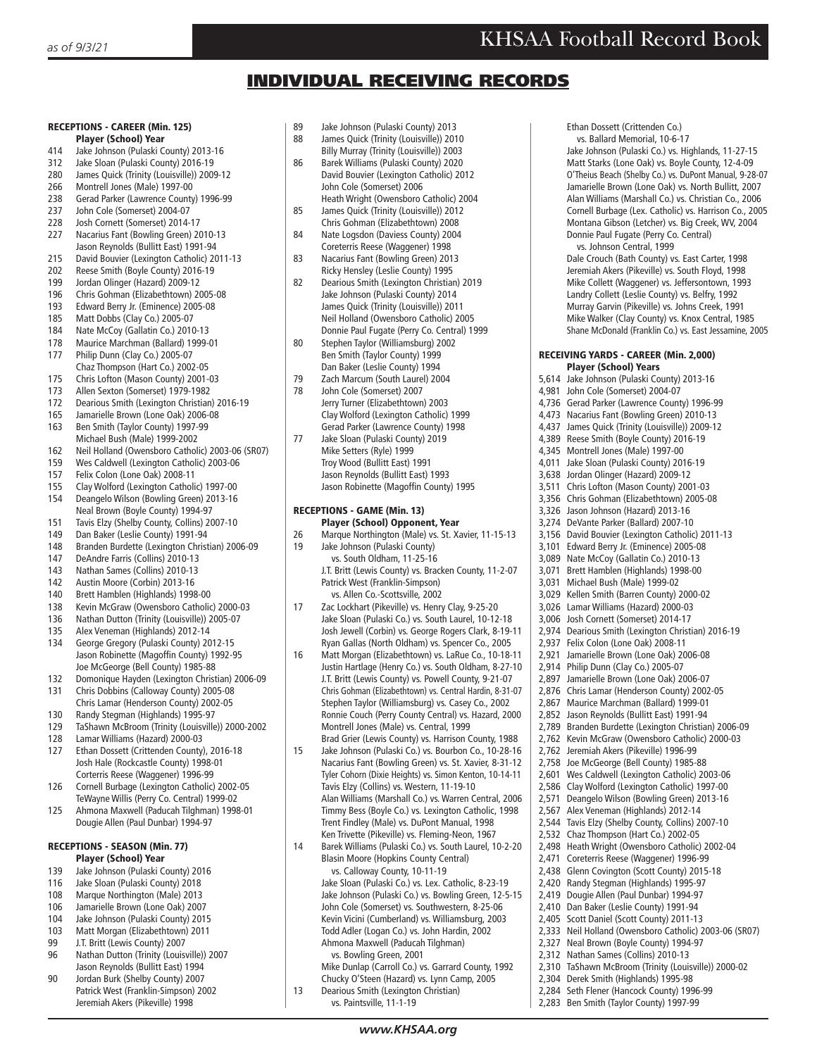## INDIVIDUAL RECEIVING RECORDS

## RECEPTIONS - CAREER (Min. 125)

- Player (School) Year
- 414 Jake Johnson (Pulaski County) 2013-16 Jake Sloan (Pulaski County) 2016-19
- 280 James Quick (Trinity (Louisville)) 2009-12
- 266 Montrell Jones (Male) 1997-00
- 238 Gerad Parker (Lawrence County) 1996-99<br>237 John Cole (Somerset) 2004-07
- 237 John Cole (Somerset) 2004-07<br>228 Josh Cornett (Somerset) 2014-
- Josh Cornett (Somerset) 2014-17
- 227 Nacarius Fant (Bowling Green) 2010-13 Jason Reynolds (Bullitt East) 1991-94
- 215 David Bouvier (Lexington Catholic) 2011-13
- 202 Reese Smith (Boyle County) 2016-19<br>199 Jordan Olinger (Hazard) 2009-12
- Jordan Olinger (Hazard) 2009-12
- 196 Chris Gohman (Elizabethtown) 2005-08<br>193 Edward Berry Ir (Eminence) 2005-08
- Edward Berry Jr. (Eminence) 2005-08
- 185 Matt Dobbs (Clay Co.) 2005-07
- 184 Nate McCoy (Gallatin Co.) 2010-13<br>178 Maurice Marchman (Ballard) 1999-1 178 Maurice Marchman (Ballard) 1999-01
- 
- 177 Philip Dunn (Clay Co.) 2005-07 Chaz Thompson (Hart Co.) 2002-05
- 175 Chris Lofton (Mason County) 2001-03
- 173 Allen Sexton (Somerset) 1979-1982
- 172 Dearious Smith (Lexington Christian) 2016-19
- 165 Jamarielle Brown (Lone Oak) 2006-08
- 163 Ben Smith (Taylor County) 1997-99 Michael Bush (Male) 1999-2002
- 162 Neil Holland (Owensboro Catholic) 2003-06 (SR07)
- 159 Wes Caldwell (Lexington Catholic) 2003-06
- 157 Felix Colon (Lone Oak) 2008-11<br>155 Clay Wolford (Lexington Catholi
- 155 Clay Wolford (Lexington Catholic) 1997-00 154 Deangelo Wilson (Bowling Green) 2013-16
- Neal Brown (Boyle County) 1994-97
- 151 Tavis Elzy (Shelby County, Collins) 2007-10<br>149 Dan Baker (Leslie County) 1991-94
- Dan Baker (Leslie County) 1991-94
- 148 Branden Burdette (Lexington Christian) 2006-09
- 147 DeAndre Farris (Collins) 2010-13<br>143 Nathan Sames (Collins) 2010-13
- Nathan Sames (Collins) 2010-13
- 142 Austin Moore (Corbin) 2013-16
- 140 Brett Hamblen (Highlands) 1998-00<br>138 Kevin McGraw (Owenshoro Catholic 138 Kevin McGraw (Owensboro Catholic) 2000-03
- 
- 136 Nathan Dutton (Trinity (Louisville)) 2005-07<br>135 Alex Veneman (Highlands) 2012-14 Alex Veneman (Highlands) 2012-14
- 134 George Gregory (Pulaski County) 2012-15 Jason Robinette (Magoffin County) 1992-95 Joe McGeorge (Bell County) 1985-88
- 132 Domonique Hayden (Lexington Christian) 2006-09<br>131 Chris Dobbins (Calloway County) 2005-08 131 Chris Dobbins (Calloway County) 2005-08
- Chris Lamar (Henderson County) 2002-05
- 130 Randy Stegman (Highlands) 1995-97 129 TaShawn McBroom (Trinity (Louisville)) 2000-2002
- 
- 128 Lamar Williams (Hazard) 2000-03 127 Ethan Dossett (Crittenden County), 2016-18
- Josh Hale (Rockcastle County) 1998-01 Corterris Reese (Waggener) 1996-99
- 126 Cornell Burbage (Lexington Catholic) 2002-05 TeWayne Willis (Perry Co. Central) 1999-02
- 125 Ahmona Maxwell (Paducah Tilghman) 1998-01 Dougie Allen (Paul Dunbar) 1994-97

### RECEPTIONS - SEASON (Min. 77) **Player (School) Year**<br>139 Lake Johnson (Pulaski C

- 139 Jake Johnson (Pulaski County) 2016
- 116 Jake Sloan (Pulaski County) 2018<br>108 Marque Northington (Male) 2013
- Marque Northington (Male) 2013
- 106 Jamarielle Brown (Lone Oak) 2007
- 104 Jake Johnson (Pulaski County) 2015<br>103 Matt Morgan (Elizabethtown) 2011
- 103 Matt Morgan (Elizabethtown) 2011
- 99 J.T. Britt (Lewis County) 2007<br>96 Nathan Dutton (Trinity (Louis
- 96 Nathan Dutton (Trinity (Louisville)) 2007 Jason Reynolds (Bullitt East) 1994
- 90 Jordan Burk (Shelby County) 2007 Patrick West (Franklin-Simpson) 2002 Jeremiah Akers (Pikeville) 1998
- 89 Jake Johnson (Pulaski County) 2013<br>88 James Quick (Trinity (Louisville)) 201 James Quick (Trinity (Louisville)) 2010
- Billy Murray (Trinity (Louisville)) 2003<br>86 Barek Williams (Pulaski County) 2020 86 Barek Williams (Pulaski County) 2020
- David Bouvier (Lexington Catholic) 2012 John Cole (Somerset) 2006
- Heath Wright (Owensboro Catholic) 2004<br>85 James Quick (Trinity (Louisville)) 2012 James Quick (Trinity (Louisville)) 2012
- Chris Gohman (Elizabethtown) 2008 84 Nate Logsdon (Daviess County) 2004
- Coreterris Reese (Waggener) 1998 83 Nacarius Fant (Bowling Green) 2013
- Ricky Hensley (Leslie County) 1995<br>82 Dearious Smith (Lexington Christian 82 Dearious Smith (Lexington Christian) 2019 Jake Johnson (Pulaski County) 2014 James Quick (Trinity (Louisville)) 2011 Neil Holland (Owensboro Catholic) 2005 Donnie Paul Fugate (Perry Co. Central) 1999
- Stephen Taylor (Williamsburg) 2002 Ben Smith (Taylor County) 1999 Dan Baker (Leslie County) 1994
- 79 Zach Marcum (South Laurel) 2004
- 78 John Cole (Somerset) 2007 Jerry Turner (Elizabethtown) 2003 Clay Wolford (Lexington Catholic) 1999 Gerad Parker (Lawrence County) 1998
- Jake Sloan (Pulaski County) 2019 Mike Setters (Ryle) 1999 Troy Wood (Bullitt East) 1991 Jason Reynolds (Bullitt East) 1993 Jason Robinette (Magoffin County) 1995

#### RECEPTIONS - GAME (Min. 13)

- Player (School) Opponent, Year
- 26 Marque Northington (Male) vs. St. Xavier, 11-15-13
- 19 Jake Johnson (Pulaski County) vs. South Oldham, 11-25-16 J.T. Britt (Lewis County) vs. Bracken County, 11-2-07 Patrick West (Franklin-Simpson)
- vs. Allen Co.-Scottsville, 2002<br>7ac Lockhart (Pikeville) vs. Henn Zac Lockhart (Pikeville) vs. Henry Clay, 9-25-20 Jake Sloan (Pulaski Co.) vs. South Laurel, 10-12-18 Josh Jewell (Corbin) vs. George Rogers Clark, 8-19-11 Ryan Gallas (North Oldham) vs. Spencer Co., 2005
- 16 Matt Morgan (Elizabethtown) vs. LaRue Co., 10-18-11 Justin Hartlage (Henry Co.) vs. South Oldham, 8-27-10 J.T. Britt (Lewis County) vs. Powell County, 9-21-07 Chris Gohman (Elizabethtown) vs. Central Hardin, 8-31-07 Stephen Taylor (Williamsburg) vs. Casey Co., 2002 Ronnie Couch (Perry County Central) vs. Hazard, 2000 Montrell Jones (Male) vs. Central, 1999
- Brad Grier (Lewis County) vs. Harrison County, 1988<br>15 Jake Johnson (Pulaski Co.) vs. Bourbon Co., 10-28-16 Jake Johnson (Pulaski Co.) vs. Bourbon Co., 10-28-16 Nacarius Fant (Bowling Green) vs. St. Xavier, 8-31-12 Tyler Cohorn (Dixie Heights) vs. Simon Kenton, 10-14-11 Tavis Elzy (Collins) vs. Western, 11-19-10 Alan Williams (Marshall Co.) vs. Warren Central, 2006 Timmy Bess (Boyle Co.) vs. Lexington Catholic, 1998 Trent Findley (Male) vs. DuPont Manual, 1998 Ken Trivette (Pikeville) vs. Fleming-Neon, 1967
- 14 Barek Williams (Pulaski Co.) vs. South Laurel, 10-2-20 Blasin Moore (Hopkins County Central) vs. Calloway County, 10-11-19 Jake Sloan (Pulaski Co.) vs. Lex. Catholic, 8-23-19 Jake Johnson (Pulaski Co.) vs. Bowling Green, 12-5-15 John Cole (Somerset) vs. Southwestern, 8-25-06 Kevin Vicini (Cumberland) vs. Williamsburg, 2003 Todd Adler (Logan Co.) vs. John Hardin, 2002 Ahmona Maxwell (Paducah Tilghman)
	- vs. Bowling Green, 2001
- Mike Dunlap (Carroll Co.) vs. Garrard County, 1992 Chucky O'Steen (Hazard) vs. Lynn Camp, 2005

*www.KHSAA.org*

13 Dearious Smith (Lexington Christian) vs. Paintsville, 11-1-19

Ethan Dossett (Crittenden Co.)

 vs. Ballard Memorial, 10-6-17 Jake Johnson (Pulaski Co.) vs. Highlands, 11-27-15 Matt Starks (Lone Oak) vs. Boyle County, 12-4-09 O'Theius Beach (Shelby Co.) vs. DuPont Manual, 9-28-07 Jamarielle Brown (Lone Oak) vs. North Bullitt, 2007 Alan Williams (Marshall Co.) vs. Christian Co., 2006 Cornell Burbage (Lex. Catholic) vs. Harrison Co., 2005 Montana Gibson (Letcher) vs. Big Creek, WV, 2004 Donnie Paul Fugate (Perry Co. Central)

 vs. Johnson Central, 1999 Dale Crouch (Bath County) vs. East Carter, 1998 Jeremiah Akers (Pikeville) vs. South Floyd, 1998 Mike Collett (Waggener) vs. Jeffersontown, 1993 Landry Collett (Leslie County) vs. Belfry, 1992 Murray Garvin (Pikeville) vs. Johns Creek, 1991 Mike Walker (Clay County) vs. Knox Central, 1985 Shane McDonald (Franklin Co.) vs. East Jessamine, 2005

#### RECEIVING YARDS - CAREER (Min. 2,000) Player (School) Years

- 5,614 Jake Johnson (Pulaski County) 2013-16
- 4,981 John Cole (Somerset) 2004-07
- 4,736 Gerad Parker (Lawrence County) 1996-99
- 4,473 Nacarius Fant (Bowling Green) 2010-13
- 4,437 James Quick (Trinity (Louisville)) 2009-12
- 4,389 Reese Smith (Boyle County) 2016-19
- 4,345 Montrell Jones (Male) 1997-00
- 4,011 Jake Sloan (Pulaski County) 2016-19
- 3,638 Jordan Olinger (Hazard) 2009-12
- 3,511 Chris Lofton (Mason County) 2001-03
- 3,356 Chris Gohman (Elizabethtown) 2005-08
- 3,326 Jason Johnson (Hazard) 2013-16 3,274 DeVante Parker (Ballard) 2007-10
- 3,156 David Bouvier (Lexington Catholic) 2011-13
- 

2,333 Neil Holland (Owensboro Catholic) 2003-06 (SR07)

2,310 TaShawn McBroom (Trinity (Louisville)) 2000-02

2,327 Neal Brown (Boyle County) 1994-97 2,312 Nathan Sames (Collins) 2010-13

2,304 Derek Smith (Highlands) 1995-98 2,284 Seth Flener (Hancock County) 1996-99 2,283 Ben Smith (Taylor County) 1997-99

3,101 Edward Berry Jr. (Eminence) 2005-08 3,089 Nate McCoy (Gallatin Co.) 2010-13 3,071 Brett Hamblen (Highlands) 1998-00

3,031 Michael Bush (Male) 1999-02 3,029 Kellen Smith (Barren County) 2000-02 3,026 Lamar Williams (Hazard) 2000-03 3,006 Josh Cornett (Somerset) 2014-17 2,974 Dearious Smith (Lexington Christian) 2016-19

2,937 Felix Colon (Lone Oak) 2008-11 2,921 Jamarielle Brown (Lone Oak) 2006-08 2,914 Philip Dunn (Clay Co.) 2005-07 2,897 Jamarielle Brown (Lone Oak) 2006-07 2,876 Chris Lamar (Henderson County) 2002-05 2,867 Maurice Marchman (Ballard) 1999-01 2,852 Jason Reynolds (Bullitt East) 1991-94 2,789 Branden Burdette (Lexington Christian) 2006-09 2,762 Kevin McGraw (Owensboro Catholic) 2000-03 2,762 Jeremiah Akers (Pikeville) 1996-99 2,758 Joe McGeorge (Bell County) 1985-88 2,601 Wes Caldwell (Lexington Catholic) 2003-06 2,586 Clay Wolford (Lexington Catholic) 1997-00 2,571 Deangelo Wilson (Bowling Green) 2013-16 2,567 Alex Veneman (Highlands) 2012-14 2,544 Tavis Elzy (Shelby County, Collins) 2007-10 2,532 Chaz Thompson (Hart Co.) 2002-05 2,498 Heath Wright (Owensboro Catholic) 2002-04 2,471 Coreterris Reese (Waggener) 1996-99 2,438 Glenn Covington (Scott County) 2015-18 2,420 Randy Stegman (Highlands) 1995-97 2,419 Dougie Allen (Paul Dunbar) 1994-97 2,410 Dan Baker (Leslie County) 1991-94 2,405 Scott Daniel (Scott County) 2011-13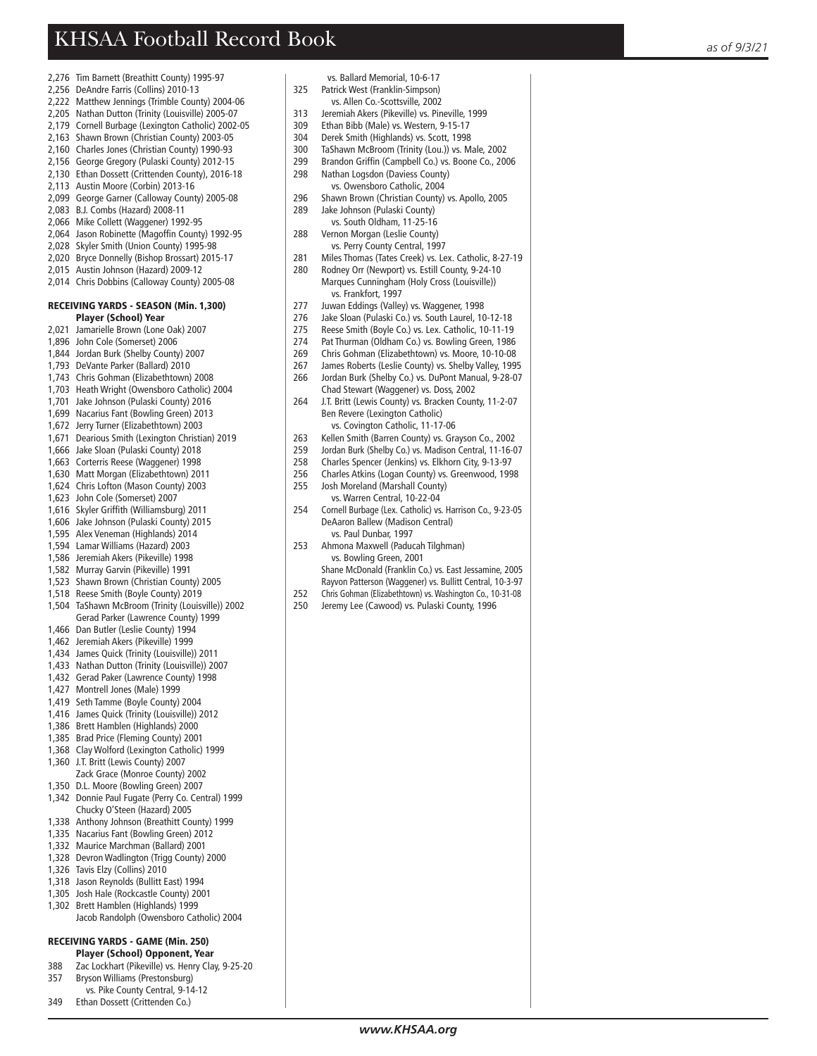- 2,276 Tim Barnett (Breathitt County) 1995-97
- 2,256 DeAndre Farris (Collins) 2010-13
- 2,222 Matthew Jennings (Trimble County) 2004-06
- 2,205 Nathan Dutton (Trinity (Louisville) 2005-07
- 2,179 Cornell Burbage (Lexington Catholic) 2002-05
- 2,163 Shawn Brown (Christian County) 2003-05
- 2,160 Charles Jones (Christian County) 1990-93
- 2,156 George Gregory (Pulaski County) 2012-15 2,130 Ethan Dossett (Crittenden County), 2016-18
- 
- 2,113 Austin Moore (Corbin) 2013-16
- 2,099 George Garner (Calloway County) 2005-08 2,083 B.J. Combs (Hazard) 2008-11
- 2,066 Mike Collett (Waggener) 1992-95
- 
- 2,064 Jason Robinette (Magoffin County) 1992-95 2,028 Skyler Smith (Union County) 1995-98
- 2,020 Bryce Donnelly (Bishop Brossart) 2015-17
- 2,015 Austin Johnson (Hazard) 2009-12
- 2,014 Chris Dobbins (Calloway County) 2005-08

#### RECEIVING YARDS - SEASON (Min. 1,300) Player (School) Year

- 2,021 Jamarielle Brown (Lone Oak) 2007
- 1,896 John Cole (Somerset) 2006
- 1,844 Jordan Burk (Shelby County) 2007
- 1,793 DeVante Parker (Ballard) 2010
- 1,743 Chris Gohman (Elizabethtown) 2008
- 1,703 Heath Wright (Owensboro Catholic) 2004
- 1,701 Jake Johnson (Pulaski County) 2016
- 1,699 Nacarius Fant (Bowling Green) 2013
- 1,672 Jerry Turner (Elizabethtown) 2003
- 1,671 Dearious Smith (Lexington Christian) 2019
- 1,666 Jake Sloan (Pulaski County) 2018
- 1,663 Corterris Reese (Waggener) 1998
- 1,630 Matt Morgan (Elizabethtown) 2011
- 1,624 Chris Lofton (Mason County) 2003
- 1,623 John Cole (Somerset) 2007
- 1,616 Skyler Grif fi th (Williamsburg) 2011
- 1,606 Jake Johnson (Pulaski County) 2015
- 1,595 Alex Veneman (Highlands) 2014
- 1,594 Lamar Williams (Hazard) 2003
- 1,586 Jeremiah Akers (Pikeville) 1998
- 1,582 Murray Garvin (Pikeville) 1991
- 1,523 Shawn Brown (Christian County) 2005
- 1,518 Reese Smith (Boyle County) 2019
- 1,504 TaShawn McBroom (Trinity (Louisville)) 2002 Gerad Parker (Lawrence County) 1999
- 1,466 Dan Butler (Leslie County) 1994
- 1,462 Jeremiah Akers (Pikeville) 1999
- 1,434 James Quick (Trinity (Louisville)) 2011
- 1,433 Nathan Dutton (Trinity (Louisville)) 2007
- 1,432 Gerad Paker (Lawrence County) 1998
- 1,427 Montrell Jones (Male) 1999
- 1,419 Seth Tamme (Boyle County) 2004
- 1,416 James Quick (Trinity (Louisville)) 2012
- 1,386 Brett Hamblen (Highlands) 2000
- 1,385 Brad Price (Fleming County) 2001
- 1,368 Clay Wolford (Lexington Catholic) 1999 1,360 J.T. Britt (Lewis County) 2007
- Zack Grace (Monroe County) 2002
- 1,350 D.L. Moore (Bowling Green) 2007
- 1,342 Donnie Paul Fugate (Perry Co. Central) 1999 Chucky O'Steen (Hazard) 2005
- 1,338 Anthony Johnson (Breathitt County) 1999
- 1,335 Nacarius Fant (Bowling Green) 2012
- 1,332 Maurice Marchman (Ballard) 2001
- 1,328 Devron Wadlington (Trigg County) 2000
- 1,326 Tavis Elzy (Collins) 2010
- 1,318 Jason Reynolds (Bullitt East) 1994
- 1,305 Josh Hale (Rockcastle County) 2001
- 1,302 Brett Hamblen (Highlands) 1999 Jacob Randolph (Owensboro Catholic) 2004

### RECEIVING YARDS - GAME (Min. 250)

- **Player (School) Opponent, Year**<br>R88 Zac Lockhart (Pikeville) vs. Henry Cla
- Zac Lockhart (Pikeville) vs. Henry Clay, 9-25-20
- 357 Bryson Williams (Prestonsburg)
- vs. Pike County Central, 9-14-12
- 349 Ethan Dossett (Crittenden Co.)
- vs. Ballard Memorial, 10-6-17
- 325 Patrick West (Franklin-Simpson)
- vs. Allen Co.-Scottsville, 2002<br>313 Jeremiah Akers (Pikeville) vs. Pin 313 Jeremiah Akers (Pikeville) vs. Pineville, 1999
- 
- 309 Ethan Bibb (Male) vs. Western, 9-15-17<br>304 Derek Smith (Highlands) vs. Scott 1998 304 Derek Smith (Highlands) vs. Scott, 1998
- 
- 300 TaShawn McBroom (Trinity (Lou.)) vs. Male, 2002
- 299 Brandon Grif fi n (Campbell Co.) vs. Boone Co., 2006 298 Nathan Logsdon (Daviess County)
- 
- vs. Owensboro Catholic, 2004<br>296 Shawn Brown (Christian County) 296 Shawn Brown (Christian County) vs. Apollo, 2005
- 289 Jake Johnson (Pulaski County)
- vs. South Oldham, 11-25-16<br>288 Vernon Morgan (Leslie County)
- Vernon Morgan (Leslie County) vs. Perry County Central, 1997<br>281 Miles Thomas (Tates Creek) vs. Le
- Miles Thomas (Tates Creek) vs. Lex. Catholic, 8-27-19
- 280 Rodney Orr (Newport) vs. Estill County, 9-24-10 Marques Cunningham (Holy Cross (Louisville)) vs. Frankfort, 1997<br>Iuwan Eddings (Valley
- 277 Juwan Eddings (Valley) vs. Waggener, 1998
- Jake Sloan (Pulaski Co.) vs. South Laurel, 10-12-18
- 275 Reese Smith (Boyle Co.) vs. Lex. Catholic, 10-11-19
- 274 Pat Thurman (Oldham Co.) vs. Bowling Green, 1986
- 269 Chris Gohman (Elizabethtown) vs. Moore, 10-10-08
- 267 James Roberts (Leslie County) vs. Shelby Valley, 1995
- 266 Jordan Burk (Shelby Co.) vs. DuPont Manual, 9-28-07 Chad Stewart (Waggener) vs. Doss, 2002
- J.T. Britt (Lewis County) vs. Bracken County, 11-2-07 Ben Revere (Lexington Catholic)
- vs. Covington Catholic, 11-17-06<br>263 Kellen Smith (Barren County) vs. Gra 263 Kellen Smith (Barren County) vs. Grayson Co., 2002
- 
- 259 Jordan Burk (Shelby Co.) vs. Madison Central, 11-16-07 258 Charles Spencer (Jenkins) vs. Elkhorn City, 9-13-97
- 256 Charles Atkins (Logan County) vs. Greenwood, 1998

254 Cornell Burbage (Lex. Catholic) vs. Harrison Co., 9-23-05 DeAaron Ballew (Madison Central) vs. Paul Dunbar, 1997 253 Ahmona Maxwell (Paducah Tilghman) vs. Bowling Green, 2001

Shane McDonald (Franklin Co.) vs. East Jessamine, 2005 Rayvon Patterson (Waggener) vs. Bullitt Central, 10-3-97 252 Chris Gohman (Elizabethtown) vs. Washington Co., 10-31-08 250 Jeremy Lee (Cawood) vs. Pulaski County, 1996

*www.KHSAA.org*

255 Josh Moreland (Marshall County) vs. Warren Central, 10-22-04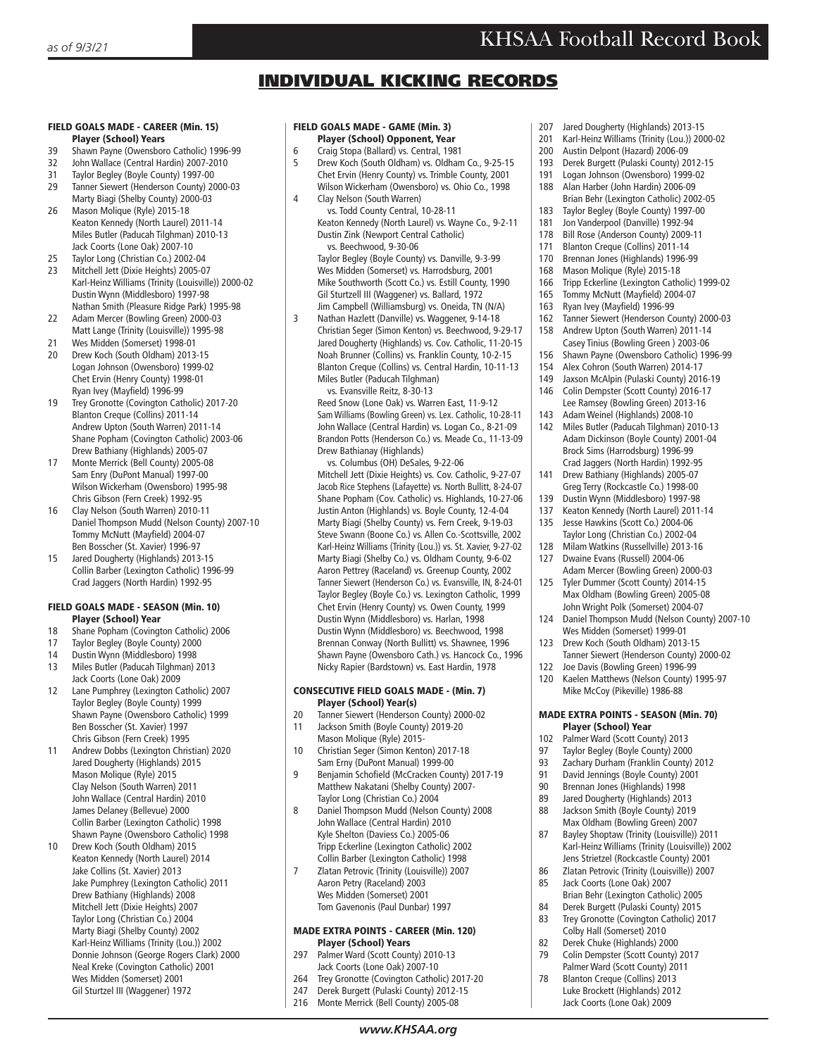## INDIVIDUAL KICKING RECORDS

#### FIELD GOALS MADE - CAREER (Min. 15) Player (School) Years

- 39 Shawn Payne (Owensboro Catholic) 1996-99<br>32 John Wallace (Central Hardin) 2007-2010
- 32 John Wallace (Central Hardin) 2007-2010
- 31 Taylor Begley (Boyle County) 1997-00
- 29 Tanner Siewert (Henderson County) 2000-03 Marty Biagi (Shelby County) 2000-03<br>26 Mason Molique (Ryle) 2015-18
- Mason Molique (Ryle) 2015-18 Keaton Kennedy (North Laurel) 2011-14 Miles Butler (Paducah Tilghman) 2010-13 Jack Coorts (Lone Oak) 2007-10 25 Taylor Long (Christian Co.) 2002-04
- 23 Mitchell Jett (Dixie Heights) 2005-07 Karl-Heinz Williams (Trinity (Louisville)) 2000-02 Dustin Wynn (Middlesboro) 1997-98 Nathan Smith (Pleasure Ridge Park) 1995-98
- 22 Adam Mercer (Bowling Green) 2000-03 Matt Lange (Trinity (Louisville)) 1995-98<br>21 Wes Midden (Somerset) 1998-01
- 21 Wes Midden (Somerset) 1998-01
- 20 Drew Koch (South Oldham) 2013-15 Logan Johnson (Owensboro) 1999-02 Chet Ervin (Henry County) 1998-01 Ryan Ivey (Mayfield) 1996-99
- 19 Trey Gronotte (Covington Catholic) 2017-20 Blanton Creque (Collins) 2011-14 Andrew Upton (South Warren) 2011-14 Shane Popham (Covington Catholic) 2003-06 Drew Bathiany (Highlands) 2005-07
- 17 Monte Merrick (Bell County) 2005-08 Sam Enry (DuPont Manual) 1997-00 Wilson Wickerham (Owensboro) 1995-98 Chris Gibson (Fern Creek) 1992-95
- 16 Clay Nelson (South Warren) 2010-11 Daniel Thompson Mudd (Nelson County) 2007-10 Tommy McNutt (Mayfield) 2004-07 Ben Bosscher (St. Xavier) 1996-97
- 15 Jared Dougherty (Highlands) 2013-15 Collin Barber (Lexington Catholic) 1996-99 Crad Jaggers (North Hardin) 1992-95

## FIELD GOALS MADE - SEASON (Min. 10) **Player (School) Year**<br>18 Shane Popham (Coving)

- Shane Popham (Covington Catholic) 2006
- 17 Taylor Begley (Boyle County) 2000
- 14 Dustin Wynn (Middlesboro) 1998 13 Miles Butler (Paducah Tilghman) 2013
- Jack Coorts (Lone Oak) 2009<br>12 Lane Pumphrey (Lexington C 12 Lane Pumphrey (Lexington Catholic) 2007 Taylor Begley (Boyle County) 1999 Shawn Payne (Owensboro Catholic) 1999 Ben Bosscher (St. Xavier) 1997 Chris Gibson (Fern Creek) 1995
- 11 Andrew Dobbs (Lexington Christian) 2020 Jared Dougherty (Highlands) 2015 Mason Molique (Ryle) 2015 Clay Nelson (South Warren) 2011 John Wallace (Central Hardin) 2010 James Delaney (Bellevue) 2000 Collin Barber (Lexington Catholic) 1998 Shawn Payne (Owensboro Catholic) 1998
- 10 Drew Koch (South Oldham) 2015 Keaton Kennedy (North Laurel) 2014 Jake Collins (St. Xavier) 2013 Jake Pumphrey (Lexington Catholic) 2011 Drew Bathiany (Highlands) 2008 Mitchell Jett (Dixie Heights) 2007 Taylor Long (Christian Co.) 2004 Marty Biagi (Shelby County) 2002 Karl-Heinz Williams (Trinity (Lou.)) 2002 Donnie Johnson (George Rogers Clark) 2000 Neal Kreke (Covington Catholic) 2001 Wes Midden (Somerset) 2001 Gil Sturtzel III (Waggener) 1972

#### FIELD GOALS MADE - GAME (Min. 3) Player (School) Opponent, Year

- 
- 6 Craig Stopa (Ballard) vs. Central, 1981 5 Drew Koch (South Oldham) vs. Oldham Co., 9-25-15 Chet Ervin (Henry County) vs. Trimble County, 2001 Wilson Wickerham (Owensboro) vs. Ohio Co., 1998
- 4 Clay Nelson (South Warren) vs. Todd County Central, 10-28-11 Keaton Kennedy (North Laurel) vs. Wayne Co., 9-2-11 Dustin Zink (Newport Central Catholic) vs. Beechwood, 9-30-06

 Taylor Begley (Boyle County) vs. Danville, 9-3-99 Wes Midden (Somerset) vs. Harrodsburg, 2001 Mike Southworth (Scott Co.) vs. Estill County, 1990 Gil Sturtzell III (Waggener) vs. Ballard, 1972 Jim Campbell (Williamsburg) vs. Oneida, TN (N/A)

3 Nathan Hazlett (Danville) vs. Waggener, 9-14-18 Christian Seger (Simon Kenton) vs. Beechwood, 9-29-17 Jared Dougherty (Highlands) vs. Cov. Catholic, 11-20-15 Noah Brunner (Collins) vs. Franklin County, 10-2-15 Blanton Creque (Collins) vs. Central Hardin, 10-11-13 Miles Butler (Paducah Tilghman)

 vs. Evansville Reitz, 8-30-13 Reed Snow (Lone Oak) vs. Warren East, 11-9-12 Sam Williams (Bowling Green) vs. Lex. Catholic, 10-28-11 John Wallace (Central Hardin) vs. Logan Co., 8-21-09 Brandon Potts (Henderson Co.) vs. Meade Co., 11-13-09 Drew Bathianay (Highlands)

 vs. Columbus (OH) DeSales, 9-22-06 Mitchell Jett (Dixie Heights) vs. Cov. Catholic, 9-27-07 Jacob Rice Stephens (Lafayette) vs. North Bullitt, 8-24-07 Shane Popham (Cov. Catholic) vs. Highlands, 10-27-06 Justin Anton (Highlands) vs. Boyle County, 12-4-04 Marty Biagi (Shelby County) vs. Fern Creek, 9-19-03 Steve Swann (Boone Co.) vs. Allen Co.-Scottsville, 2002 Karl-Heinz Williams (Trinity (Lou.)) vs. St. Xavier, 9-27-02 Marty Biagi (Shelby Co.) vs. Oldham County, 9-6-02 Aaron Pettrey (Raceland) vs. Greenup County, 2002 Tanner Siewert (Henderson Co.) vs. Evansville, IN, 8-24-01 Taylor Begley (Boyle Co.) vs. Lexington Catholic, 1999 Chet Ervin (Henry County) vs. Owen County, 1999 Dustin Wynn (Middlesboro) vs. Harlan, 1998 Dustin Wynn (Middlesboro) vs. Beechwood, 1998 Brennan Conway (North Bullitt) vs. Shawnee, 1996 Shawn Payne (Owensboro Cath.) vs. Hancock Co., 1996 Nicky Rapier (Bardstown) vs. East Hardin, 1978

#### CONSECUTIVE FIELD GOALS MADE - (Min. 7) Player (School) Year(s)

- 20 Tanner Siewert (Henderson County) 2000-02
- 11 Jackson Smith (Boyle County) 2019-20 Mason Molique (Ryle) 2015-<br>10 Christian Seger (Simon Kento
- 10 Christian Seger (Simon Kenton) 2017-18 Sam Erny (DuPont Manual) 1999-00
- 9 Benjamin Schofield (McCracken County) 2017-19 Matthew Nakatani (Shelby County) 2007- Taylor Long (Christian Co.) 2004
- 8 Daniel Thompson Mudd (Nelson County) 2008 John Wallace (Central Hardin) 2010 Kyle Shelton (Daviess Co.) 2005-06 Tripp Eckerline (Lexington Catholic) 2002 Collin Barber (Lexington Catholic) 1998<br>7 7 Zlatan Petrovic (Trinity (Louisville)) 2007
- 7 Zlatan Petrovic (Trinity (Louisville)) 2007 Aaron Petry (Raceland) 2003 Wes Midden (Somerset) 2001 Tom Gavenonis (Paul Dunbar) 1997

## MADE EXTRA POINTS - CAREER (Min. 120) **Player (School) Years**<br>297 Palmer Ward (Scott Coun

- Palmer Ward (Scott County) 2010-13 Jack Coorts (Lone Oak) 2007-10
- 264 Trey Gronotte (Covington Catholic) 2017-20<br>247 Derek Burgett (Pulaski County) 2012-15
- Derek Burgett (Pulaski County) 2012-15
- 216 Monte Merrick (Bell County) 2005-08
- 207 Jared Dougherty (Highlands) 2013-15
- 201 Karl-Heinz Williams (Trinity (Lou.)) 2000-02<br>200 Austin Delpont (Hazard) 2006-09
- 200 Austin Delpont (Hazard) 2006-09<br>193 Derek Burgett (Pulaski County) 20
- Derek Burgett (Pulaski County) 2012-15
- 191 Logan Johnson (Owensboro) 1999-02
- 188 Alan Harber (John Hardin) 2006-09
- Brian Behr (Lexington Catholic) 2002-05<br>183 Taylor Begley (Boyle County) 1997-00
- 183 Taylor Begley (Boyle County) 1997-00<br>181 Ion Vandernool (Danville) 1992-94 Jon Vanderpool (Danville) 1992-94
- 178 Bill Rose (Anderson County) 2009-11
- 171 Blanton Creque (Collins) 2011-14
- 
- 170 Brennan Jones (Highlands) 1996-99<br>168 Mason Molique (Ryle) 2015-18 168 Mason Molique (Ryle) 2015-18<br>166 Tripp Eckerline (Lexington Catho
- 166 Tripp Eckerline (Lexington Catholic) 1999-02
- 165 Tommy McNutt (Mayfield) 2004-07<br>163 Ryan Ivey (Mayfield) 1996-99
- Ryan Ivey (Mayfield) 1996-99
- 162 Tanner Siewert (Henderson County) 2000-03
- 158 Andrew Upton (South Warren) 2011-14 Casey Tinius (Bowling Green ) 2003-06
- 
- 156 Shawn Payne (Owensboro Catholic) 1996-99<br>154 Alex Cohron (South Warren) 2014-17 Alex Cohron (South Warren) 2014-17
- 149 Jaxson McAlpin (Pulaski County) 2016-19
- 146 Colin Dempster (Scott County) 2016-17 Lee Ramsey (Bowling Green) 2013-16
- 143 Adam Weinel (Highlands) 2008-10<br>142 Miles Butler (Paducah Tilghman) 20 Miles Butler (Paducah Tilghman) 2010-13 Adam Dickinson (Boyle County) 2001-04 Brock Sims (Harrodsburg) 1996-99
- Crad Jaggers (North Hardin) 1992-95<br>141 Drew Bathiany (Highlands) 2005-07 Drew Bathiany (Highlands) 2005-07 Greg Terry (Rockcastle Co.) 1998-00
- 139 Dustin Wynn (Middlesboro) 1997-98
- 137 Keaton Kennedy (North Laurel) 2011-14 135 Jesse Hawkins (Scott Co.) 2004-06 Taylor Long (Christian Co.) 2002-04
- 128 Milam Watkins (Russellville) 2013-16<br>127 Dwaine Evans (Russell) 2004-06 Dwaine Evans (Russell) 2004-06
- Adam Mercer (Bowling Green) 2000-03 125 Tyler Dummer (Scott County) 2014-15 Max Oldham (Bowling Green) 2005-08
- John Wright Polk (Somerset) 2004-07 124 Daniel Thompson Mudd (Nelson County) 2007-10
- Wes Midden (Somerset) 1999-01 123 Drew Koch (South Oldham) 2013-15
- Tanner Siewert (Henderson County) 2000-02<br>122 Ioe Davis (Bowling Green) 1996-99 Joe Davis (Bowling Green) 1996-99
- 120 Kaelen Matthews (Nelson County) 1995-97 Mike McCoy (Pikeville) 1986-88

### MADE EXTRA POINTS - SEASON (Min. 70) **Player (School) Year**<br>102 Palmer Ward (Scott Cou

- 102 Palmer Ward (Scott County) 2013<br>97 Taylor Begley (Boyle County) 200
- Taylor Begley (Boyle County) 2000
- 93 Zachary Durham (Franklin County) 2012
- 91 David Jennings (Boyle County) 2001
- 90 Brennan Jones (Highlands) 1998
- 89 Jared Dougherty (Highlands) 2013<br>88 Jackson Smith (Boyle County) 2019
- Jackson Smith (Boyle County) 2019 Max Oldham (Bowling Green) 2007<br>87 Bayley Shontaw (Trinity (Louisville))
- Bayley Shoptaw (Trinity (Louisville)) 2011 Karl-Heinz Williams (Trinity (Louisville)) 2002 Jens Strietzel (Rockcastle County) 2001<br>86 Zlatan Petrovic (Trinity (Louisville)) 200
- Zlatan Petrovic (Trinity (Louisville)) 2007 85 Jack Coorts (Lone Oak) 2007
- Brian Behr (Lexington Catholic) 2005 84 Derek Burgett (Pulaski County) 2015
- 83 Trey Gronotte (Covington Catholic) 2017 Colby Hall (Somerset) 2010
- 82 Derek Chuke (Highlands) 2000<br>79 Colin Dempster (Scott County) 79 Colin Dempster (Scott County) 2017
- Palmer Ward (Scott County) 2011 78 Blanton Creque (Collins) 2013 Luke Brockett (Highlands) 2012 Jack Coorts (Lone Oak) 2009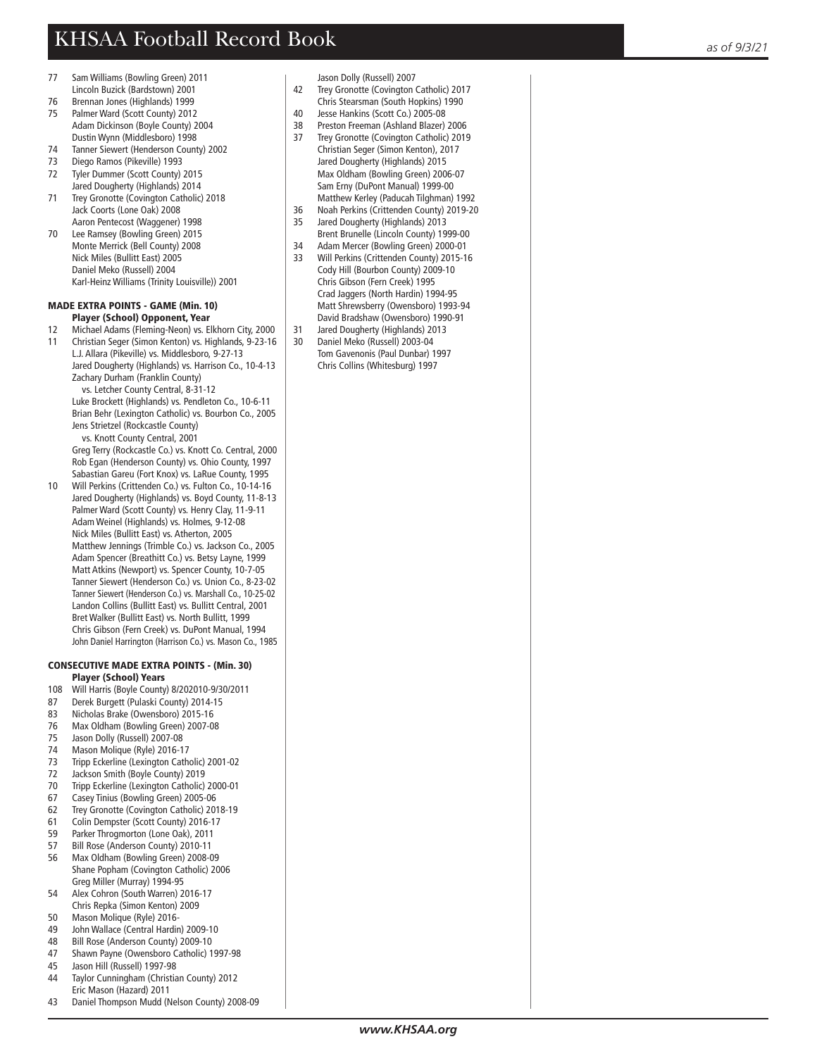- 77 Sam Williams (Bowling Green) 2011 Lincoln Buzick (Bardstown) 2001<br>76 Brennan Jones (Highlands) 1999
- 76 Brennan Jones (Highlands) 1999 75 Palmer Ward (Scott County) 2012 Adam Dickinson (Boyle County) 2004 Dustin Wynn (Middlesboro) 1998
- 74 Tanner Siewert (Henderson County) 2002
- 73 Diego Ramos (Pikeville) 1993
- 72 Tyler Dummer (Scott County) 2015
- Jared Dougherty (Highlands) 2014<br>Trey Gronotte (Covington Catholic)
- Trey Gronotte (Covington Catholic) 2018 Jack Coorts (Lone Oak) 2008 Aaron Pentecost (Waggener) 1998
- 70 Lee Ramsey (Bowling Green) 2015 Monte Merrick (Bell County) 2008 Nick Miles (Bullitt East) 2005 Daniel Meko (Russell) 2004 Karl-Heinz Williams (Trinity Louisville)) 2001

#### MADE EXTRA POINTS - GAME (Min. 10) Player (School) Opponent, Year

- 12 Michael Adams (Fleming-Neon) vs. Elkhorn City, 2000
- 11 Christian Seger (Simon Kenton) vs. Highlands, 9-23-16
- L.J. Allara (Pikeville) vs. Middlesboro, 9-27-13 Jared Dougherty (Highlands) vs. Harrison Co., 10-4-13 Zachary Durham (Franklin County)

 vs. Letcher County Central, 8-31-12 Luke Brockett (Highlands) vs. Pendleton Co., 10-6-11 Brian Behr (Lexington Catholic) vs. Bourbon Co., 2005 Jens Strietzel (Rockcastle County)

 vs. Knott County Central, 2001 Greg Terry (Rockcastle Co.) vs. Knott Co. Central, 2000 Rob Egan (Henderson County) vs. Ohio County, 1997 Sabastian Gareu (Fort Knox) vs. LaRue County, 1995

10 Will Perkins (Crittenden Co.) vs. Fulton Co., 10-14-16 Jared Dougherty (Highlands) vs. Boyd County, 11-8-13 Palmer Ward (Scott County) vs. Henry Clay, 11-9-11 Adam Weinel (Highlands) vs. Holmes, 9-12-08 Nick Miles (Bullitt East) vs. Atherton, 2005 Matthew Jennings (Trimble Co.) vs. Jackson Co., 2005 Adam Spencer (Breathitt Co.) vs. Betsy Layne, 1999 Matt Atkins (Newport) vs. Spencer County, 10-7-05 Tanner Siewert (Henderson Co.) vs. Union Co., 8-23-02 Tanner Siewert (Henderson Co.) vs. Marshall Co., 10-25-02 Landon Collins (Bullitt East) vs. Bullitt Central, 2001 Bret Walker (Bullitt East) vs. North Bullitt, 1999 Chris Gibson (Fern Creek) vs. DuPont Manual, 1994 John Daniel Harrington (Harrison Co.) vs. Mason Co., 1985

#### CONSECUTIVE MADE EXTRA POINTS - (Min. 30) Player (School) Years

- 108 Will Harris (Boyle County) 8/202010-9/30/2011
- 87 Derek Burgett (Pulaski County) 2014-15
- 83 Nicholas Brake (Owensboro) 2015-16<br>76 Max Oldham (Bowling Green) 2007-0
- Max Oldham (Bowling Green) 2007-08
- 75 Jason Dolly (Russell) 2007-08
- 74 Mason Molique (Ryle) 2016-17<br>73 Trinn Eckerline (Lexington Cath
- Tripp Eckerline (Lexington Catholic) 2001-02
- 72 Jackson Smith (Boyle County) 2019<br>70 Tripp Eckerline (Lexington Catholic)
- Tripp Eckerline (Lexington Catholic) 2000-01
- 67 Casey Tinius (Bowling Green) 2005-06
- 62 Trey Gronotte (Covington Catholic) 2018-19
- 
- 61 Colin Dempster (Scott County) 2016-17 59 Parker Throgmorton (Lone Oak), 2011<br>57 Bill Rose (Anderson County) 2010-11
- Bill Rose (Anderson County) 2010-11
- 56 Max Oldham (Bowling Green) 2008-09 Shane Popham (Covington Catholic) 2006 Greg Miller (Murray) 1994-95<br>54 Alex Cohron (South Warren) 2
- 54 Alex Cohron (South Warren) 2016-17 Chris Repka (Simon Kenton) 2009
- 50 Mason Molique (Ryle) 2016-<br>49 Iohn Wallace (Central Hardin
- 49 John Wallace (Central Hardin) 2009-10
- 48 Bill Rose (Anderson County) 2009-10<br>47 Shawn Payne (Owensboro Catholic) 1
- 47 Shawn Payne (Owensboro Catholic) 1997-98<br>45 Jason Hill (Russell) 1997-98 45 Jason Hill (Russell) 1997-98
- 44 Taylor Cunningham (Christian County) 2012
- Eric Mason (Hazard) 2011
- 43 Daniel Thompson Mudd (Nelson County) 2008-09

- Jason Dolly (Russell) 2007<br>42 Trey Gronotte (Covington Trey Gronotte (Covington Catholic) 2017 Chris Stearsman (South Hopkins) 1990<br>40 lesse Hankins (Scott Co.) 2005-08
- Jesse Hankins (Scott Co.) 2005-08
- 38 Preston Freeman (Ashland Blazer) 2006<br>37 Trey Gronotte (Covington Catholic) 2019
- Trey Gronotte (Covington Catholic) 2019 Christian Seger (Simon Kenton), 2017
- Jared Dougherty (Highlands) 2015 Max Oldham (Bowling Green) 2006-07 Sam Erny (DuPont Manual) 1999-00 Matthew Kerley (Paducah Tilghman) 1992
- 36 Noah Perkins (Crittenden County) 2019-20 35 Jared Dougherty (Highlands) 2013 Brent Brunelle (Lincoln County) 1999-00
- 
- 34 Adam Mercer (Bowling Green) 2000-01<br>33 Will Perkins (Crittenden County) 2015-1 Will Perkins (Crittenden County) 2015-16 Cody Hill (Bourbon County) 2009-10 Chris Gibson (Fern Creek) 1995 Crad Jaggers (North Hardin) 1994-95 Matt Shrewsberry (Owensboro) 1993-94 David Bradshaw (Owensboro) 1990-91
- 31 Jared Dougherty (Highlands) 2013
- 30 Daniel Meko (Russell) 2003-04 Tom Gavenonis (Paul Dunbar) 1997

Chris Collins (Whitesburg) 1997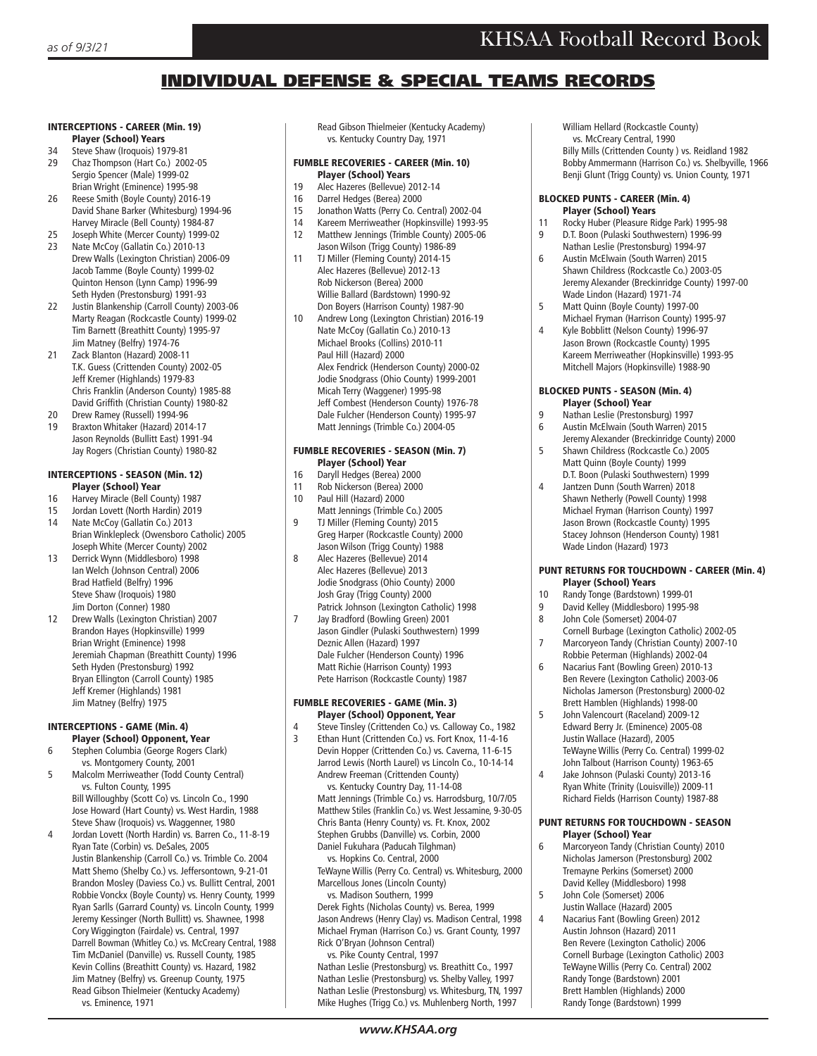## INDIVIDUAL DEFENSE & SPECIAL TEAMS RECORDS

#### INTERCEPTIONS - CAREER (Min. 19) Player (School) Years

- 34 Steve Shaw (Iroquois) 1979-81
- 29 Chaz Thompson (Hart Co.) 2002-05
- Sergio Spencer (Male) 1999-02 Brian Wright (Eminence) 1995-98<br>26 Reese Smith (Boyle County) 2016
- 26 Reese Smith (Boyle County) 2016-19 David Shane Barker (Whitesburg) 1994-96 Harvey Miracle (Bell County) 1984-87
- 25 Joseph White (Mercer County) 1999-02 23 Nate McCoy (Gallatin Co.) 2010-13 Drew Walls (Lexington Christian) 2006-09 Jacob Tamme (Boyle County) 1999-02
- Quinton Henson (Lynn Camp) 1996-99 Seth Hyden (Prestonsburg) 1991-93<br>21 Iustin Blankenshin (Carroll County) Justin Blankenship (Carroll County) 2003-06 Marty Reagan (Rockcastle County) 1999-02 Tim Barnett (Breathitt County) 1995-97
- Jim Matney (Belfry) 1974-76 21 Zack Blanton (Hazard) 2008-11 T.K. Guess (Crittenden County) 2002-05 Jeff Kremer (Highlands) 1979-83 Chris Franklin (Anderson County) 1985-88 David Griffith (Christian County) 1980-82
- 
- 20 Drew Ramey (Russell) 1994-96<br>19 Braxton Whitaker (Hazard) 2014 19 Braxton Whitaker (Hazard) 2014-17 Jason Reynolds (Bullitt East) 1991-94 Jay Rogers (Christian County) 1980-82

## INTERCEPTIONS - SEASON (Min. 12) **Player (School) Year**<br>16 Harvey Miracle (Bell Co

- Harvey Miracle (Bell County) 1987
- 15 Jordan Lovett (North Hardin) 2019
- 14 Nate McCoy (Gallatin Co.) 2013 Brian Winklepleck (Owensboro Catholic) 2005 Joseph White (Mercer County) 2002
- 13 Derrick Wynn (Middlesboro) 1998 Ian Welch (Johnson Central) 2006 Brad Hatfield (Belfry) 1996 Steve Shaw (Iroquois) 1980 Jim Dorton (Conner) 1980
- 12 Drew Walls (Lexington Christian) 2007 Brandon Hayes (Hopkinsville) 1999 Brian Wright (Eminence) 1998 Jeremiah Chapman (Breathitt County) 1996 Seth Hyden (Prestonsburg) 1992 Bryan Ellington (Carroll County) 1985 Jeff Kremer (Highlands) 1981 Jim Matney (Belfry) 1975

#### INTERCEPTIONS - GAME (Min. 4) Player (School) Opponent, Year

- 6 Stephen Columbia (George Rogers Clark) vs. Montgomery County, 2001
- 5 Malcolm Merriweather (Todd County Central) vs. Fulton County, 1995 Bill Willoughby (Scott Co) vs. Lincoln Co., 1990 Jose Howard (Hart County) vs. West Hardin, 1988
- Steve Shaw (Iroquois) vs. Waggenner, 1980<br>4 **Stephen Lovett (North Hardin) vs. Barren Co** 4 Jordan Lovett (North Hardin) vs. Barren Co., 11-8-19 Ryan Tate (Corbin) vs. DeSales, 2005 Justin Blankenship (Carroll Co.) vs. Trimble Co. 2004 Matt Shemo (Shelby Co.) vs. Jeffersontown, 9-21-01 Brandon Mosley (Daviess Co.) vs. Bullitt Central, 2001 Robbie Vonckx (Boyle County) vs. Henry County, 1999 Ryan Sarlls (Garrard County) vs. Lincoln County, 1999 Jeremy Kessinger (North Bullitt) vs. Shawnee, 1998 Cory Wiggington (Fairdale) vs. Central, 1997 Darrell Bowman (Whitley Co.) vs. McCreary Central, 1988 Tim McDaniel (Danville) vs. Russell County, 1985 Kevin Collins (Breathitt County) vs. Hazard, 1982 Jim Matney (Belfry) vs. Greenup County, 1975 Read Gibson Thielmeier (Kentucky Academy) vs. Eminence, 1971

 Read Gibson Thielmeier (Kentucky Academy) vs. Kentucky Country Day, 1971

## FUMBLE RECOVERIES - CAREER (Min. 10)

- **Player (School) Years**<br>19 Alec Hazeres (Bellevue) 2 19 Alec Hazeres (Bellevue) 2012-14
- 
- 16 Darrel Hedges (Berea) 2000<br>15 Jonathon Watts (Perry Co. Co. 15 Jonathon Watts (Perry Co. Central) 2002-04
- 14 Kareem Merriweather (Hopkinsville) 1993-95
- 12 Matthew Jennings (Trimble County) 2005-06 Jason Wilson (Trigg County) 1986-89<br>11 TJ Miller (Fleming County) 2014-15
- 11 TJ Miller (Fleming County) 2014-15 Alec Hazeres (Bellevue) 2012-13 Rob Nickerson (Berea) 2000 Willie Ballard (Bardstown) 1990-92 Don Boyers (Harrison County) 1987-90<br>10 Andrew Long (Lexington Christian) 201
- Andrew Long (Lexington Christian) 2016-19 Nate McCoy (Gallatin Co.) 2010-13 Michael Brooks (Collins) 2010-11 Paul Hill (Hazard) 2000 Alex Fendrick (Henderson County) 2000-02 Jodie Snodgrass (Ohio County) 1999-2001 Micah Terry (Waggener) 1995-98 Jeff Combest (Henderson County) 1976-78 Dale Fulcher (Henderson County) 1995-97 Matt Jennings (Trimble Co.) 2004-05

## FUMBLE RECOVERIES - SEASON (Min. 7) **Player (School) Year**<br>16 Daryll Hedges (Berea) 20

- 16 Daryll Hedges (Berea) 2000<br>11 Rob Nickerson (Berea) 2000
- Rob Nickerson (Berea) 2000
- 10 Paul Hill (Hazard) 2000
- Matt Jennings (Trimble Co.) 2005<br>11 Miller (Fleming County) 2015 9 TJ Miller (Fleming County) 2015 Greg Harper (Rockcastle County) 2000 Jason Wilson (Trigg County) 1988
- 8 Alec Hazeres (Bellevue) 2014 Alec Hazeres (Bellevue) 2013 Jodie Snodgrass (Ohio County) 2000 Josh Gray (Trigg County) 2000
- Patrick Johnson (Lexington Catholic) 1998 Jay Bradford (Bowling Green) 2001 Jason Gindler (Pulaski Southwestern) 1999 Deznic Allen (Hazard) 1997 Dale Fulcher (Henderson County) 1996 Matt Richie (Harrison County) 1993 Pete Harrison (Rockcastle County) 1987

#### FUMBLE RECOVERIES - GAME (Min. 3) Player (School) Opponent, Year

- 4 Steve Tinsley (Crittenden Co.) vs. Calloway Co., 1982<br>
5 Fiban Hunt (Crittenden Co.) vs. Fort Knox, 11-4-16
- 3 Ethan Hunt (Crittenden Co.) vs. Fort Knox, 11-4-16 Devin Hopper (Crittenden Co.) vs. Caverna, 11-6-15 Jarrod Lewis (North Laurel) vs Lincoln Co., 10-14-14 Andrew Freeman (Crittenden County)

 vs. Kentucky Country Day, 11-14-08 Matt Jennings (Trimble Co.) vs. Harrodsburg, 10/7/05 Matthew Stiles (Franklin Co.) vs. West Jessamine, 9-30-05 Chris Banta (Henry County) vs. Ft. Knox, 2002 Stephen Grubbs (Danville) vs. Corbin, 2000 Daniel Fukuhara (Paducah Tilghman) vs. Hopkins Co. Central, 2000

TeWayne Willis (Perry Co. Central) vs. Whitesburg, 2000 Marcellous Jones (Lincoln County)

 vs. Madison Southern, 1999 Derek Fights (Nicholas County) vs. Berea, 1999 Jason Andrews (Henry Clay) vs. Madison Central, 1998 Michael Fryman (Harrison Co.) vs. Grant County, 1997 Rick O'Bryan (Johnson Central)

 vs. Pike County Central, 1997 Nathan Leslie (Prestonsburg) vs. Breathitt Co., 1997 Nathan Leslie (Prestonsburg) vs. Shelby Valley, 1997 Nathan Leslie (Prestonsburg) vs. Whitesburg, TN, 1997 Mike Hughes (Trigg Co.) vs. Muhlenberg North, 1997

 William Hellard (Rockcastle County) vs. McCreary Central, 1990 Billy Mills (Crittenden County ) vs. Reidland 1982

Bobby Ammermann (Harrison Co.) vs. Shelbyville, 1966 Benji Glunt (Trigg County) vs. Union County, 1971

#### BLOCKED PUNTS - CAREER (Min. 4) Player (School) Years

- Rocky Huber (Pleasure Ridge Park) 1995-98 9 D.T. Boon (Pulaski Southwestern) 1996-99
- Nathan Leslie (Prestonsburg) 1994-97<br>Austin McFlwain (South Warren) 2015 6 Austin McElwain (South Warren) 2015 Shawn Childress (Rockcastle Co.) 2003-05
- Jeremy Alexander (Breckinridge County) 1997-00 Wade Lindon (Hazard) 1971-74 Matt Quinn (Boyle County) 1997-00
- 
- Michael Fryman (Harrison County) 1995-97 4 Kyle Bobblitt (Nelson County) 1996-97 Jason Brown (Rockcastle County) 1995 Kareem Merriweather (Hopkinsville) 1993-95 Mitchell Majors (Hopkinsville) 1988-90

#### BLOCKED PUNTS - SEASON (Min. 4) Player (School) Year

- 9 Nathan Leslie (Prestonsburg) 1997<br>6 Austin McElwain (South Warren) 20
- 6 Austin McElwain (South Warren) 2015 Jeremy Alexander (Breckinridge County) 2000<br>5 Shawn Childress (Rockcastle Co.) 2005 5 Shawn Childress (Rockcastle Co.) 2005
- Matt Quinn (Boyle County) 1999 D.T. Boon (Pulaski Southwestern) 1999
- 4 Jantzen Dunn (South Warren) 2018 Shawn Netherly (Powell County) 1998 Michael Fryman (Harrison County) 1997 Jason Brown (Rockcastle County) 1995 Stacey Johnson (Henderson County) 1981 Wade Lindon (Hazard) 1973

## PUNT RETURNS FOR TOUCHDOWN - CAREER (Min. 4)

- **Player (School) Years**<br>10 Randy Tonge (Bardstown)
- 10 Randy Tonge (Bardstown) 1999-01<br>9 David Kelley (Middlesboro) 1995-9 9 David Kelley (Middlesboro) 1995-98
- 8 John Cole (Somerset) 2004-07
- Cornell Burbage (Lexington Catholic) 2002-05 Marcoryeon Tandy (Christian County) 2007-10
- Robbie Peterman (Highlands) 2002-04<br>6 Macarius Fant (Bowling Green) 2010-11 6 Nacarius Fant (Bowling Green) 2010-13 Ben Revere (Lexington Catholic) 2003-06 Nicholas Jamerson (Prestonsburg) 2000-02 Brett Hamblen (Highlands) 1998-00
- 5 John Valencourt (Raceland) 2009-12 Edward Berry Jr. (Eminence) 2005-08 Justin Wallace (Hazard), 2005 TeWayne Willis (Perry Co. Central) 1999-02 John Talbout (Harrison County) 1963-65
- 4 Jake Johnson (Pulaski County) 2013-16 Ryan White (Trinity (Louisville)) 2009-11 Richard Fields (Harrison County) 1987-88

#### PUNT RETURNS FOR TOUCHDOWN - SEASON Player (School) Year

- 6 Marcoryeon Tandy (Christian County) 2010 Nicholas Jamerson (Prestonsburg) 2002 Tremayne Perkins (Somerset) 2000
- David Kelley (Middlesboro) 1998<br>5 Iohn Cole (Somerset) 2006 5 John Cole (Somerset) 2006 Justin Wallace (Hazard) 2005
- 4 Nacarius Fant (Bowling Green) 2012 Austin Johnson (Hazard) 2011 Ben Revere (Lexington Catholic) 2006 Cornell Burbage (Lexington Catholic) 2003 TeWayne Willis (Perry Co. Central) 2002 Randy Tonge (Bardstown) 2001 Brett Hamblen (Highlands) 2000 Randy Tonge (Bardstown) 1999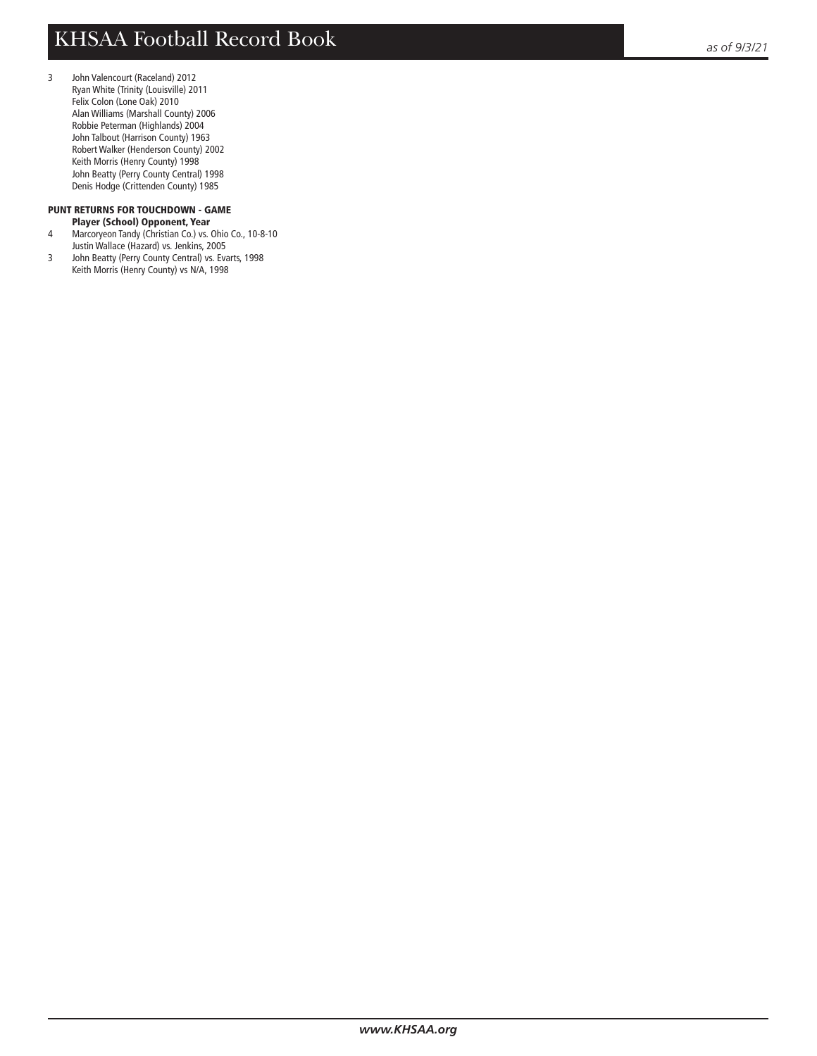3 John Valencourt (Raceland) 2012 Ryan White (Trinity (Louisville) 2011 Felix Colon (Lone Oak) 2010 Alan Williams (Marshall County) 2006 Robbie Peterman (Highlands) 2004 John Talbout (Harrison County) 1963 Robert Walker (Henderson County) 2002 Keith Morris (Henry County) 1998 John Beatty (Perry County Central) 1998 Denis Hodge (Crittenden County) 1985

# PUNT RETURNS FOR TOUCHDOWN - GAME

- **Player (School) Opponent, Year**<br>4 Marcoryeon Tandy (Christian Co.) vs. Marcoryeon Tandy (Christian Co.) vs. Ohio Co., 10-8-10 Justin Wallace (Hazard) vs. Jenkins, 2005<br>John Beatty (Perry County Central) vs. Eva
- John Beatty (Perry County Central) vs. Evarts, 1998 Keith Morris (Henry County) vs N/A, 1998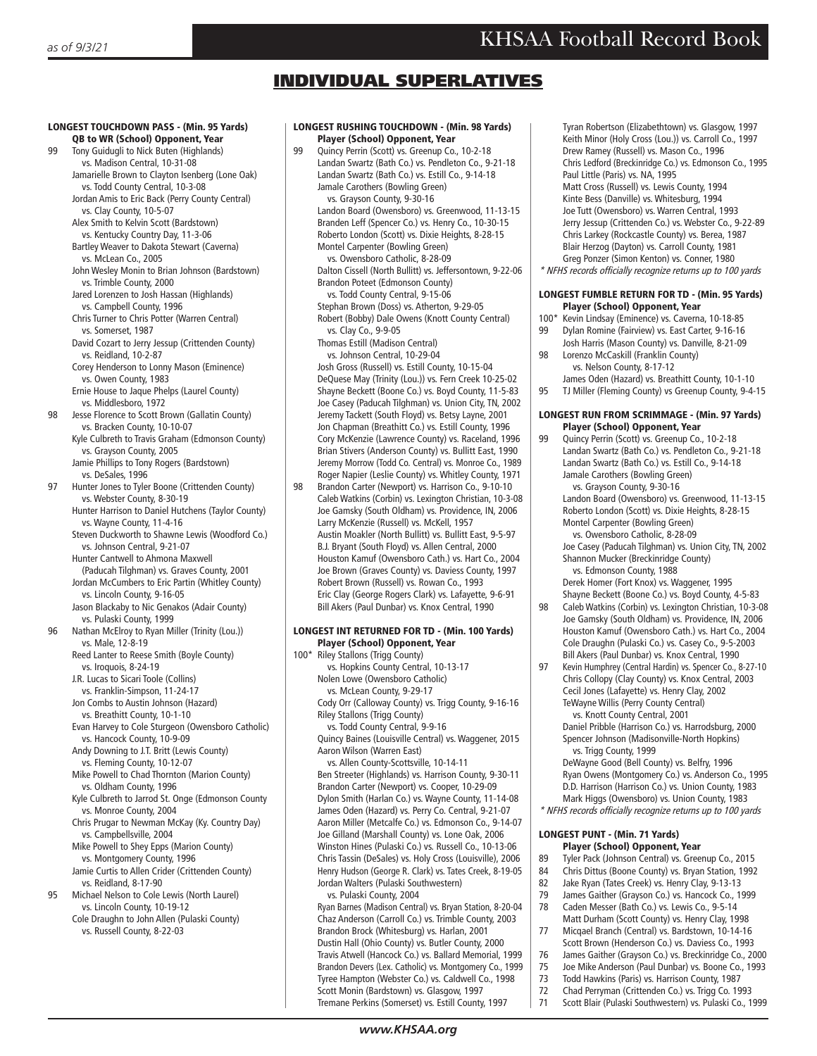## INDIVIDUAL SUPERLATIVES

#### LONGEST TOUCHDOWN PASS - (Min. 95 Yards) QB to WR (School) Opponent, Year 99 Tony Guidugli to Nick Buten (Highlands) vs. Madison Central, 10-31-08 Jamarielle Brown to Clayton Isenberg (Lone Oak) vs. Todd County Central, 10-3-08 Jordan Amis to Eric Back (Perry County Central) vs. Clay County, 10-5-07

 Alex Smith to Kelvin Scott (Bardstown) vs. Kentucky Country Day, 11-3-06

- Bartley Weaver to Dakota Stewart (Caverna) vs. McLean Co., 2005
- John Wesley Monin to Brian Johnson (Bardstown) vs. Trimble County, 2000
- Jared Lorenzen to Josh Hassan (Highlands) vs. Campbell County, 1996
- Chris Turner to Chris Potter (Warren Central) vs. Somerset, 1987
- David Cozart to Jerry Jessup (Crittenden County) vs. Reidland, 10-2-87
- Corey Henderson to Lonny Mason (Eminence) vs. Owen County, 1983
- Ernie House to Jaque Phelps (Laurel County) vs. Middlesboro, 1972
- 98 Jesse Florence to Scott Brown (Gallatin County) vs. Bracken County, 10-10-07 Kyle Culbreth to Travis Graham (Edmonson County)
	- vs. Grayson County, 2005 Jamie Phillips to Tony Rogers (Bardstown) vs. DeSales, 1996
- 97 Hunter Jones to Tyler Boone (Crittenden County) vs. Webster County, 8-30-19
	- Hunter Harrison to Daniel Hutchens (Taylor County) vs. Wayne County, 11-4-16
	- Steven Duckworth to Shawne Lewis (Woodford Co.) vs. Johnson Central, 9-21-07 Hunter Cantwell to Ahmona Maxwell
	- (Paducah Tilghman) vs. Graves County, 2001 Jordan McCumbers to Eric Partin (Whitley County) vs. Lincoln County, 9-16-05
	- Jason Blackaby to Nic Genakos (Adair County) vs. Pulaski County, 1999
- 96 Nathan McElroy to Ryan Miller (Trinity (Lou.)) vs. Male, 12-8-19 Reed Lanter to Reese Smith (Boyle County)
	- vs. Iroquois, 8-24-19
	- J.R. Lucas to Sicari Toole (Collins) vs. Franklin-Simpson, 11-24-17
	- Jon Combs to Austin Johnson (Hazard)
	- vs. Breathitt County, 10-1-10
	- Evan Harvey to Cole Sturgeon (Owensboro Catholic) vs. Hancock County, 10-9-09
	- Andy Downing to J.T. Britt (Lewis County) vs. Fleming County, 10-12-07
	- Mike Powell to Chad Thornton (Marion County) vs. Oldham County, 1996
	- Kyle Culbreth to Jarrod St. Onge (Edmonson County vs. Monroe County, 2004
	- Chris Prugar to Newman McKay (Ky. Country Day) vs. Campbellsville, 2004
	- Mike Powell to Shey Epps (Marion County) vs. Montgomery County, 1996
- Jamie Curtis to Allen Crider (Crittenden County) vs. Reidland, 8-17-90<br>95 Michael Nelson to Cole
- 95 Michael Nelson to Cole Lewis (North Laurel) vs. Lincoln County, 10-19-12 Cole Draughn to John Allen (Pulaski County) vs. Russell County, 8-22-03

#### LONGEST RUSHING TOUCHDOWN - (Min. 98 Yards) Player (School) Opponent, Year

- 99 Quincy Perrin (Scott) vs. Greenup Co., 10-2-18 Landan Swartz (Bath Co.) vs. Pendleton Co., 9-21-18 Landan Swartz (Bath Co.) vs. Estill Co., 9-14-18 Jamale Carothers (Bowling Green) vs. Grayson County, 9-30-16 Landon Board (Owensboro) vs. Greenwood, 11-13-15 Branden Leff (Spencer Co.) vs. Henry Co., 10-30-15 Roberto London (Scott) vs. Dixie Heights, 8-28-15 Montel Carpenter (Bowling Green) vs. Owensboro Catholic, 8-28-09 Dalton Cissell (North Bullitt) vs. Jeffersontown, 9-22-06 Brandon Poteet (Edmonson County) vs. Todd County Central, 9-15-06 Stephan Brown (Doss) vs. Atherton, 9-29-05 Robert (Bobby) Dale Owens (Knott County Central) vs. Clay Co., 9-9-05 Thomas Estill (Madison Central) vs. Johnson Central, 10-29-04 Josh Gross (Russell) vs. Estill County, 10-15-04
	- DeQuese May (Trinity (Lou.)) vs. Fern Creek 10-25-02 Shayne Beckett (Boone Co.) vs. Boyd County, 11-5-83 Joe Casey (Paducah Tilghman) vs. Union City, TN, 2002 Jeremy Tackett (South Floyd) vs. Betsy Layne, 2001 Jon Chapman (Breathitt Co.) vs. Estill County, 1996 Cory McKenzie (Lawrence County) vs. Raceland, 1996 Brian Stivers (Anderson County) vs. Bullitt East, 1990 Jeremy Morrow (Todd Co. Central) vs. Monroe Co., 1989 Roger Napier (Leslie County) vs. Whitley County, 1971
- 98 Brandon Carter (Newport) vs. Harrison Co., 9-10-10 Caleb Watkins (Corbin) vs. Lexington Christian, 10-3-08 Joe Gamsky (South Oldham) vs. Providence, IN, 2006 Larry McKenzie (Russell) vs. McKell, 1957 Austin Moakler (North Bullitt) vs. Bullitt East, 9-5-97 B.J. Bryant (South Floyd) vs. Allen Central, 2000 Houston Kamuf (Owensboro Cath.) vs. Hart Co., 2004 Joe Brown (Graves County) vs. Daviess County, 1997 Robert Brown (Russell) vs. Rowan Co., 1993 Eric Clay (George Rogers Clark) vs. Lafayette, 9-6-91 Bill Akers (Paul Dunbar) vs. Knox Central, 1990

#### LONGEST INT RETURNED FOR TD - (Min. 100 Yards) Player (School) Opponent, Year

- 100\* Riley Stallons (Trigg County) vs. Hopkins County Central, 10-13-17 Nolen Lowe (Owensboro Catholic) vs. McLean County, 9-29-17 Cody Orr (Calloway County) vs. Trigg County, 9-16-16 Riley Stallons (Trigg County) vs. Todd County Central, 9-9-16 Quincy Baines (Louisville Central) vs. Waggener, 2015 Aaron Wilson (Warren East) vs. Allen County-Scottsville, 10-14-11 Ben Streeter (Highlands) vs. Harrison County, 9-30-11 Brandon Carter (Newport) vs. Cooper, 10-29-09 Dylon Smith (Harlan Co.) vs. Wayne County, 11-14-08 James Oden (Hazard) vs. Perry Co. Central, 9-21-07 Aaron Miller (Metcalfe Co.) vs. Edmonson Co., 9-14-07 Joe Gilland (Marshall County) vs. Lone Oak, 2006 Winston Hines (Pulaski Co.) vs. Russell Co., 10-13-06 Chris Tassin (DeSales) vs. Holy Cross (Louisville), 2006 Henry Hudson (George R. Clark) vs. Tates Creek, 8-19-05 Jordan Walters (Pulaski Southwestern)
	- vs. Pulaski County, 2004 Ryan Barnes (Madison Central) vs. Bryan Station, 8-20-04 Chaz Anderson (Carroll Co.) vs. Trimble County, 2003 Brandon Brock (Whitesburg) vs. Harlan, 2001 Dustin Hall (Ohio County) vs. Butler County, 2000 Travis Atwell (Hancock Co.) vs. Ballard Memorial, 1999 Brandon Devers (Lex. Catholic) vs. Montgomery Co., 1999 Tyree Hampton (Webster Co.) vs. Caldwell Co., 1998 Scott Monin (Bardstown) vs. Glasgow, 1997 Tremane Perkins (Somerset) vs. Estill County, 1997

 Tyran Robertson (Elizabethtown) vs. Glasgow, 1997 Keith Minor (Holy Cross (Lou.)) vs. Carroll Co., 1997 Drew Ramey (Russell) vs. Mason Co., 1996 Chris Ledford (Breckinridge Co.) vs. Edmonson Co., 1995 Paul Little (Paris) vs. NA, 1995 Matt Cross (Russell) vs. Lewis County, 1994 Kinte Bess (Danville) vs. Whitesburg, 1994 Joe Tutt (Owensboro) vs. Warren Central, 1993 Jerry Jessup (Crittenden Co.) vs. Webster Co., 9-22-89 Chris Larkey (Rockcastle County) vs. Berea, 1987 Blair Herzog (Dayton) vs. Carroll County, 1981 Greg Ponzer (Simon Kenton) vs. Conner, 1980 \* NFHS records officially recognize returns up to 100 yards

#### LONGEST FUMBLE RETURN FOR TD - (Min. 95 Yards) Player (School) Opponent, Year

- 100\* Kevin Lindsay (Eminence) vs. Caverna, 10-18-85
- 99 Dylan Romine (Fairview) vs. East Carter, 9-16-16 Josh Harris (Mason County) vs. Danville, 8-21-09
- 98 Lorenzo McCaskill (Franklin County) vs. Nelson County, 8-17-12
- James Oden (Hazard) vs. Breathitt County, 10-1-10 95 TJ Miller (Fleming County) vs Greenup County, 9-4-15

#### LONGEST RUN FROM SCRIMMAGE - (Min. 97 Yards) Player (School) Opponent, Year

- 99 Quincy Perrin (Scott) vs. Greenup Co., 10-2-18 Landan Swartz (Bath Co.) vs. Pendleton Co., 9-21-18 Landan Swartz (Bath Co.) vs. Estill Co., 9-14-18 Jamale Carothers (Bowling Green) vs. Grayson County, 9-30-16 Landon Board (Owensboro) vs. Greenwood, 11-13-15 Roberto London (Scott) vs. Dixie Heights, 8-28-15 Montel Carpenter (Bowling Green) vs. Owensboro Catholic, 8-28-09 Joe Casey (Paducah Tilghman) vs. Union City, TN, 2002 Shannon Mucker (Breckinridge County) vs. Edmonson County, 1988 Derek Homer (Fort Knox) vs. Waggener, 1995
- Shayne Beckett (Boone Co.) vs. Boyd County, 4-5-83 Caleb Watkins (Corbin) vs. Lexington Christian, 10-3-08 Joe Gamsky (South Oldham) vs. Providence, IN, 2006 Houston Kamuf (Owensboro Cath.) vs. Hart Co., 2004 Cole Draughn (Pulaski Co.) vs. Casey Co., 9-5-2003
- Bill Akers (Paul Dunbar) vs. Knox Central, 1990<br>1976 Kevin Humphrey (Central Hardin) vs. Spencer Co Kevin Humphrey (Central Hardin) vs. Spencer Co., 8-27-10 Chris Collopy (Clay County) vs. Knox Central, 2003 Cecil Jones (Lafayette) vs. Henry Clay, 2002 TeWayne Willis (Perry County Central) vs. Knott County Central, 2001 Daniel Pribble (Harrison Co.) vs. Harrodsburg, 2000 Spencer Johnson (Madisonville-North Hopkins)
	- vs. Trigg County, 1999 DeWayne Good (Bell County) vs. Belfry, 1996 Ryan Owens (Montgomery Co.) vs. Anderson Co., 1995 D.D. Harrison (Harrison Co.) vs. Union County, 1983
- Mark Higgs (Owensboro) vs. Union County, 1983 \* NFHS records officially recognize returns up to 100 yards

#### LONGEST PUNT - (Min. 71 Yards) Player (School) Opponent, Year

- 89 Tyler Pack (Johnson Central) vs. Greenup Co., 2015<br>84 Chris Dittus (Boone County) vs. Bryan Station 1997
- Chris Dittus (Boone County) vs. Bryan Station, 1992
- 82 Jake Ryan (Tates Creek) vs. Henry Clay, 9-13-13<br>79 James Gaither (Grayson Co.) vs. Hancock Co. 11
- James Gaither (Grayson Co.) vs. Hancock Co., 1999 78 Caden Messer (Bath Co.) vs. Lewis Co., 9-5-14
- Matt Durham (Scott County) vs. Henry Clay, 1998<br>77 Micgael Branch (Central) vs. Bardstown. 10-14-16 Micqael Branch (Central) vs. Bardstown, 10-14-16
- Scott Brown (Henderson Co.) vs. Daviess Co., 1993 76 James Gaither (Grayson Co.) vs. Breckinridge Co., 2000
- 75 Joe Mike Anderson (Paul Dunbar) vs. Boone Co., 1993
- 73 Todd Hawkins (Paris) vs. Harrison County, 1987<br>72 Chad Perryman (Crittenden Co.) vs. Trigg Co. 19
- 72 Chad Perryman (Crittenden Co.) vs. Trigg Co. 1993<br>71 Scott Blair (Pulaski Southwestern) vs. Pulaski Co., 1
	- Scott Blair (Pulaski Southwestern) vs. Pulaski Co., 1999